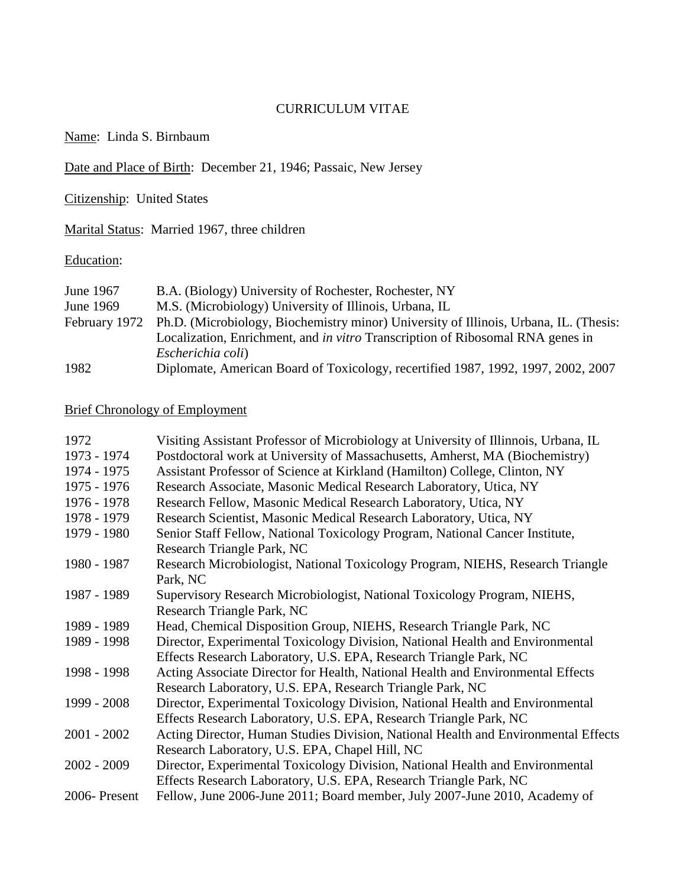### CURRICULUM VITAE

Name: Linda S. Birnbaum

Date and Place of Birth: December 21, 1946; Passaic, New Jersey

Citizenship: United States

Marital Status: Married 1967, three children

# Education:

| June 1967 | B.A. (Biology) University of Rochester, Rochester, NY                                               |
|-----------|-----------------------------------------------------------------------------------------------------|
| June 1969 | M.S. (Microbiology) University of Illinois, Urbana, IL                                              |
|           | February 1972 Ph.D. (Microbiology, Biochemistry minor) University of Illinois, Urbana, IL. (Thesis: |
|           | Localization, Enrichment, and <i>in vitro</i> Transcription of Ribosomal RNA genes in               |
|           | Escherichia coli)                                                                                   |
| 1982      | Diplomate, American Board of Toxicology, recertified 1987, 1992, 1997, 2002, 2007                   |

# Brief Chronology of Employment

| 1972          | Visiting Assistant Professor of Microbiology at University of Illinnois, Urbana, IL |
|---------------|-------------------------------------------------------------------------------------|
| 1973 - 1974   | Postdoctoral work at University of Massachusetts, Amherst, MA (Biochemistry)        |
| 1974 - 1975   | Assistant Professor of Science at Kirkland (Hamilton) College, Clinton, NY          |
| 1975 - 1976   | Research Associate, Masonic Medical Research Laboratory, Utica, NY                  |
| 1976 - 1978   | Research Fellow, Masonic Medical Research Laboratory, Utica, NY                     |
| 1978 - 1979   | Research Scientist, Masonic Medical Research Laboratory, Utica, NY                  |
| 1979 - 1980   | Senior Staff Fellow, National Toxicology Program, National Cancer Institute,        |
|               | Research Triangle Park, NC                                                          |
| 1980 - 1987   | Research Microbiologist, National Toxicology Program, NIEHS, Research Triangle      |
|               | Park, NC                                                                            |
| 1987 - 1989   | Supervisory Research Microbiologist, National Toxicology Program, NIEHS,            |
|               | Research Triangle Park, NC                                                          |
| 1989 - 1989   | Head, Chemical Disposition Group, NIEHS, Research Triangle Park, NC                 |
| 1989 - 1998   | Director, Experimental Toxicology Division, National Health and Environmental       |
|               | Effects Research Laboratory, U.S. EPA, Research Triangle Park, NC                   |
| 1998 - 1998   | Acting Associate Director for Health, National Health and Environmental Effects     |
|               | Research Laboratory, U.S. EPA, Research Triangle Park, NC                           |
| 1999 - 2008   | Director, Experimental Toxicology Division, National Health and Environmental       |
|               | Effects Research Laboratory, U.S. EPA, Research Triangle Park, NC                   |
| $2001 - 2002$ | Acting Director, Human Studies Division, National Health and Environmental Effects  |
|               | Research Laboratory, U.S. EPA, Chapel Hill, NC                                      |
| $2002 - 2009$ | Director, Experimental Toxicology Division, National Health and Environmental       |
|               | Effects Research Laboratory, U.S. EPA, Research Triangle Park, NC                   |
| 2006-Present  | Fellow, June 2006-June 2011; Board member, July 2007-June 2010, Academy of          |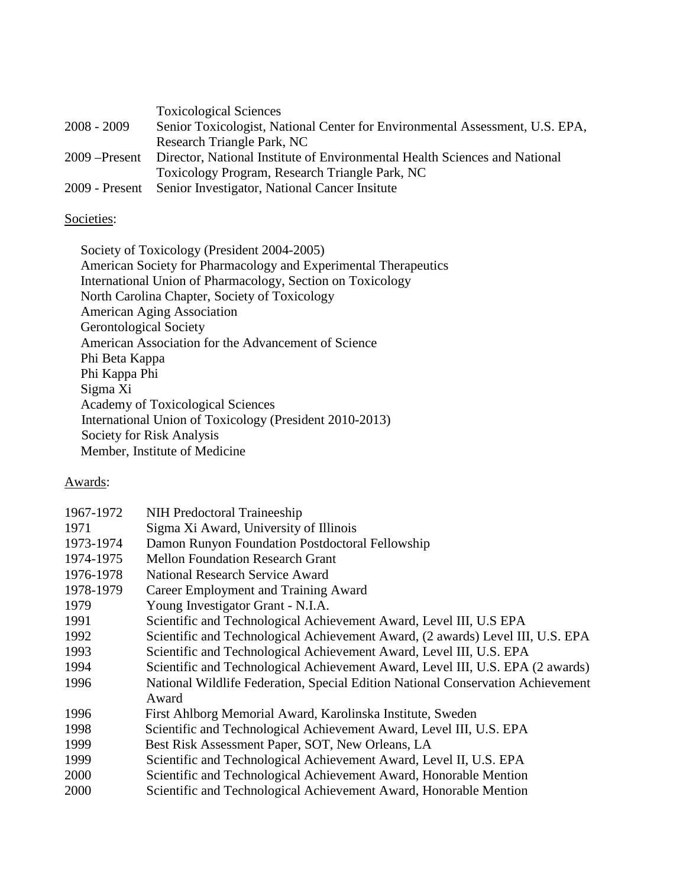|                 | <b>Toxicological Sciences</b>                                                |
|-----------------|------------------------------------------------------------------------------|
| $2008 - 2009$   | Senior Toxicologist, National Center for Environmental Assessment, U.S. EPA, |
|                 | Research Triangle Park, NC                                                   |
| $2009$ –Present | Director, National Institute of Environmental Health Sciences and National   |
|                 | Toxicology Program, Research Triangle Park, NC                               |
|                 | 2009 - Present Senior Investigator, National Cancer Insitute                 |

# Societies:

Society of Toxicology (President 2004-2005) American Society for Pharmacology and Experimental Therapeutics International Union of Pharmacology, Section on Toxicology North Carolina Chapter, Society of Toxicology American Aging Association Gerontological Society American Association for the Advancement of Science Phi Beta Kappa Phi Kappa Phi Sigma Xi Academy of Toxicological Sciences International Union of Toxicology (President 2010-2013) Society for Risk Analysis Member, Institute of Medicine

### Awards:

| 1967-1972 | NIH Predoctoral Traineeship                                                     |
|-----------|---------------------------------------------------------------------------------|
| 1971      | Sigma Xi Award, University of Illinois                                          |
| 1973-1974 | Damon Runyon Foundation Postdoctoral Fellowship                                 |
| 1974-1975 | <b>Mellon Foundation Research Grant</b>                                         |
| 1976-1978 | <b>National Research Service Award</b>                                          |
| 1978-1979 | Career Employment and Training Award                                            |
| 1979      | Young Investigator Grant - N.I.A.                                               |
| 1991      | Scientific and Technological Achievement Award, Level III, U.S EPA              |
| 1992      | Scientific and Technological Achievement Award, (2 awards) Level III, U.S. EPA  |
| 1993      | Scientific and Technological Achievement Award, Level III, U.S. EPA             |
| 1994      | Scientific and Technological Achievement Award, Level III, U.S. EPA (2 awards)  |
| 1996      | National Wildlife Federation, Special Edition National Conservation Achievement |
|           | Award                                                                           |
| 1996      | First Ahlborg Memorial Award, Karolinska Institute, Sweden                      |
| 1998      | Scientific and Technological Achievement Award, Level III, U.S. EPA             |
| 1999      | Best Risk Assessment Paper, SOT, New Orleans, LA                                |
| 1999      | Scientific and Technological Achievement Award, Level II, U.S. EPA              |
| 2000      | Scientific and Technological Achievement Award, Honorable Mention               |
| 2000      | Scientific and Technological Achievement Award, Honorable Mention               |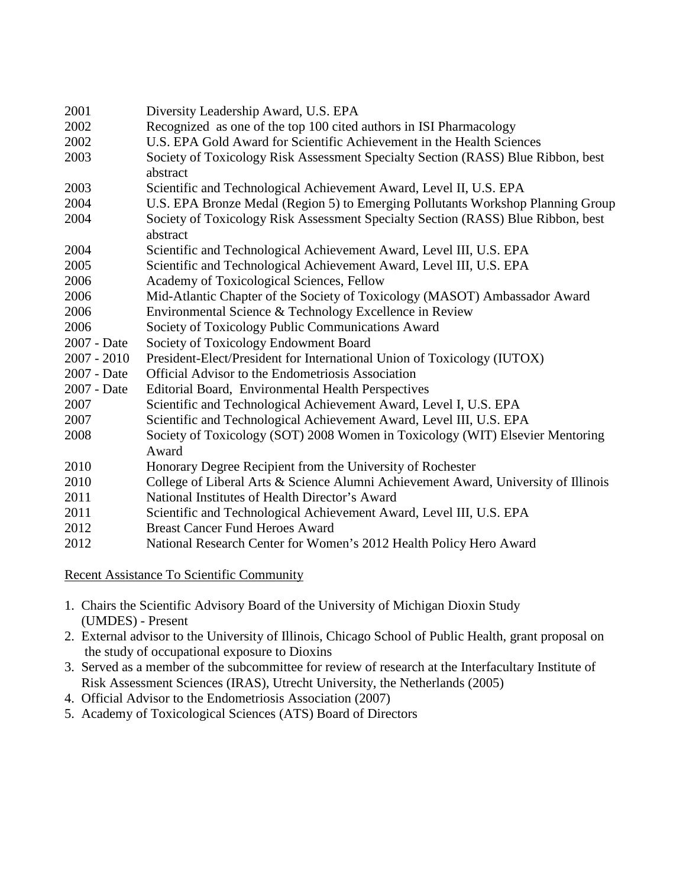| 2001          | Diversity Leadership Award, U.S. EPA                                                         |
|---------------|----------------------------------------------------------------------------------------------|
| 2002          | Recognized as one of the top 100 cited authors in ISI Pharmacology                           |
| 2002          | U.S. EPA Gold Award for Scientific Achievement in the Health Sciences                        |
| 2003          | Society of Toxicology Risk Assessment Specialty Section (RASS) Blue Ribbon, best<br>abstract |
| 2003          | Scientific and Technological Achievement Award, Level II, U.S. EPA                           |
| 2004          | U.S. EPA Bronze Medal (Region 5) to Emerging Pollutants Workshop Planning Group              |
| 2004          | Society of Toxicology Risk Assessment Specialty Section (RASS) Blue Ribbon, best<br>abstract |
| 2004          | Scientific and Technological Achievement Award, Level III, U.S. EPA                          |
| 2005          | Scientific and Technological Achievement Award, Level III, U.S. EPA                          |
| 2006          | Academy of Toxicological Sciences, Fellow                                                    |
| 2006          | Mid-Atlantic Chapter of the Society of Toxicology (MASOT) Ambassador Award                   |
| 2006          | Environmental Science & Technology Excellence in Review                                      |
| 2006          | Society of Toxicology Public Communications Award                                            |
| 2007 - Date   | Society of Toxicology Endowment Board                                                        |
| $2007 - 2010$ | President-Elect/President for International Union of Toxicology (IUTOX)                      |
| 2007 - Date   | <b>Official Advisor to the Endometriosis Association</b>                                     |
| 2007 - Date   | Editorial Board, Environmental Health Perspectives                                           |
| 2007          | Scientific and Technological Achievement Award, Level I, U.S. EPA                            |
| 2007          | Scientific and Technological Achievement Award, Level III, U.S. EPA                          |
| 2008          | Society of Toxicology (SOT) 2008 Women in Toxicology (WIT) Elsevier Mentoring                |
|               | Award                                                                                        |
| 2010          | Honorary Degree Recipient from the University of Rochester                                   |
| 2010          | College of Liberal Arts & Science Alumni Achievement Award, University of Illinois           |
| 2011          | National Institutes of Health Director's Award                                               |
| 2011          | Scientific and Technological Achievement Award, Level III, U.S. EPA                          |
| 2012          | <b>Breast Cancer Fund Heroes Award</b>                                                       |
| 2012          | National Research Center for Women's 2012 Health Policy Hero Award                           |

Recent Assistance To Scientific Community

- 1. Chairs the Scientific Advisory Board of the University of Michigan Dioxin Study (UMDES) - Present
- 2. External advisor to the University of Illinois, Chicago School of Public Health, grant proposal on the study of occupational exposure to Dioxins
- 3. Served as a member of the subcommittee for review of research at the Interfacultary Institute of Risk Assessment Sciences (IRAS), Utrecht University, the Netherlands (2005)
- 4. Official Advisor to the Endometriosis Association (2007)
- 5. Academy of Toxicological Sciences (ATS) Board of Directors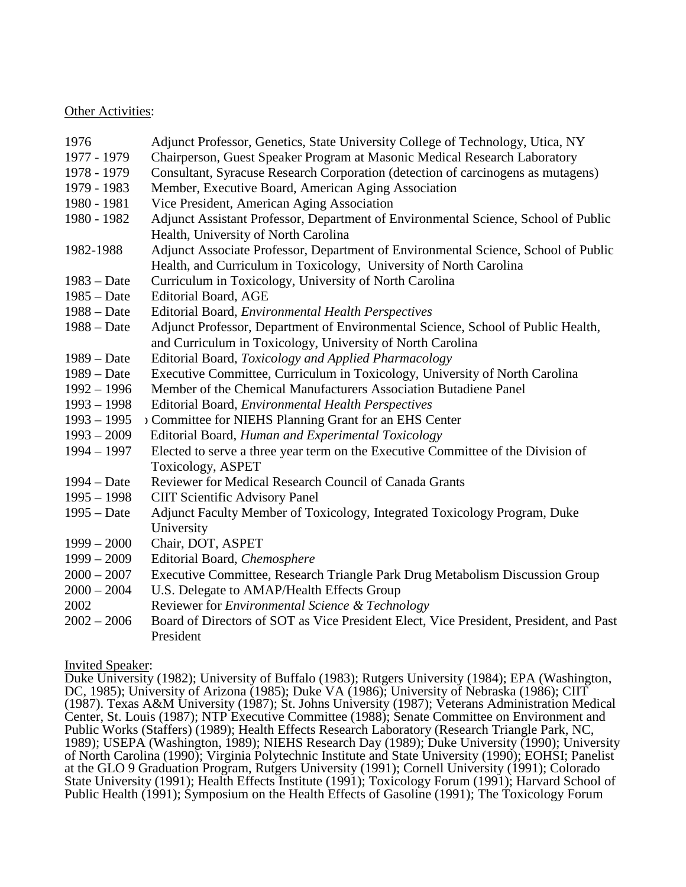### Other Activities:

| 1976          | Adjunct Professor, Genetics, State University College of Technology, Utica, NY                                             |
|---------------|----------------------------------------------------------------------------------------------------------------------------|
| 1977 - 1979   | Chairperson, Guest Speaker Program at Masonic Medical Research Laboratory                                                  |
| 1978 - 1979   | Consultant, Syracuse Research Corporation (detection of carcinogens as mutagens)                                           |
| 1979 - 1983   | Member, Executive Board, American Aging Association                                                                        |
| 1980 - 1981   | Vice President, American Aging Association                                                                                 |
| 1980 - 1982   | Adjunct Assistant Professor, Department of Environmental Science, School of Public<br>Health, University of North Carolina |
| 1982-1988     | Adjunct Associate Professor, Department of Environmental Science, School of Public                                         |
|               | Health, and Curriculum in Toxicology, University of North Carolina                                                         |
| $1983 - Date$ | Curriculum in Toxicology, University of North Carolina                                                                     |
| $1985 - Date$ | <b>Editorial Board, AGE</b>                                                                                                |
| $1988 - Date$ | Editorial Board, <i>Environmental Health Perspectives</i>                                                                  |
| $1988 - Date$ | Adjunct Professor, Department of Environmental Science, School of Public Health,                                           |
|               | and Curriculum in Toxicology, University of North Carolina                                                                 |
| $1989 - Date$ | Editorial Board, Toxicology and Applied Pharmacology                                                                       |
| $1989 - Date$ | Executive Committee, Curriculum in Toxicology, University of North Carolina                                                |
| $1992 - 1996$ | Member of the Chemical Manufacturers Association Butadiene Panel                                                           |
| $1993 - 1998$ | Editorial Board, Environmental Health Perspectives                                                                         |
| $1993 - 1995$ | > Committee for NIEHS Planning Grant for an EHS Center                                                                     |
| $1993 - 2009$ | Editorial Board, Human and Experimental Toxicology                                                                         |
| $1994 - 1997$ | Elected to serve a three year term on the Executive Committee of the Division of                                           |
|               | Toxicology, ASPET                                                                                                          |
| $1994 - Date$ | Reviewer for Medical Research Council of Canada Grants                                                                     |
| $1995 - 1998$ | <b>CIIT Scientific Advisory Panel</b>                                                                                      |
| $1995 - Date$ | Adjunct Faculty Member of Toxicology, Integrated Toxicology Program, Duke                                                  |
|               | University                                                                                                                 |
| $1999 - 2000$ | Chair, DOT, ASPET                                                                                                          |
| $1999 - 2009$ | Editorial Board, Chemosphere                                                                                               |
| $2000 - 2007$ | Executive Committee, Research Triangle Park Drug Metabolism Discussion Group                                               |
| $2000 - 2004$ | U.S. Delegate to AMAP/Health Effects Group                                                                                 |
| 2002          | Reviewer for <i>Environmental Science &amp; Technology</i>                                                                 |
| $2002 - 2006$ | Board of Directors of SOT as Vice President Elect, Vice President, President, and Past                                     |
|               | President                                                                                                                  |

#### Invited Speaker:

Duke University (1982); University of Buffalo (1983); Rutgers University (1984); EPA (Washington, DC, 1985); University of Arizona (1985); Duke VA (1986); University of Nebraska (1986); CIIT (1987). Texas A&M University (1987); St. Johns University (1987); Veterans Administration Medical Center, St. Louis (1987); NTP Executive Committee (1988); Senate Committee on Environment and Public Works (Staffers) (1989); Health Effects Research Laboratory (Research Triangle Park, NC, 1989); USEPA (Washington, 1989); NIEHS Research Day (1989); Duke University (1990); University of North Carolina (1990); Virginia Polytechnic Institute and State University (1990); EOHSI; Panelist at the GLO 9 Graduation Program, Rutgers University (1991); Cornell University (1991); Colorado State University (1991); Health Effects Institute (1991); Toxicology Forum (1991); Harvard School of Public Health (1991); Symposium on the Health Effects of Gasoline (1991); The Toxicology Forum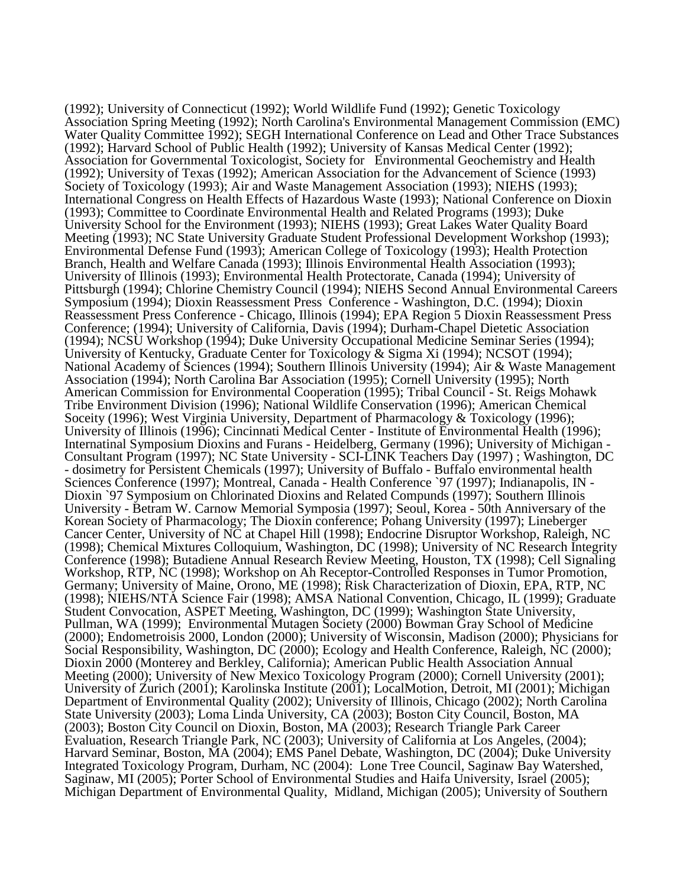(1992); University of Connecticut (1992); World Wildlife Fund (1992); Genetic Toxicology Association Spring Meeting (1992); North Carolina's Environmental Management Commission (EMC) Water Quality Committee 1992); SEGH International Conference on Lead and Other Trace Substances (1992); Harvard School of Public Health (1992); University of Kansas Medical Center (1992); Association for Governmental Toxicologist, Society for Environmental Geochemistry and Health (1992); University of Texas (1992); American Association for the Advancement of Science (1993) Society of Toxicology (1993); Air and Waste Management Association (1993); NIEHS (1993); International Congress on Health Effects of Hazardous Waste (1993); National Conference on Dioxin (1993); Committee to Coordinate Environmental Health and Related Programs (1993); Duke University School for the Environment (1993); NIEHS (1993); Great Lakes Water Quality Board Meeting (1993); NC State University Graduate Student Professional Development Workshop (1993); Environmental Defense Fund (1993); American College of Toxicology (1993); Health Protection Branch, Health and Welfare Canada (1993); Illinois Environmental Health Association (1993); University of Illinois (1993); Environmental Health Protectorate, Canada (1994); University of Pittsburgh (1994); Chlorine Chemistry Council (1994); NIEHS Second Annual Environmental Careers Symposium (1994); Dioxin Reassessment Press Conference - Washington, D.C. (1994); Dioxin Reassessment Press Conference - Chicago, Illinois (1994); EPA Region 5 Dioxin Reassessment Press Conference; (1994); University of California, Davis (1994); Durham-Chapel Dietetic Association (1994); NCSU Workshop (1994); Duke University Occupational Medicine Seminar Series (1994); University of Kentucky, Graduate Center for Toxicology & Sigma Xi (1994); NCSOT (1994); National Academy of Sciences (1994); Southern Illinois University (1994); Air & Waste Management Association (1994); North Carolina Bar Association (1995); Cornell University (1995); North American Commission for Environmental Cooperation (1995); Tribal Council - St. Reigs Mohawk Tribe Environment Division (1996); National Wildlife Conservation (1996); American Chemical Soceity (1996); West Virginia University, Department of Pharmacology & Toxicology (1996); University of Illinois (1996); Cincinnati Medical Center - Institute of Environmental Health (1996); Internatinal Symposium Dioxins and Furans - Heidelberg, Germany (1996); University of Michigan -Consultant Program (1997); NC State University - SCI-LINK Teachers Day (1997); Washington, DC<br>- dosimetry for Persistent Chemicals (1997); University of Buffalo - Buffalo environmental health<br>Sciences Conference (1997); Mo Dioxin `97 Symposium on Chlorinated Dioxins and Related Compunds (1997); Southern Illinois University - Betram W. Carnow Memorial Symposia (1997); Seoul, Korea - 50th Anniversary of the Korean Society of Pharmacology; The Dioxin conference; Pohang University (1997); Lineberger Cancer Center, University of NC at Chapel Hill (1998); Endocrine Disruptor Workshop, Raleigh, NC (1998); Chemical Mixtures Colloquium, Washington, DC (1998); University of NC Research Integrity Conference (1998); Butadiene Annual Research Review Meeting, Houston, TX (1998); Cell Signaling Workshop, RTP, NC (1998); Workshop on Ah Receptor-Controlled Responses in Tumor Promotion, Germany; University of Maine, Orono, ME (1998); Risk Characterization of Dioxin, EPA, RTP, NC (1998); NIEHS/NTA Science Fair (1998); AMSA National Convention, Chicago, IL (1999); Graduate Student Convocation, ASPET Meeting, Washington, DC (1999); Washington State University, Pullman, WA (1999); Environmental Mutagen Society (2000) Bowman Gray School of Medicine (2000); Endometroisis 2000, London (2000); University of Wisconsin, Madison (2000); Physicians for Social Responsibility, Washington, DC (2000); Ecology and Health Conference, Raleigh, NC (2000); Dioxin 2000 (Monterey and Berkley, California); American Public Health Association Annual Meeting (2000); University of New Mexico Toxicology Program (2000); Cornell University (2001); University of Zurich (2001); Karolinska Institute (2001); LocalMotion, Detroit, MI (2001); Michigan Department of Environmental Quality (2002); University of Illinois, Chicago (2002); North Carolina State University (2003); Loma Linda University, CA (2003); Boston City Council, Boston, MA (2003); Boston City Council on Dioxin, Boston, MA (2003); Research Triangle Park Career Evaluation, Research Triangle Park, NC (2003); University of California at Los Angeles, (2004); Harvard Seminar, Boston, MA (2004); EMS Panel Debate, Washington, DC (2004); Duke University Integrated Toxicology Program, Durham, NC (2004): Lone Tree Council, Saginaw Bay Watershed, Saginaw, MI (2005); Porter School of Environmental Studies and Haifa University, Israel (2005); Michigan Department of Environmental Quality, Midland, Michigan (2005); University of Southern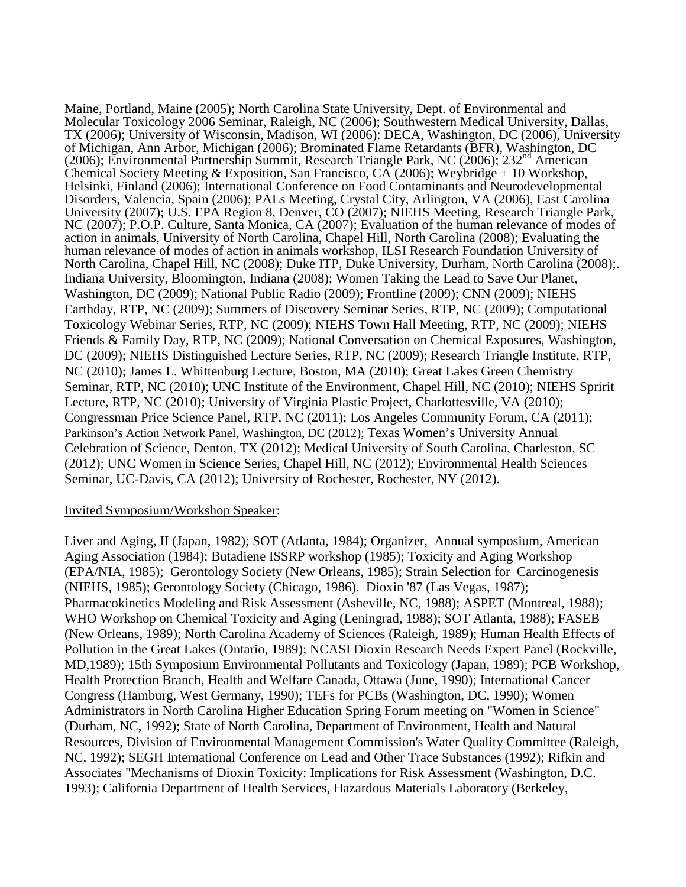Maine, Portland, Maine (2005); North Carolina State University, Dept. of Environmental and Molecular Toxicology 2006 Seminar, Raleigh, NC (2006); Southwestern Medical University, Dallas, TX (2006); University of Wisconsin, Madison, WI (2006): DECA, Washington, DC (2006), University of Michigan, Ann Arbor, Michigan (2006); Brominated Flame Retardants (BFR), Washington, DC (2006); Environmental Partnership Summit, Research Triangle Park, NC (2006); 232nd American Chemical Society Meeting & Exposition, San Francisco, CA (2006); Weybridge + 10 Workshop, Helsinki, Finland (2006); International Conference on Food Contaminants and Neurodevelopmental Disorders, Valencia, Spain (2006); PALs Meeting, Crystal City, Arlington, VA (2006), East Carolina University (2007); U.S. EPA Region 8, Denver, CO (2007); NIEHS Meeting, Research Triangle Park, NC (2007); P.O.P. Culture, Santa Monica, CA (2007); Evaluation of the human relevance of modes of action in animals, University of North Carolina, Chapel Hill, North Carolina (2008); Evaluating the human relevance of modes of action in animals workshop, ILSI Research Foundation University of North Carolina, Chapel Hill, NC (2008); Duke ITP, Duke University, Durham, North Carolina (2008);. Indiana University, Bloomington, Indiana (2008); Women Taking the Lead to Save Our Planet, Washington, DC (2009); National Public Radio (2009); Frontline (2009); CNN (2009); NIEHS Earthday, RTP, NC (2009); Summers of Discovery Seminar Series, RTP, NC (2009); Computational Toxicology Webinar Series, RTP, NC (2009); NIEHS Town Hall Meeting, RTP, NC (2009); NIEHS Friends & Family Day, RTP, NC (2009); National Conversation on Chemical Exposures, Washington, DC (2009); NIEHS Distinguished Lecture Series, RTP, NC (2009); Research Triangle Institute, RTP, NC (2010); James L. Whittenburg Lecture, Boston, MA (2010); Great Lakes Green Chemistry Seminar, RTP, NC (2010); UNC Institute of the Environment, Chapel Hill, NC (2010); NIEHS Spririt Lecture, RTP, NC (2010); University of Virginia Plastic Project, Charlottesville, VA (2010); Congressman Price Science Panel, RTP, NC (2011); Los Angeles Community Forum, CA (2011); Parkinson's Action Network Panel, Washington, DC (2012); Texas Women's University Annual Celebration of Science, Denton, TX (2012); Medical University of South Carolina, Charleston, SC (2012); UNC Women in Science Series, Chapel Hill, NC (2012); Environmental Health Sciences Seminar, UC-Davis, CA (2012); University of Rochester, Rochester, NY (2012).

#### Invited Symposium/Workshop Speaker:

Liver and Aging, II (Japan, 1982); SOT (Atlanta, 1984); Organizer, Annual symposium, American Aging Association (1984); Butadiene ISSRP workshop (1985); Toxicity and Aging Workshop (EPA/NIA, 1985); Gerontology Society (New Orleans, 1985); Strain Selection for Carcinogenesis (NIEHS, 1985); Gerontology Society (Chicago, 1986). Dioxin '87 (Las Vegas, 1987); Pharmacokinetics Modeling and Risk Assessment (Asheville, NC, 1988); ASPET (Montreal, 1988); WHO Workshop on Chemical Toxicity and Aging (Leningrad, 1988); SOT Atlanta, 1988); FASEB (New Orleans, 1989); North Carolina Academy of Sciences (Raleigh, 1989); Human Health Effects of Pollution in the Great Lakes (Ontario, 1989); NCASI Dioxin Research Needs Expert Panel (Rockville, MD,1989); 15th Symposium Environmental Pollutants and Toxicology (Japan, 1989); PCB Workshop, Health Protection Branch, Health and Welfare Canada, Ottawa (June, 1990); International Cancer Congress (Hamburg, West Germany, 1990); TEFs for PCBs (Washington, DC, 1990); Women Administrators in North Carolina Higher Education Spring Forum meeting on "Women in Science" (Durham, NC, 1992); State of North Carolina, Department of Environment, Health and Natural Resources, Division of Environmental Management Commission's Water Quality Committee (Raleigh, NC, 1992); SEGH International Conference on Lead and Other Trace Substances (1992); Rifkin and Associates "Mechanisms of Dioxin Toxicity: Implications for Risk Assessment (Washington, D.C. 1993); California Department of Health Services, Hazardous Materials Laboratory (Berkeley,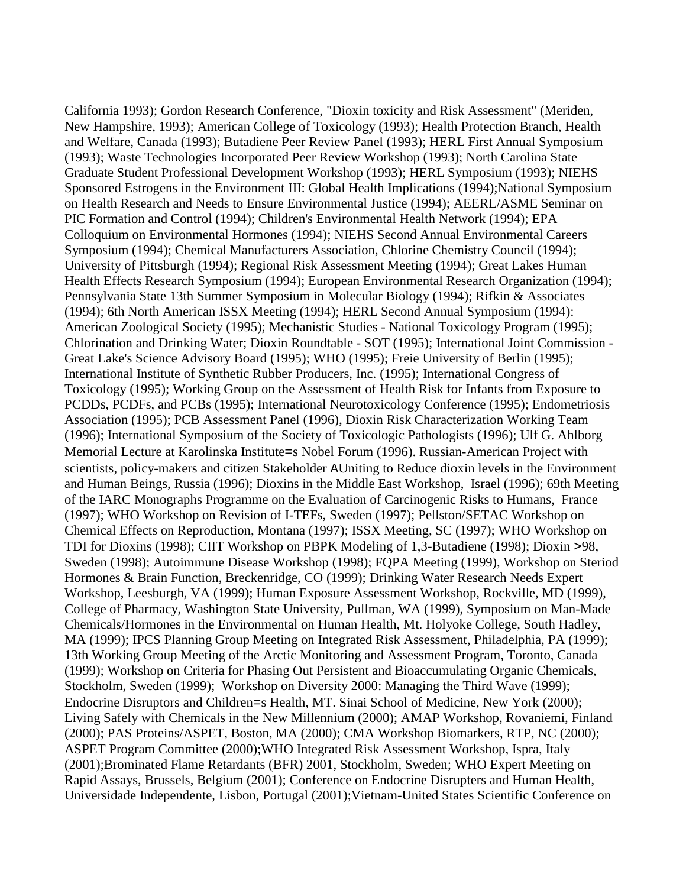California 1993); Gordon Research Conference, "Dioxin toxicity and Risk Assessment" (Meriden, New Hampshire, 1993); American College of Toxicology (1993); Health Protection Branch, Health and Welfare, Canada (1993); Butadiene Peer Review Panel (1993); HERL First Annual Symposium (1993); Waste Technologies Incorporated Peer Review Workshop (1993); North Carolina State Graduate Student Professional Development Workshop (1993); HERL Symposium (1993); NIEHS Sponsored Estrogens in the Environment III: Global Health Implications (1994);National Symposium on Health Research and Needs to Ensure Environmental Justice (1994); AEERL/ASME Seminar on PIC Formation and Control (1994); Children's Environmental Health Network (1994); EPA Colloquium on Environmental Hormones (1994); NIEHS Second Annual Environmental Careers Symposium (1994); Chemical Manufacturers Association, Chlorine Chemistry Council (1994); University of Pittsburgh (1994); Regional Risk Assessment Meeting (1994); Great Lakes Human Health Effects Research Symposium (1994); European Environmental Research Organization (1994); Pennsylvania State 13th Summer Symposium in Molecular Biology (1994); Rifkin & Associates (1994); 6th North American ISSX Meeting (1994); HERL Second Annual Symposium (1994): American Zoological Society (1995); Mechanistic Studies - National Toxicology Program (1995); Chlorination and Drinking Water; Dioxin Roundtable - SOT (1995); International Joint Commission - Great Lake's Science Advisory Board (1995); WHO (1995); Freie University of Berlin (1995); International Institute of Synthetic Rubber Producers, Inc. (1995); International Congress of Toxicology (1995); Working Group on the Assessment of Health Risk for Infants from Exposure to PCDDs, PCDFs, and PCBs (1995); International Neurotoxicology Conference (1995); Endometriosis Association (1995); PCB Assessment Panel (1996), Dioxin Risk Characterization Working Team (1996); International Symposium of the Society of Toxicologic Pathologists (1996); Ulf G. Ahlborg Memorial Lecture at Karolinska Institute=s Nobel Forum (1996). Russian-American Project with scientists, policy-makers and citizen Stakeholder AUniting to Reduce dioxin levels in the Environment and Human Beings, Russia (1996); Dioxins in the Middle East Workshop, Israel (1996); 69th Meeting of the IARC Monographs Programme on the Evaluation of Carcinogenic Risks to Humans, France (1997); WHO Workshop on Revision of I-TEFs, Sweden (1997); Pellston/SETAC Workshop on Chemical Effects on Reproduction, Montana (1997); ISSX Meeting, SC (1997); WHO Workshop on TDI for Dioxins (1998); CIIT Workshop on PBPK Modeling of 1,3-Butadiene (1998); Dioxin >98, Sweden (1998); Autoimmune Disease Workshop (1998); FQPA Meeting (1999), Workshop on Steriod Hormones & Brain Function, Breckenridge, CO (1999); Drinking Water Research Needs Expert Workshop, Leesburgh, VA (1999); Human Exposure Assessment Workshop, Rockville, MD (1999), College of Pharmacy, Washington State University, Pullman, WA (1999), Symposium on Man-Made Chemicals/Hormones in the Environmental on Human Health, Mt. Holyoke College, South Hadley, MA (1999); IPCS Planning Group Meeting on Integrated Risk Assessment, Philadelphia, PA (1999); 13th Working Group Meeting of the Arctic Monitoring and Assessment Program, Toronto, Canada (1999); Workshop on Criteria for Phasing Out Persistent and Bioaccumulating Organic Chemicals, Stockholm, Sweden (1999); Workshop on Diversity 2000: Managing the Third Wave (1999); Endocrine Disruptors and Children=s Health, MT. Sinai School of Medicine, New York (2000); Living Safely with Chemicals in the New Millennium (2000); AMAP Workshop, Rovaniemi, Finland (2000); PAS Proteins/ASPET, Boston, MA (2000); CMA Workshop Biomarkers, RTP, NC (2000); ASPET Program Committee (2000);WHO Integrated Risk Assessment Workshop, Ispra, Italy (2001);Brominated Flame Retardants (BFR) 2001, Stockholm, Sweden; WHO Expert Meeting on Rapid Assays, Brussels, Belgium (2001); Conference on Endocrine Disrupters and Human Health, Universidade Independente, Lisbon, Portugal (2001);Vietnam-United States Scientific Conference on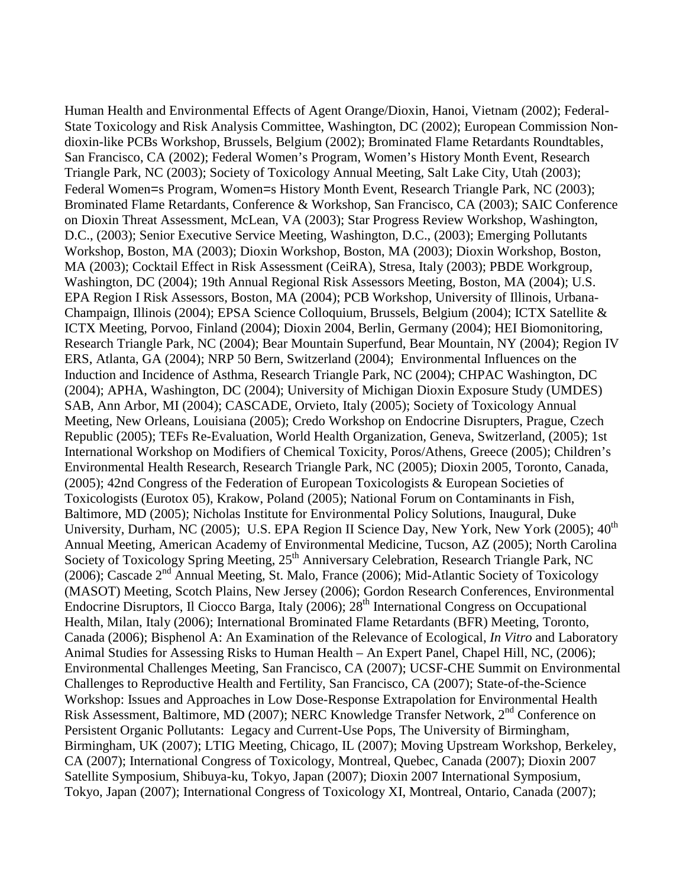Human Health and Environmental Effects of Agent Orange/Dioxin, Hanoi, Vietnam (2002); Federal-State Toxicology and Risk Analysis Committee, Washington, DC (2002); European Commission Nondioxin-like PCBs Workshop, Brussels, Belgium (2002); Brominated Flame Retardants Roundtables, San Francisco, CA (2002); Federal Women's Program, Women's History Month Event, Research Triangle Park, NC (2003); Society of Toxicology Annual Meeting, Salt Lake City, Utah (2003); Federal Women=s Program, Women=s History Month Event, Research Triangle Park, NC (2003); Brominated Flame Retardants, Conference & Workshop, San Francisco, CA (2003); SAIC Conference on Dioxin Threat Assessment, McLean, VA (2003); Star Progress Review Workshop, Washington, D.C., (2003); Senior Executive Service Meeting, Washington, D.C., (2003); Emerging Pollutants Workshop, Boston, MA (2003); Dioxin Workshop, Boston, MA (2003); Dioxin Workshop, Boston, MA (2003); Cocktail Effect in Risk Assessment (CeiRA), Stresa, Italy (2003); PBDE Workgroup, Washington, DC (2004); 19th Annual Regional Risk Assessors Meeting, Boston, MA (2004); U.S. EPA Region I Risk Assessors, Boston, MA (2004); PCB Workshop, University of Illinois, Urbana-Champaign, Illinois (2004); EPSA Science Colloquium, Brussels, Belgium (2004); ICTX Satellite & ICTX Meeting, Porvoo, Finland (2004); Dioxin 2004, Berlin, Germany (2004); HEI Biomonitoring, Research Triangle Park, NC (2004); Bear Mountain Superfund, Bear Mountain, NY (2004); Region IV ERS, Atlanta, GA (2004); NRP 50 Bern, Switzerland (2004); Environmental Influences on the Induction and Incidence of Asthma, Research Triangle Park, NC (2004); CHPAC Washington, DC (2004); APHA, Washington, DC (2004); University of Michigan Dioxin Exposure Study (UMDES) SAB, Ann Arbor, MI (2004); CASCADE, Orvieto, Italy (2005); Society of Toxicology Annual Meeting, New Orleans, Louisiana (2005); Credo Workshop on Endocrine Disrupters, Prague, Czech Republic (2005); TEFs Re-Evaluation, World Health Organization, Geneva, Switzerland, (2005); 1st International Workshop on Modifiers of Chemical Toxicity, Poros/Athens, Greece (2005); Children's Environmental Health Research, Research Triangle Park, NC (2005); Dioxin 2005, Toronto, Canada, (2005); 42nd Congress of the Federation of European Toxicologists & European Societies of Toxicologists (Eurotox 05), Krakow, Poland (2005); National Forum on Contaminants in Fish, Baltimore, MD (2005); Nicholas Institute for Environmental Policy Solutions, Inaugural, Duke University, Durham, NC (2005); U.S. EPA Region II Science Day, New York, New York (2005); 40<sup>th</sup> Annual Meeting, American Academy of Environmental Medicine, Tucson, AZ (2005); North Carolina Society of Toxicology Spring Meeting, 25<sup>th</sup> Anniversary Celebration, Research Triangle Park, NC (2006); Cascade 2nd Annual Meeting, St. Malo, France (2006); Mid-Atlantic Society of Toxicology (MASOT) Meeting, Scotch Plains, New Jersey (2006); Gordon Research Conferences, Environmental Endocrine Disruptors, Il Ciocco Barga, Italy (2006); 28<sup>th</sup> International Congress on Occupational Health, Milan, Italy (2006); International Brominated Flame Retardants (BFR) Meeting, Toronto, Canada (2006); Bisphenol A: An Examination of the Relevance of Ecological, *In Vitro* and Laboratory Animal Studies for Assessing Risks to Human Health – An Expert Panel, Chapel Hill, NC, (2006); Environmental Challenges Meeting, San Francisco, CA (2007); UCSF-CHE Summit on Environmental Challenges to Reproductive Health and Fertility, San Francisco, CA (2007); State-of-the-Science Workshop: Issues and Approaches in Low Dose-Response Extrapolation for Environmental Health Risk Assessment, Baltimore, MD (2007); NERC Knowledge Transfer Network, 2nd Conference on Persistent Organic Pollutants: Legacy and Current-Use Pops, The University of Birmingham, Birmingham, UK (2007); LTIG Meeting, Chicago, IL (2007); Moving Upstream Workshop, Berkeley, CA (2007); International Congress of Toxicology, Montreal, Quebec, Canada (2007); Dioxin 2007 Satellite Symposium, Shibuya-ku, Tokyo, Japan (2007); Dioxin 2007 International Symposium, Tokyo, Japan (2007); International Congress of Toxicology XI, Montreal, Ontario, Canada (2007);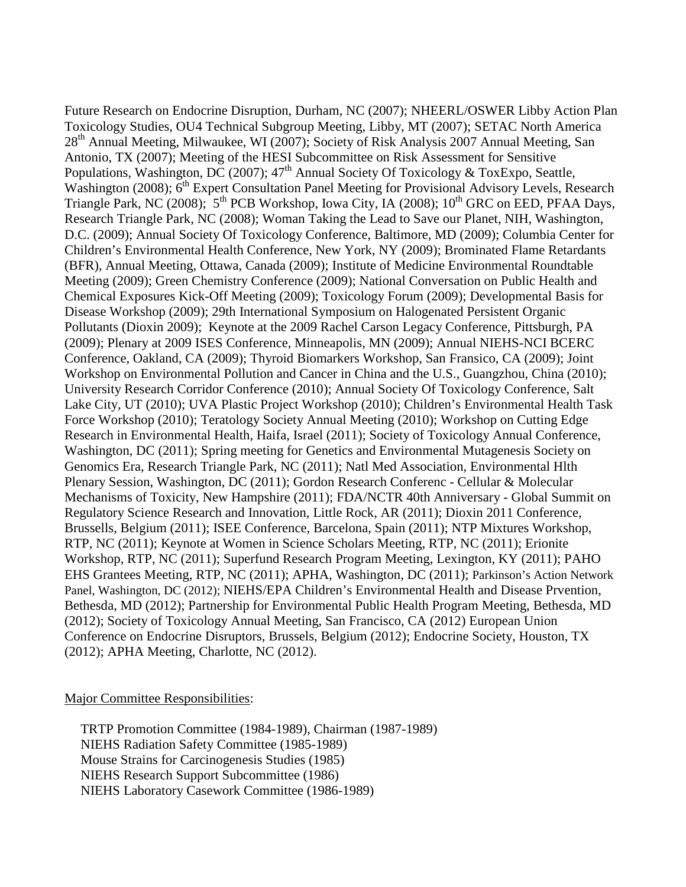Future Research on Endocrine Disruption, Durham, NC (2007); NHEERL/OSWER Libby Action Plan Toxicology Studies, OU4 Technical Subgroup Meeting, Libby, MT (2007); SETAC North America 28<sup>th</sup> Annual Meeting, Milwaukee, WI (2007); Society of Risk Analysis 2007 Annual Meeting, San Antonio, TX (2007); Meeting of the HESI Subcommittee on Risk Assessment for Sensitive Populations, Washington, DC (2007); 47<sup>th</sup> Annual Society Of Toxicology & ToxExpo, Seattle, Washington (2008); 6<sup>th</sup> Expert Consultation Panel Meeting for Provisional Advisory Levels, Research Triangle Park, NC (2008);  $5<sup>th</sup>$  PCB Workshop, Iowa City, IA (2008); 10<sup>th</sup> GRC on EED, PFAA Days, Research Triangle Park, NC (2008); Woman Taking the Lead to Save our Planet, NIH, Washington, D.C. (2009); Annual Society Of Toxicology Conference, Baltimore, MD (2009); Columbia Center for Children's Environmental Health Conference, New York, NY (2009); Brominated Flame Retardants (BFR), Annual Meeting, Ottawa, Canada (2009); Institute of Medicine Environmental Roundtable Meeting (2009); Green Chemistry Conference (2009); National Conversation on Public Health and Chemical Exposures Kick-Off Meeting (2009); Toxicology Forum (2009); Developmental Basis for Disease Workshop (2009); 29th International Symposium on Halogenated Persistent Organic Pollutants (Dioxin 2009); Keynote at the 2009 Rachel Carson Legacy Conference, Pittsburgh, PA (2009); Plenary at 2009 ISES Conference, Minneapolis, MN (2009); Annual NIEHS-NCI BCERC Conference, Oakland, CA (2009); Thyroid Biomarkers Workshop, San Fransico, CA (2009); Joint Workshop on Environmental Pollution and Cancer in China and the U.S., Guangzhou, China (2010); University Research Corridor Conference (2010); Annual Society Of Toxicology Conference, Salt Lake City, UT (2010); UVA Plastic Project Workshop (2010); Children's Environmental Health Task Force Workshop (2010); Teratology Society Annual Meeting (2010); Workshop on Cutting Edge Research in Environmental Health, Haifa, Israel (2011); Society of Toxicology Annual Conference, Washington, DC (2011); Spring meeting for Genetics and Environmental Mutagenesis Society on Genomics Era, Research Triangle Park, NC (2011); Natl Med Association, Environmental Hlth Plenary Session, Washington, DC (2011); Gordon Research Conferenc - Cellular & Molecular Mechanisms of Toxicity, New Hampshire (2011); FDA/NCTR 40th Anniversary - Global Summit on Regulatory Science Research and Innovation, Little Rock, AR (2011); Dioxin 2011 Conference, Brussells, Belgium (2011); ISEE Conference, Barcelona, Spain (2011); NTP Mixtures Workshop, RTP, NC (2011); Keynote at Women in Science Scholars Meeting, RTP, NC (2011); Erionite Workshop, RTP, NC (2011); Superfund Research Program Meeting, Lexington, KY (2011); PAHO EHS Grantees Meeting, RTP, NC (2011); APHA, Washington, DC (2011); Parkinson's Action Network Panel, Washington, DC (2012); NIEHS/EPA Children's Environmental Health and Disease Prvention, Bethesda, MD (2012); Partnership for Environmental Public Health Program Meeting, Bethesda, MD (2012); Society of Toxicology Annual Meeting, San Francisco, CA (2012) European Union Conference on Endocrine Disruptors, Brussels, Belgium (2012); Endocrine Society, Houston, TX (2012); APHA Meeting, Charlotte, NC (2012).

#### Major Committee Responsibilities:

TRTP Promotion Committee (1984-1989), Chairman (1987-1989) NIEHS Radiation Safety Committee (1985-1989) Mouse Strains for Carcinogenesis Studies (1985) NIEHS Research Support Subcommittee (1986) NIEHS Laboratory Casework Committee (1986-1989)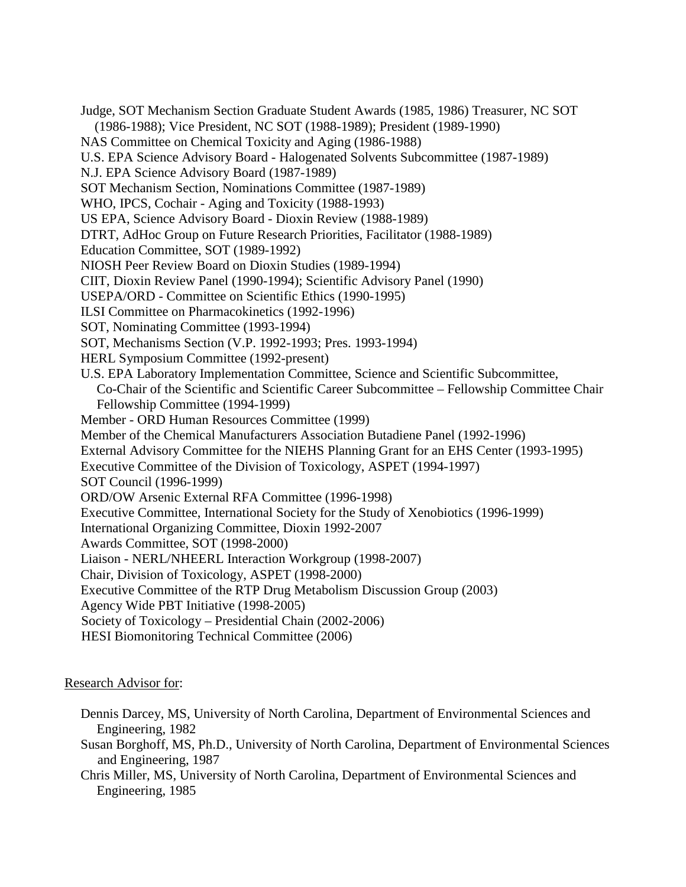Judge, SOT Mechanism Section Graduate Student Awards (1985, 1986) Treasurer, NC SOT (1986-1988); Vice President, NC SOT (1988-1989); President (1989-1990) NAS Committee on Chemical Toxicity and Aging (1986-1988) U.S. EPA Science Advisory Board - Halogenated Solvents Subcommittee (1987-1989) N.J. EPA Science Advisory Board (1987-1989) SOT Mechanism Section, Nominations Committee (1987-1989) WHO, IPCS, Cochair - Aging and Toxicity (1988-1993) US EPA, Science Advisory Board - Dioxin Review (1988-1989) DTRT, AdHoc Group on Future Research Priorities, Facilitator (1988-1989) Education Committee, SOT (1989-1992) NIOSH Peer Review Board on Dioxin Studies (1989-1994) CIIT, Dioxin Review Panel (1990-1994); Scientific Advisory Panel (1990) USEPA/ORD - Committee on Scientific Ethics (1990-1995) ILSI Committee on Pharmacokinetics (1992-1996) SOT, Nominating Committee (1993-1994) SOT, Mechanisms Section (V.P. 1992-1993; Pres. 1993-1994) HERL Symposium Committee (1992-present) U.S. EPA Laboratory Implementation Committee, Science and Scientific Subcommittee, Co-Chair of the Scientific and Scientific Career Subcommittee – Fellowship Committee Chair Fellowship Committee (1994-1999) Member - ORD Human Resources Committee (1999) Member of the Chemical Manufacturers Association Butadiene Panel (1992-1996) External Advisory Committee for the NIEHS Planning Grant for an EHS Center (1993-1995) Executive Committee of the Division of Toxicology, ASPET (1994-1997) SOT Council (1996-1999) ORD/OW Arsenic External RFA Committee (1996-1998) Executive Committee, International Society for the Study of Xenobiotics (1996-1999) International Organizing Committee, Dioxin 1992-2007 Awards Committee, SOT (1998-2000) Liaison - NERL/NHEERL Interaction Workgroup (1998-2007) Chair, Division of Toxicology, ASPET (1998-2000) Executive Committee of the RTP Drug Metabolism Discussion Group (2003) Agency Wide PBT Initiative (1998-2005) Society of Toxicology – Presidential Chain (2002-2006) HESI Biomonitoring Technical Committee (2006)

### Research Advisor for:

- Dennis Darcey, MS, University of North Carolina, Department of Environmental Sciences and Engineering, 1982
- Susan Borghoff, MS, Ph.D., University of North Carolina, Department of Environmental Sciences and Engineering, 1987
- Chris Miller, MS, University of North Carolina, Department of Environmental Sciences and Engineering, 1985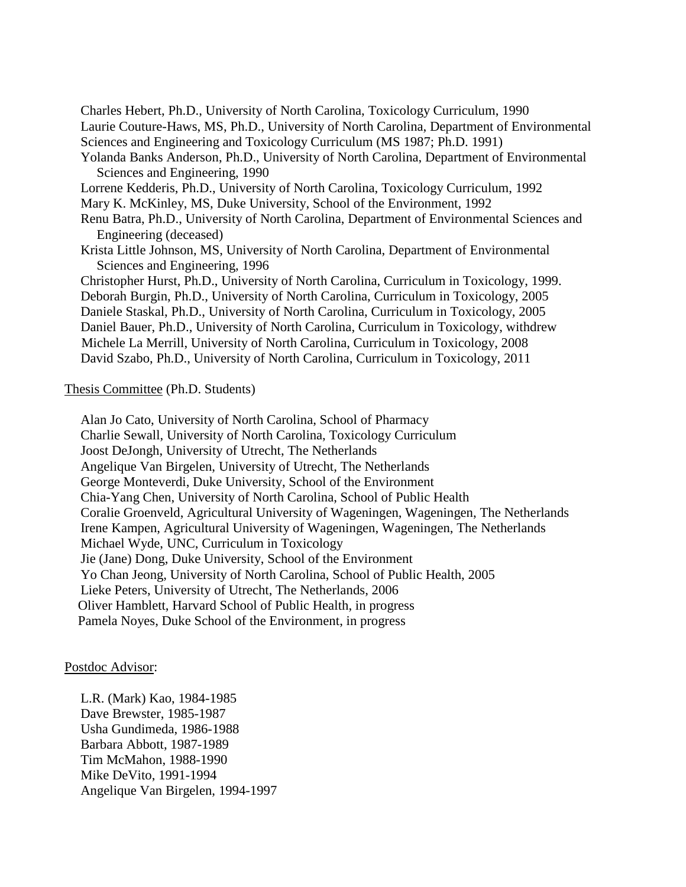Charles Hebert, Ph.D., University of North Carolina, Toxicology Curriculum, 1990 Laurie Couture-Haws, MS, Ph.D., University of North Carolina, Department of Environmental Sciences and Engineering and Toxicology Curriculum (MS 1987; Ph.D. 1991) Yolanda Banks Anderson, Ph.D., University of North Carolina, Department of Environmental Sciences and Engineering, 1990 Lorrene Kedderis, Ph.D., University of North Carolina, Toxicology Curriculum, 1992 Mary K. McKinley, MS, Duke University, School of the Environment, 1992 Renu Batra, Ph.D., University of North Carolina, Department of Environmental Sciences and Engineering (deceased) Krista Little Johnson, MS, University of North Carolina, Department of Environmental Sciences and Engineering, 1996 Christopher Hurst, Ph.D., University of North Carolina, Curriculum in Toxicology, 1999. Deborah Burgin, Ph.D., University of North Carolina, Curriculum in Toxicology, 2005 Daniele Staskal, Ph.D., University of North Carolina, Curriculum in Toxicology, 2005 Daniel Bauer, Ph.D., University of North Carolina, Curriculum in Toxicology, withdrew Michele La Merrill, University of North Carolina, Curriculum in Toxicology, 2008 David Szabo, Ph.D., University of North Carolina, Curriculum in Toxicology, 2011

#### Thesis Committee (Ph.D. Students)

Alan Jo Cato, University of North Carolina, School of Pharmacy Charlie Sewall, University of North Carolina, Toxicology Curriculum Joost DeJongh, University of Utrecht, The Netherlands Angelique Van Birgelen, University of Utrecht, The Netherlands George Monteverdi, Duke University, School of the Environment Chia-Yang Chen, University of North Carolina, School of Public Health Coralie Groenveld, Agricultural University of Wageningen, Wageningen, The Netherlands Irene Kampen, Agricultural University of Wageningen, Wageningen, The Netherlands Michael Wyde, UNC, Curriculum in Toxicology Jie (Jane) Dong, Duke University, School of the Environment Yo Chan Jeong, University of North Carolina, School of Public Health, 2005 Lieke Peters, University of Utrecht, The Netherlands, 2006 Oliver Hamblett, Harvard School of Public Health, in progress Pamela Noyes, Duke School of the Environment, in progress

#### Postdoc Advisor:

L.R. (Mark) Kao, 1984-1985 Dave Brewster, 1985-1987 Usha Gundimeda, 1986-1988 Barbara Abbott, 1987-1989 Tim McMahon, 1988-1990 Mike DeVito, 1991-1994 Angelique Van Birgelen, 1994-1997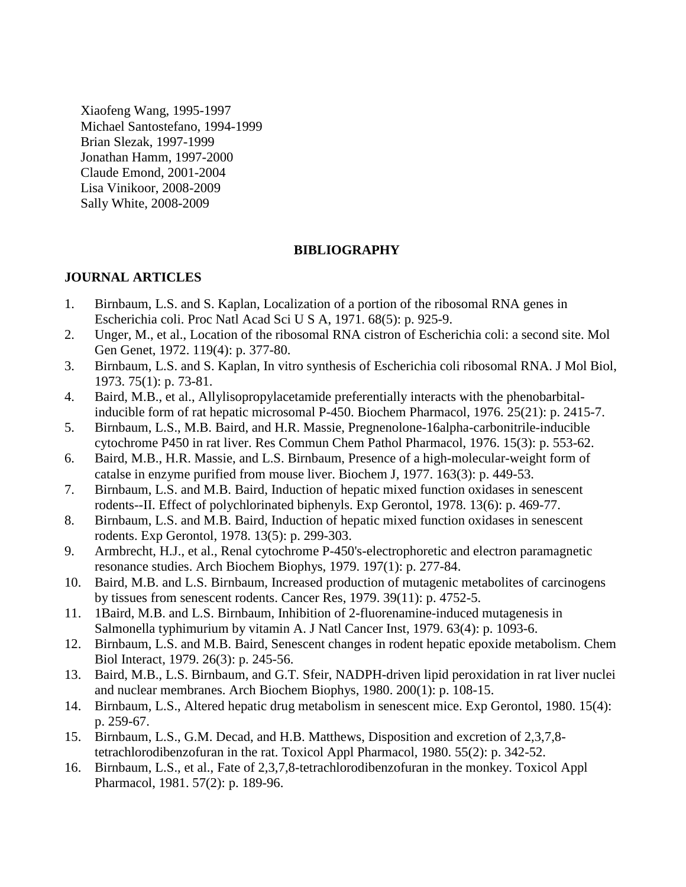Xiaofeng Wang, 1995-1997 Michael Santostefano, 1994-1999 Brian Slezak, 1997-1999 Jonathan Hamm, 1997-2000 Claude Emond, 2001-2004 Lisa Vinikoor, 2008-2009 Sally White, 2008-2009

## **BIBLIOGRAPHY**

### **JOURNAL ARTICLES**

- 1. Birnbaum, L.S. and S. Kaplan, Localization of a portion of the ribosomal RNA genes in Escherichia coli. Proc Natl Acad Sci U S A, 1971. 68(5): p. 925-9.
- 2. Unger, M., et al., Location of the ribosomal RNA cistron of Escherichia coli: a second site. Mol Gen Genet, 1972. 119(4): p. 377-80.
- 3. Birnbaum, L.S. and S. Kaplan, In vitro synthesis of Escherichia coli ribosomal RNA. J Mol Biol, 1973. 75(1): p. 73-81.
- 4. Baird, M.B., et al., Allylisopropylacetamide preferentially interacts with the phenobarbitalinducible form of rat hepatic microsomal P-450. Biochem Pharmacol, 1976. 25(21): p. 2415-7.
- 5. Birnbaum, L.S., M.B. Baird, and H.R. Massie, Pregnenolone-16alpha-carbonitrile-inducible cytochrome P450 in rat liver. Res Commun Chem Pathol Pharmacol, 1976. 15(3): p. 553-62.
- 6. Baird, M.B., H.R. Massie, and L.S. Birnbaum, Presence of a high-molecular-weight form of catalse in enzyme purified from mouse liver. Biochem J, 1977. 163(3): p. 449-53.
- 7. Birnbaum, L.S. and M.B. Baird, Induction of hepatic mixed function oxidases in senescent rodents--II. Effect of polychlorinated biphenyls. Exp Gerontol, 1978. 13(6): p. 469-77.
- 8. Birnbaum, L.S. and M.B. Baird, Induction of hepatic mixed function oxidases in senescent rodents. Exp Gerontol, 1978. 13(5): p. 299-303.
- 9. Armbrecht, H.J., et al., Renal cytochrome P-450's-electrophoretic and electron paramagnetic resonance studies. Arch Biochem Biophys, 1979. 197(1): p. 277-84.
- 10. Baird, M.B. and L.S. Birnbaum, Increased production of mutagenic metabolites of carcinogens by tissues from senescent rodents. Cancer Res, 1979. 39(11): p. 4752-5.
- 11. 1Baird, M.B. and L.S. Birnbaum, Inhibition of 2-fluorenamine-induced mutagenesis in Salmonella typhimurium by vitamin A. J Natl Cancer Inst, 1979. 63(4): p. 1093-6.
- 12. Birnbaum, L.S. and M.B. Baird, Senescent changes in rodent hepatic epoxide metabolism. Chem Biol Interact, 1979. 26(3): p. 245-56.
- 13. Baird, M.B., L.S. Birnbaum, and G.T. Sfeir, NADPH-driven lipid peroxidation in rat liver nuclei and nuclear membranes. Arch Biochem Biophys, 1980. 200(1): p. 108-15.
- 14. Birnbaum, L.S., Altered hepatic drug metabolism in senescent mice. Exp Gerontol, 1980. 15(4): p. 259-67.
- 15. Birnbaum, L.S., G.M. Decad, and H.B. Matthews, Disposition and excretion of 2,3,7,8 tetrachlorodibenzofuran in the rat. Toxicol Appl Pharmacol, 1980. 55(2): p. 342-52.
- 16. Birnbaum, L.S., et al., Fate of 2,3,7,8-tetrachlorodibenzofuran in the monkey. Toxicol Appl Pharmacol, 1981. 57(2): p. 189-96.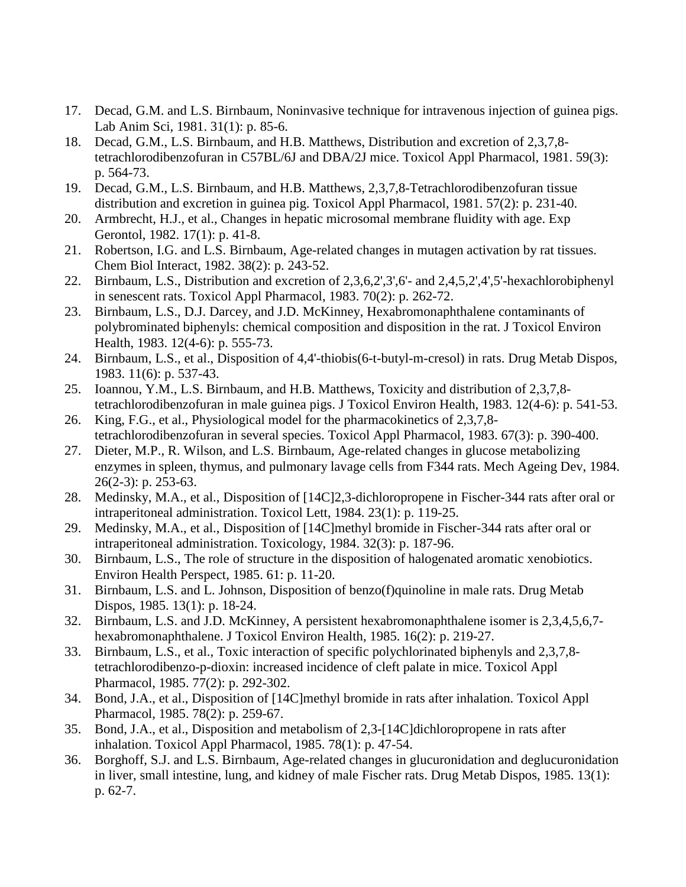- 17. Decad, G.M. and L.S. Birnbaum, Noninvasive technique for intravenous injection of guinea pigs. Lab Anim Sci, 1981. 31(1): p. 85-6.
- 18. Decad, G.M., L.S. Birnbaum, and H.B. Matthews, Distribution and excretion of 2,3,7,8 tetrachlorodibenzofuran in C57BL/6J and DBA/2J mice. Toxicol Appl Pharmacol, 1981. 59(3): p. 564-73.
- 19. Decad, G.M., L.S. Birnbaum, and H.B. Matthews, 2,3,7,8-Tetrachlorodibenzofuran tissue distribution and excretion in guinea pig. Toxicol Appl Pharmacol, 1981. 57(2): p. 231-40.
- 20. Armbrecht, H.J., et al., Changes in hepatic microsomal membrane fluidity with age. Exp Gerontol, 1982. 17(1): p. 41-8.
- 21. Robertson, I.G. and L.S. Birnbaum, Age-related changes in mutagen activation by rat tissues. Chem Biol Interact, 1982. 38(2): p. 243-52.
- 22. Birnbaum, L.S., Distribution and excretion of 2,3,6,2',3',6'- and 2,4,5,2',4',5'-hexachlorobiphenyl in senescent rats. Toxicol Appl Pharmacol, 1983. 70(2): p. 262-72.
- 23. Birnbaum, L.S., D.J. Darcey, and J.D. McKinney, Hexabromonaphthalene contaminants of polybrominated biphenyls: chemical composition and disposition in the rat. J Toxicol Environ Health, 1983. 12(4-6): p. 555-73.
- 24. Birnbaum, L.S., et al., Disposition of 4,4'-thiobis(6-t-butyl-m-cresol) in rats. Drug Metab Dispos, 1983. 11(6): p. 537-43.
- 25. Ioannou, Y.M., L.S. Birnbaum, and H.B. Matthews, Toxicity and distribution of 2,3,7,8 tetrachlorodibenzofuran in male guinea pigs. J Toxicol Environ Health, 1983. 12(4-6): p. 541-53.
- 26. King, F.G., et al., Physiological model for the pharmacokinetics of 2,3,7,8 tetrachlorodibenzofuran in several species. Toxicol Appl Pharmacol, 1983. 67(3): p. 390-400.
- 27. Dieter, M.P., R. Wilson, and L.S. Birnbaum, Age-related changes in glucose metabolizing enzymes in spleen, thymus, and pulmonary lavage cells from F344 rats. Mech Ageing Dev, 1984. 26(2-3): p. 253-63.
- 28. Medinsky, M.A., et al., Disposition of [14C]2,3-dichloropropene in Fischer-344 rats after oral or intraperitoneal administration. Toxicol Lett, 1984. 23(1): p. 119-25.
- 29. Medinsky, M.A., et al., Disposition of [14C]methyl bromide in Fischer-344 rats after oral or intraperitoneal administration. Toxicology, 1984. 32(3): p. 187-96.
- 30. Birnbaum, L.S., The role of structure in the disposition of halogenated aromatic xenobiotics. Environ Health Perspect, 1985. 61: p. 11-20.
- 31. Birnbaum, L.S. and L. Johnson, Disposition of benzo(f)quinoline in male rats. Drug Metab Dispos, 1985. 13(1): p. 18-24.
- 32. Birnbaum, L.S. and J.D. McKinney, A persistent hexabromonaphthalene isomer is 2,3,4,5,6,7 hexabromonaphthalene. J Toxicol Environ Health, 1985. 16(2): p. 219-27.
- 33. Birnbaum, L.S., et al., Toxic interaction of specific polychlorinated biphenyls and 2,3,7,8 tetrachlorodibenzo-p-dioxin: increased incidence of cleft palate in mice. Toxicol Appl Pharmacol, 1985. 77(2): p. 292-302.
- 34. Bond, J.A., et al., Disposition of [14C]methyl bromide in rats after inhalation. Toxicol Appl Pharmacol, 1985. 78(2): p. 259-67.
- 35. Bond, J.A., et al., Disposition and metabolism of 2,3-[14C]dichloropropene in rats after inhalation. Toxicol Appl Pharmacol, 1985. 78(1): p. 47-54.
- 36. Borghoff, S.J. and L.S. Birnbaum, Age-related changes in glucuronidation and deglucuronidation in liver, small intestine, lung, and kidney of male Fischer rats. Drug Metab Dispos, 1985. 13(1): p. 62-7.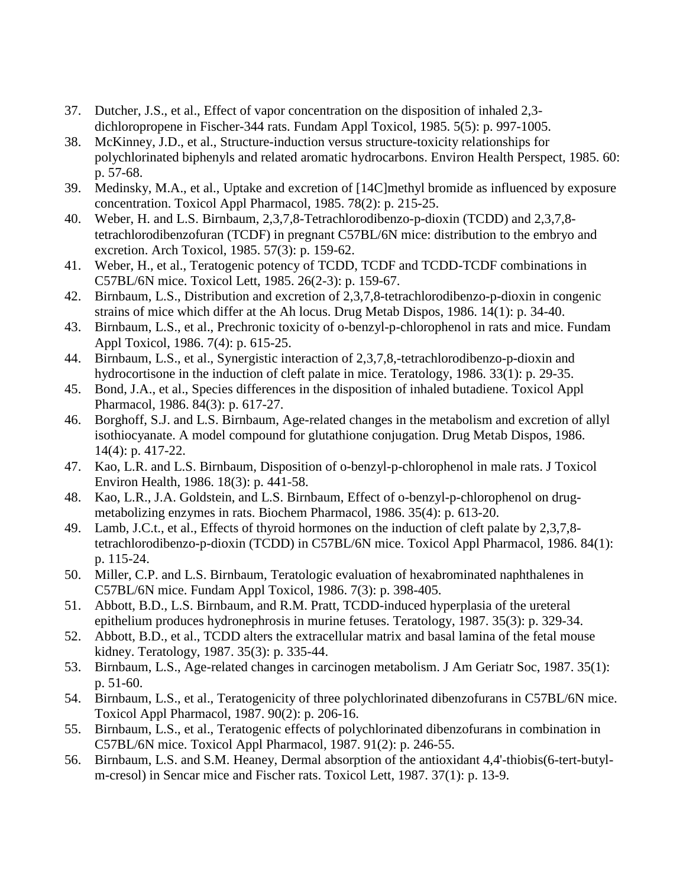- 37. Dutcher, J.S., et al., Effect of vapor concentration on the disposition of inhaled 2,3 dichloropropene in Fischer-344 rats. Fundam Appl Toxicol, 1985. 5(5): p. 997-1005.
- 38. McKinney, J.D., et al., Structure-induction versus structure-toxicity relationships for polychlorinated biphenyls and related aromatic hydrocarbons. Environ Health Perspect, 1985. 60: p. 57-68.
- 39. Medinsky, M.A., et al., Uptake and excretion of [14C]methyl bromide as influenced by exposure concentration. Toxicol Appl Pharmacol, 1985. 78(2): p. 215-25.
- 40. Weber, H. and L.S. Birnbaum, 2,3,7,8-Tetrachlorodibenzo-p-dioxin (TCDD) and 2,3,7,8 tetrachlorodibenzofuran (TCDF) in pregnant C57BL/6N mice: distribution to the embryo and excretion. Arch Toxicol, 1985. 57(3): p. 159-62.
- 41. Weber, H., et al., Teratogenic potency of TCDD, TCDF and TCDD-TCDF combinations in C57BL/6N mice. Toxicol Lett, 1985. 26(2-3): p. 159-67.
- 42. Birnbaum, L.S., Distribution and excretion of 2,3,7,8-tetrachlorodibenzo-p-dioxin in congenic strains of mice which differ at the Ah locus. Drug Metab Dispos, 1986. 14(1): p. 34-40.
- 43. Birnbaum, L.S., et al., Prechronic toxicity of o-benzyl-p-chlorophenol in rats and mice. Fundam Appl Toxicol, 1986. 7(4): p. 615-25.
- 44. Birnbaum, L.S., et al., Synergistic interaction of 2,3,7,8,-tetrachlorodibenzo-p-dioxin and hydrocortisone in the induction of cleft palate in mice. Teratology, 1986. 33(1): p. 29-35.
- 45. Bond, J.A., et al., Species differences in the disposition of inhaled butadiene. Toxicol Appl Pharmacol, 1986. 84(3): p. 617-27.
- 46. Borghoff, S.J. and L.S. Birnbaum, Age-related changes in the metabolism and excretion of allyl isothiocyanate. A model compound for glutathione conjugation. Drug Metab Dispos, 1986. 14(4): p. 417-22.
- 47. Kao, L.R. and L.S. Birnbaum, Disposition of o-benzyl-p-chlorophenol in male rats. J Toxicol Environ Health, 1986. 18(3): p. 441-58.
- 48. Kao, L.R., J.A. Goldstein, and L.S. Birnbaum, Effect of o-benzyl-p-chlorophenol on drugmetabolizing enzymes in rats. Biochem Pharmacol, 1986. 35(4): p. 613-20.
- 49. Lamb, J.C.t., et al., Effects of thyroid hormones on the induction of cleft palate by 2,3,7,8 tetrachlorodibenzo-p-dioxin (TCDD) in C57BL/6N mice. Toxicol Appl Pharmacol, 1986. 84(1): p. 115-24.
- 50. Miller, C.P. and L.S. Birnbaum, Teratologic evaluation of hexabrominated naphthalenes in C57BL/6N mice. Fundam Appl Toxicol, 1986. 7(3): p. 398-405.
- 51. Abbott, B.D., L.S. Birnbaum, and R.M. Pratt, TCDD-induced hyperplasia of the ureteral epithelium produces hydronephrosis in murine fetuses. Teratology, 1987. 35(3): p. 329-34.
- 52. Abbott, B.D., et al., TCDD alters the extracellular matrix and basal lamina of the fetal mouse kidney. Teratology, 1987. 35(3): p. 335-44.
- 53. Birnbaum, L.S., Age-related changes in carcinogen metabolism. J Am Geriatr Soc, 1987. 35(1): p. 51-60.
- 54. Birnbaum, L.S., et al., Teratogenicity of three polychlorinated dibenzofurans in C57BL/6N mice. Toxicol Appl Pharmacol, 1987. 90(2): p. 206-16.
- 55. Birnbaum, L.S., et al., Teratogenic effects of polychlorinated dibenzofurans in combination in C57BL/6N mice. Toxicol Appl Pharmacol, 1987. 91(2): p. 246-55.
- 56. Birnbaum, L.S. and S.M. Heaney, Dermal absorption of the antioxidant 4,4'-thiobis(6-tert-butylm-cresol) in Sencar mice and Fischer rats. Toxicol Lett, 1987. 37(1): p. 13-9.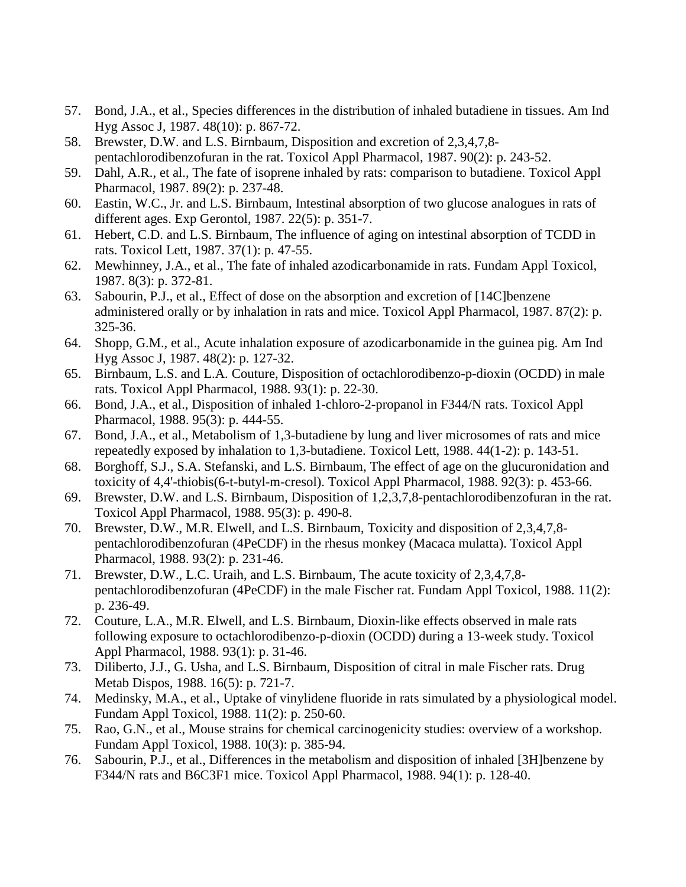- 57. Bond, J.A., et al., Species differences in the distribution of inhaled butadiene in tissues. Am Ind Hyg Assoc J, 1987. 48(10): p. 867-72.
- 58. Brewster, D.W. and L.S. Birnbaum, Disposition and excretion of 2,3,4,7,8 pentachlorodibenzofuran in the rat. Toxicol Appl Pharmacol, 1987. 90(2): p. 243-52.
- 59. Dahl, A.R., et al., The fate of isoprene inhaled by rats: comparison to butadiene. Toxicol Appl Pharmacol, 1987. 89(2): p. 237-48.
- 60. Eastin, W.C., Jr. and L.S. Birnbaum, Intestinal absorption of two glucose analogues in rats of different ages. Exp Gerontol, 1987. 22(5): p. 351-7.
- 61. Hebert, C.D. and L.S. Birnbaum, The influence of aging on intestinal absorption of TCDD in rats. Toxicol Lett, 1987. 37(1): p. 47-55.
- 62. Mewhinney, J.A., et al., The fate of inhaled azodicarbonamide in rats. Fundam Appl Toxicol, 1987. 8(3): p. 372-81.
- 63. Sabourin, P.J., et al., Effect of dose on the absorption and excretion of [14C]benzene administered orally or by inhalation in rats and mice. Toxicol Appl Pharmacol, 1987. 87(2): p. 325-36.
- 64. Shopp, G.M., et al., Acute inhalation exposure of azodicarbonamide in the guinea pig. Am Ind Hyg Assoc J, 1987. 48(2): p. 127-32.
- 65. Birnbaum, L.S. and L.A. Couture, Disposition of octachlorodibenzo-p-dioxin (OCDD) in male rats. Toxicol Appl Pharmacol, 1988. 93(1): p. 22-30.
- 66. Bond, J.A., et al., Disposition of inhaled 1-chloro-2-propanol in F344/N rats. Toxicol Appl Pharmacol, 1988. 95(3): p. 444-55.
- 67. Bond, J.A., et al., Metabolism of 1,3-butadiene by lung and liver microsomes of rats and mice repeatedly exposed by inhalation to 1,3-butadiene. Toxicol Lett, 1988. 44(1-2): p. 143-51.
- 68. Borghoff, S.J., S.A. Stefanski, and L.S. Birnbaum, The effect of age on the glucuronidation and toxicity of 4,4'-thiobis(6-t-butyl-m-cresol). Toxicol Appl Pharmacol, 1988. 92(3): p. 453-66.
- 69. Brewster, D.W. and L.S. Birnbaum, Disposition of 1,2,3,7,8-pentachlorodibenzofuran in the rat. Toxicol Appl Pharmacol, 1988. 95(3): p. 490-8.
- 70. Brewster, D.W., M.R. Elwell, and L.S. Birnbaum, Toxicity and disposition of 2,3,4,7,8 pentachlorodibenzofuran (4PeCDF) in the rhesus monkey (Macaca mulatta). Toxicol Appl Pharmacol, 1988. 93(2): p. 231-46.
- 71. Brewster, D.W., L.C. Uraih, and L.S. Birnbaum, The acute toxicity of 2,3,4,7,8 pentachlorodibenzofuran (4PeCDF) in the male Fischer rat. Fundam Appl Toxicol, 1988. 11(2): p. 236-49.
- 72. Couture, L.A., M.R. Elwell, and L.S. Birnbaum, Dioxin-like effects observed in male rats following exposure to octachlorodibenzo-p-dioxin (OCDD) during a 13-week study. Toxicol Appl Pharmacol, 1988. 93(1): p. 31-46.
- 73. Diliberto, J.J., G. Usha, and L.S. Birnbaum, Disposition of citral in male Fischer rats. Drug Metab Dispos, 1988. 16(5): p. 721-7.
- 74. Medinsky, M.A., et al., Uptake of vinylidene fluoride in rats simulated by a physiological model. Fundam Appl Toxicol, 1988. 11(2): p. 250-60.
- 75. Rao, G.N., et al., Mouse strains for chemical carcinogenicity studies: overview of a workshop. Fundam Appl Toxicol, 1988. 10(3): p. 385-94.
- 76. Sabourin, P.J., et al., Differences in the metabolism and disposition of inhaled [3H]benzene by F344/N rats and B6C3F1 mice. Toxicol Appl Pharmacol, 1988. 94(1): p. 128-40.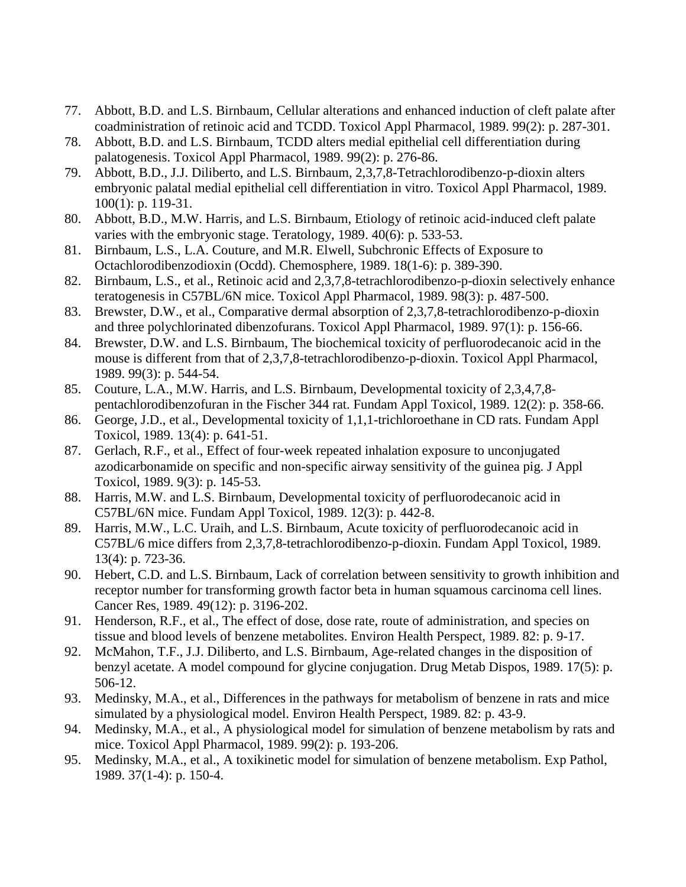- 77. Abbott, B.D. and L.S. Birnbaum, Cellular alterations and enhanced induction of cleft palate after coadministration of retinoic acid and TCDD. Toxicol Appl Pharmacol, 1989. 99(2): p. 287-301.
- 78. Abbott, B.D. and L.S. Birnbaum, TCDD alters medial epithelial cell differentiation during palatogenesis. Toxicol Appl Pharmacol, 1989. 99(2): p. 276-86.
- 79. Abbott, B.D., J.J. Diliberto, and L.S. Birnbaum, 2,3,7,8-Tetrachlorodibenzo-p-dioxin alters embryonic palatal medial epithelial cell differentiation in vitro. Toxicol Appl Pharmacol, 1989. 100(1): p. 119-31.
- 80. Abbott, B.D., M.W. Harris, and L.S. Birnbaum, Etiology of retinoic acid-induced cleft palate varies with the embryonic stage. Teratology, 1989. 40(6): p. 533-53.
- 81. Birnbaum, L.S., L.A. Couture, and M.R. Elwell, Subchronic Effects of Exposure to Octachlorodibenzodioxin (Ocdd). Chemosphere, 1989. 18(1-6): p. 389-390.
- 82. Birnbaum, L.S., et al., Retinoic acid and 2,3,7,8-tetrachlorodibenzo-p-dioxin selectively enhance teratogenesis in C57BL/6N mice. Toxicol Appl Pharmacol, 1989. 98(3): p. 487-500.
- 83. Brewster, D.W., et al., Comparative dermal absorption of 2,3,7,8-tetrachlorodibenzo-p-dioxin and three polychlorinated dibenzofurans. Toxicol Appl Pharmacol, 1989. 97(1): p. 156-66.
- 84. Brewster, D.W. and L.S. Birnbaum, The biochemical toxicity of perfluorodecanoic acid in the mouse is different from that of 2,3,7,8-tetrachlorodibenzo-p-dioxin. Toxicol Appl Pharmacol, 1989. 99(3): p. 544-54.
- 85. Couture, L.A., M.W. Harris, and L.S. Birnbaum, Developmental toxicity of 2,3,4,7,8 pentachlorodibenzofuran in the Fischer 344 rat. Fundam Appl Toxicol, 1989. 12(2): p. 358-66.
- 86. George, J.D., et al., Developmental toxicity of 1,1,1-trichloroethane in CD rats. Fundam Appl Toxicol, 1989. 13(4): p. 641-51.
- 87. Gerlach, R.F., et al., Effect of four-week repeated inhalation exposure to unconjugated azodicarbonamide on specific and non-specific airway sensitivity of the guinea pig. J Appl Toxicol, 1989. 9(3): p. 145-53.
- 88. Harris, M.W. and L.S. Birnbaum, Developmental toxicity of perfluorodecanoic acid in C57BL/6N mice. Fundam Appl Toxicol, 1989. 12(3): p. 442-8.
- 89. Harris, M.W., L.C. Uraih, and L.S. Birnbaum, Acute toxicity of perfluorodecanoic acid in C57BL/6 mice differs from 2,3,7,8-tetrachlorodibenzo-p-dioxin. Fundam Appl Toxicol, 1989. 13(4): p. 723-36.
- 90. Hebert, C.D. and L.S. Birnbaum, Lack of correlation between sensitivity to growth inhibition and receptor number for transforming growth factor beta in human squamous carcinoma cell lines. Cancer Res, 1989. 49(12): p. 3196-202.
- 91. Henderson, R.F., et al., The effect of dose, dose rate, route of administration, and species on tissue and blood levels of benzene metabolites. Environ Health Perspect, 1989. 82: p. 9-17.
- 92. McMahon, T.F., J.J. Diliberto, and L.S. Birnbaum, Age-related changes in the disposition of benzyl acetate. A model compound for glycine conjugation. Drug Metab Dispos, 1989. 17(5): p. 506-12.
- 93. Medinsky, M.A., et al., Differences in the pathways for metabolism of benzene in rats and mice simulated by a physiological model. Environ Health Perspect, 1989. 82: p. 43-9.
- 94. Medinsky, M.A., et al., A physiological model for simulation of benzene metabolism by rats and mice. Toxicol Appl Pharmacol, 1989. 99(2): p. 193-206.
- 95. Medinsky, M.A., et al., A toxikinetic model for simulation of benzene metabolism. Exp Pathol, 1989. 37(1-4): p. 150-4.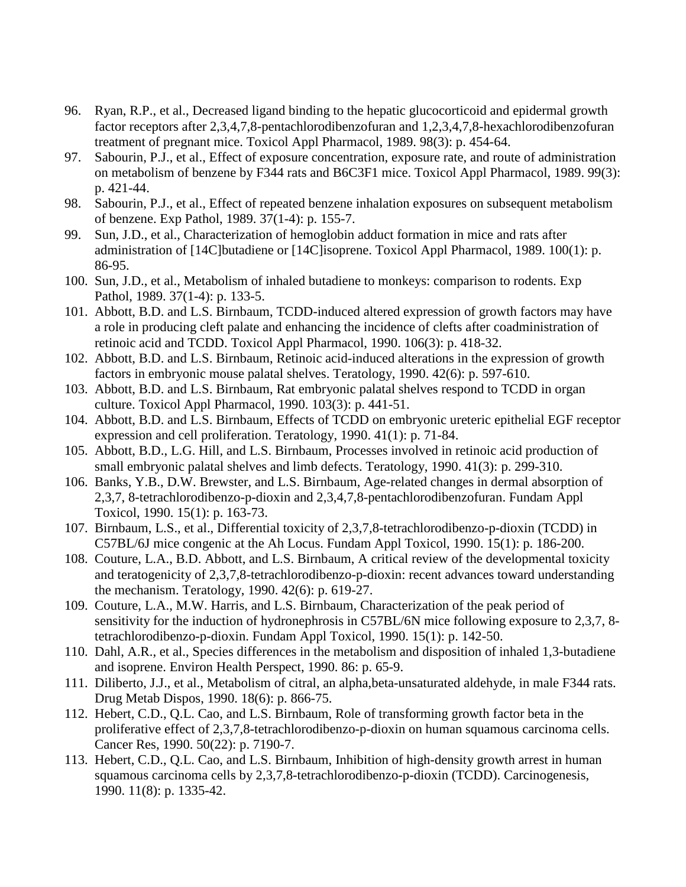- 96. Ryan, R.P., et al., Decreased ligand binding to the hepatic glucocorticoid and epidermal growth factor receptors after 2,3,4,7,8-pentachlorodibenzofuran and 1,2,3,4,7,8-hexachlorodibenzofuran treatment of pregnant mice. Toxicol Appl Pharmacol, 1989. 98(3): p. 454-64.
- 97. Sabourin, P.J., et al., Effect of exposure concentration, exposure rate, and route of administration on metabolism of benzene by F344 rats and B6C3F1 mice. Toxicol Appl Pharmacol, 1989. 99(3): p. 421-44.
- 98. Sabourin, P.J., et al., Effect of repeated benzene inhalation exposures on subsequent metabolism of benzene. Exp Pathol, 1989. 37(1-4): p. 155-7.
- 99. Sun, J.D., et al., Characterization of hemoglobin adduct formation in mice and rats after administration of [14C]butadiene or [14C]isoprene. Toxicol Appl Pharmacol, 1989. 100(1): p. 86-95.
- 100. Sun, J.D., et al., Metabolism of inhaled butadiene to monkeys: comparison to rodents. Exp Pathol, 1989. 37(1-4): p. 133-5.
- 101. Abbott, B.D. and L.S. Birnbaum, TCDD-induced altered expression of growth factors may have a role in producing cleft palate and enhancing the incidence of clefts after coadministration of retinoic acid and TCDD. Toxicol Appl Pharmacol, 1990. 106(3): p. 418-32.
- 102. Abbott, B.D. and L.S. Birnbaum, Retinoic acid-induced alterations in the expression of growth factors in embryonic mouse palatal shelves. Teratology, 1990. 42(6): p. 597-610.
- 103. Abbott, B.D. and L.S. Birnbaum, Rat embryonic palatal shelves respond to TCDD in organ culture. Toxicol Appl Pharmacol, 1990. 103(3): p. 441-51.
- 104. Abbott, B.D. and L.S. Birnbaum, Effects of TCDD on embryonic ureteric epithelial EGF receptor expression and cell proliferation. Teratology, 1990. 41(1): p. 71-84.
- 105. Abbott, B.D., L.G. Hill, and L.S. Birnbaum, Processes involved in retinoic acid production of small embryonic palatal shelves and limb defects. Teratology, 1990. 41(3): p. 299-310.
- 106. Banks, Y.B., D.W. Brewster, and L.S. Birnbaum, Age-related changes in dermal absorption of 2,3,7, 8-tetrachlorodibenzo-p-dioxin and 2,3,4,7,8-pentachlorodibenzofuran. Fundam Appl Toxicol, 1990. 15(1): p. 163-73.
- 107. Birnbaum, L.S., et al., Differential toxicity of 2,3,7,8-tetrachlorodibenzo-p-dioxin (TCDD) in C57BL/6J mice congenic at the Ah Locus. Fundam Appl Toxicol, 1990. 15(1): p. 186-200.
- 108. Couture, L.A., B.D. Abbott, and L.S. Birnbaum, A critical review of the developmental toxicity and teratogenicity of 2,3,7,8-tetrachlorodibenzo-p-dioxin: recent advances toward understanding the mechanism. Teratology, 1990. 42(6): p. 619-27.
- 109. Couture, L.A., M.W. Harris, and L.S. Birnbaum, Characterization of the peak period of sensitivity for the induction of hydronephrosis in C57BL/6N mice following exposure to 2,3,7, 8 tetrachlorodibenzo-p-dioxin. Fundam Appl Toxicol, 1990. 15(1): p. 142-50.
- 110. Dahl, A.R., et al., Species differences in the metabolism and disposition of inhaled 1,3-butadiene and isoprene. Environ Health Perspect, 1990. 86: p. 65-9.
- 111. Diliberto, J.J., et al., Metabolism of citral, an alpha,beta-unsaturated aldehyde, in male F344 rats. Drug Metab Dispos, 1990. 18(6): p. 866-75.
- 112. Hebert, C.D., Q.L. Cao, and L.S. Birnbaum, Role of transforming growth factor beta in the proliferative effect of 2,3,7,8-tetrachlorodibenzo-p-dioxin on human squamous carcinoma cells. Cancer Res, 1990. 50(22): p. 7190-7.
- 113. Hebert, C.D., Q.L. Cao, and L.S. Birnbaum, Inhibition of high-density growth arrest in human squamous carcinoma cells by 2,3,7,8-tetrachlorodibenzo-p-dioxin (TCDD). Carcinogenesis, 1990. 11(8): p. 1335-42.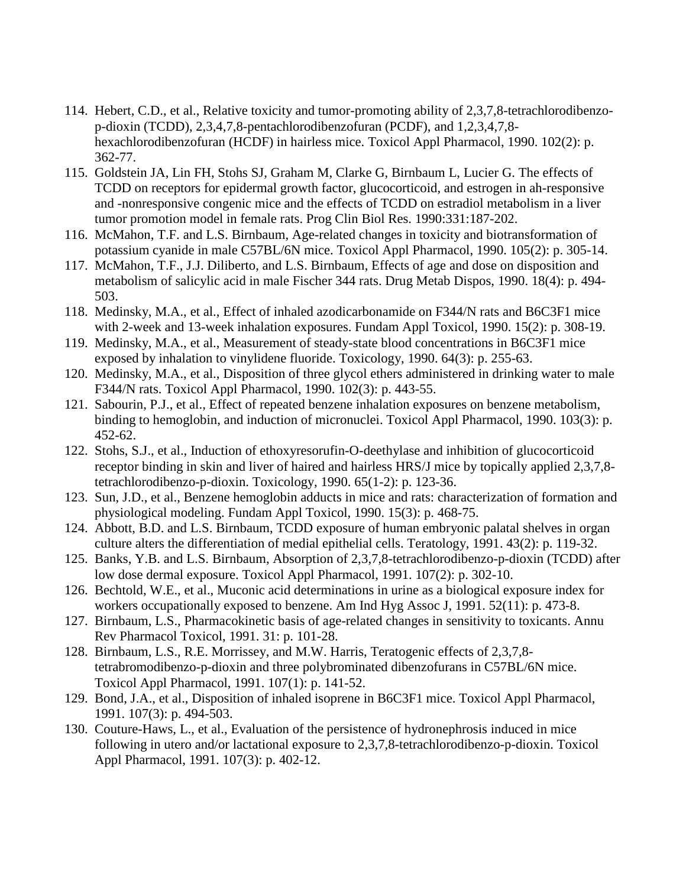- 114. Hebert, C.D., et al., Relative toxicity and tumor-promoting ability of 2,3,7,8-tetrachlorodibenzop-dioxin (TCDD), 2,3,4,7,8-pentachlorodibenzofuran (PCDF), and 1,2,3,4,7,8 hexachlorodibenzofuran (HCDF) in hairless mice. Toxicol Appl Pharmacol, 1990. 102(2): p. 362-77.
- 115. Goldstein JA, Lin FH, Stohs SJ, Graham M, Clarke G, Birnbaum L, Lucier G. The effects of TCDD on receptors for epidermal growth factor, glucocorticoid, and estrogen in ah-responsive and -nonresponsive congenic mice and the effects of TCDD on estradiol metabolism in a liver tumor promotion model in female rats. Prog Clin Biol Res. 1990:331:187-202.
- 116. McMahon, T.F. and L.S. Birnbaum, Age-related changes in toxicity and biotransformation of potassium cyanide in male C57BL/6N mice. Toxicol Appl Pharmacol, 1990. 105(2): p. 305-14.
- 117. McMahon, T.F., J.J. Diliberto, and L.S. Birnbaum, Effects of age and dose on disposition and metabolism of salicylic acid in male Fischer 344 rats. Drug Metab Dispos, 1990. 18(4): p. 494- 503.
- 118. Medinsky, M.A., et al., Effect of inhaled azodicarbonamide on F344/N rats and B6C3F1 mice with 2-week and 13-week inhalation exposures. Fundam Appl Toxicol, 1990. 15(2): p. 308-19.
- 119. Medinsky, M.A., et al., Measurement of steady-state blood concentrations in B6C3F1 mice exposed by inhalation to vinylidene fluoride. Toxicology, 1990. 64(3): p. 255-63.
- 120. Medinsky, M.A., et al., Disposition of three glycol ethers administered in drinking water to male F344/N rats. Toxicol Appl Pharmacol, 1990. 102(3): p. 443-55.
- 121. Sabourin, P.J., et al., Effect of repeated benzene inhalation exposures on benzene metabolism, binding to hemoglobin, and induction of micronuclei. Toxicol Appl Pharmacol, 1990. 103(3): p. 452-62.
- 122. Stohs, S.J., et al., Induction of ethoxyresorufin-O-deethylase and inhibition of glucocorticoid receptor binding in skin and liver of haired and hairless HRS/J mice by topically applied 2,3,7,8 tetrachlorodibenzo-p-dioxin. Toxicology, 1990. 65(1-2): p. 123-36.
- 123. Sun, J.D., et al., Benzene hemoglobin adducts in mice and rats: characterization of formation and physiological modeling. Fundam Appl Toxicol, 1990. 15(3): p. 468-75.
- 124. Abbott, B.D. and L.S. Birnbaum, TCDD exposure of human embryonic palatal shelves in organ culture alters the differentiation of medial epithelial cells. Teratology, 1991. 43(2): p. 119-32.
- 125. Banks, Y.B. and L.S. Birnbaum, Absorption of 2,3,7,8-tetrachlorodibenzo-p-dioxin (TCDD) after low dose dermal exposure. Toxicol Appl Pharmacol, 1991. 107(2): p. 302-10.
- 126. Bechtold, W.E., et al., Muconic acid determinations in urine as a biological exposure index for workers occupationally exposed to benzene. Am Ind Hyg Assoc J, 1991. 52(11): p. 473-8.
- 127. Birnbaum, L.S., Pharmacokinetic basis of age-related changes in sensitivity to toxicants. Annu Rev Pharmacol Toxicol, 1991. 31: p. 101-28.
- 128. Birnbaum, L.S., R.E. Morrissey, and M.W. Harris, Teratogenic effects of 2,3,7,8 tetrabromodibenzo-p-dioxin and three polybrominated dibenzofurans in C57BL/6N mice. Toxicol Appl Pharmacol, 1991. 107(1): p. 141-52.
- 129. Bond, J.A., et al., Disposition of inhaled isoprene in B6C3F1 mice. Toxicol Appl Pharmacol, 1991. 107(3): p. 494-503.
- 130. Couture-Haws, L., et al., Evaluation of the persistence of hydronephrosis induced in mice following in utero and/or lactational exposure to 2,3,7,8-tetrachlorodibenzo-p-dioxin. Toxicol Appl Pharmacol, 1991. 107(3): p. 402-12.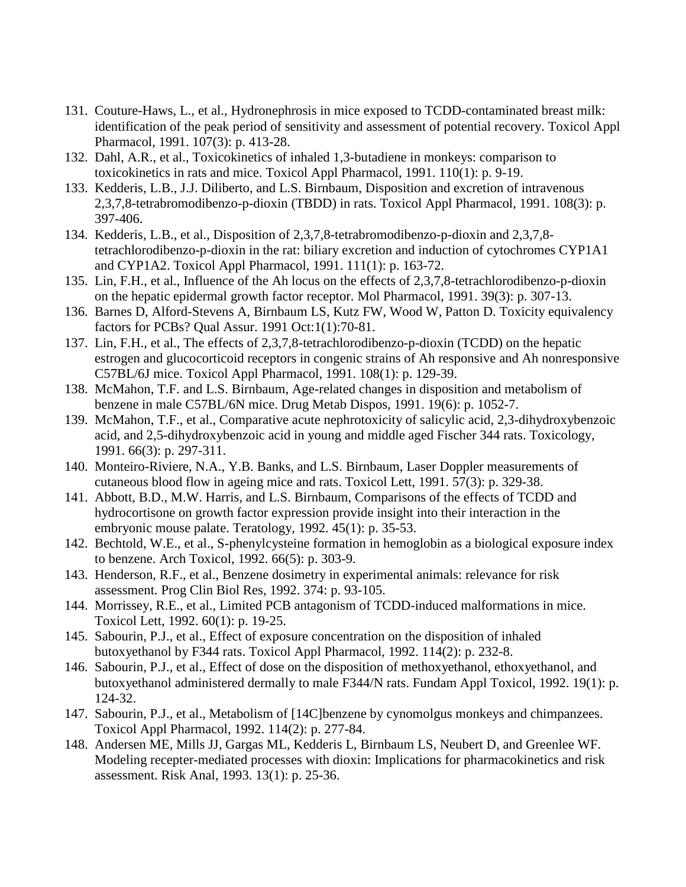- 131. Couture-Haws, L., et al., Hydronephrosis in mice exposed to TCDD-contaminated breast milk: identification of the peak period of sensitivity and assessment of potential recovery. Toxicol Appl Pharmacol, 1991. 107(3): p. 413-28.
- 132. Dahl, A.R., et al., Toxicokinetics of inhaled 1,3-butadiene in monkeys: comparison to toxicokinetics in rats and mice. Toxicol Appl Pharmacol, 1991. 110(1): p. 9-19.
- 133. Kedderis, L.B., J.J. Diliberto, and L.S. Birnbaum, Disposition and excretion of intravenous 2,3,7,8-tetrabromodibenzo-p-dioxin (TBDD) in rats. Toxicol Appl Pharmacol, 1991. 108(3): p. 397-406.
- 134. Kedderis, L.B., et al., Disposition of 2,3,7,8-tetrabromodibenzo-p-dioxin and 2,3,7,8 tetrachlorodibenzo-p-dioxin in the rat: biliary excretion and induction of cytochromes CYP1A1 and CYP1A2. Toxicol Appl Pharmacol, 1991. 111(1): p. 163-72.
- 135. Lin, F.H., et al., Influence of the Ah locus on the effects of 2,3,7,8-tetrachlorodibenzo-p-dioxin on the hepatic epidermal growth factor receptor. Mol Pharmacol, 1991. 39(3): p. 307-13.
- 136. Barnes D, Alford-Stevens A, Birnbaum LS, Kutz FW, Wood W, Patton D. Toxicity equivalency factors for PCBs? Qual Assur. 1991 Oct:1(1):70-81.
- 137. Lin, F.H., et al., The effects of 2,3,7,8-tetrachlorodibenzo-p-dioxin (TCDD) on the hepatic estrogen and glucocorticoid receptors in congenic strains of Ah responsive and Ah nonresponsive C57BL/6J mice. Toxicol Appl Pharmacol, 1991. 108(1): p. 129-39.
- 138. McMahon, T.F. and L.S. Birnbaum, Age-related changes in disposition and metabolism of benzene in male C57BL/6N mice. Drug Metab Dispos, 1991. 19(6): p. 1052-7.
- 139. McMahon, T.F., et al., Comparative acute nephrotoxicity of salicylic acid, 2,3-dihydroxybenzoic acid, and 2,5-dihydroxybenzoic acid in young and middle aged Fischer 344 rats. Toxicology, 1991. 66(3): p. 297-311.
- 140. Monteiro-Riviere, N.A., Y.B. Banks, and L.S. Birnbaum, Laser Doppler measurements of cutaneous blood flow in ageing mice and rats. Toxicol Lett, 1991. 57(3): p. 329-38.
- 141. Abbott, B.D., M.W. Harris, and L.S. Birnbaum, Comparisons of the effects of TCDD and hydrocortisone on growth factor expression provide insight into their interaction in the embryonic mouse palate. Teratology, 1992. 45(1): p. 35-53.
- 142. Bechtold, W.E., et al., S-phenylcysteine formation in hemoglobin as a biological exposure index to benzene. Arch Toxicol, 1992. 66(5): p. 303-9.
- 143. Henderson, R.F., et al., Benzene dosimetry in experimental animals: relevance for risk assessment. Prog Clin Biol Res, 1992. 374: p. 93-105.
- 144. Morrissey, R.E., et al., Limited PCB antagonism of TCDD-induced malformations in mice. Toxicol Lett, 1992. 60(1): p. 19-25.
- 145. Sabourin, P.J., et al., Effect of exposure concentration on the disposition of inhaled butoxyethanol by F344 rats. Toxicol Appl Pharmacol, 1992. 114(2): p. 232-8.
- 146. Sabourin, P.J., et al., Effect of dose on the disposition of methoxyethanol, ethoxyethanol, and butoxyethanol administered dermally to male F344/N rats. Fundam Appl Toxicol, 1992. 19(1): p. 124-32.
- 147. Sabourin, P.J., et al., Metabolism of [14C]benzene by cynomolgus monkeys and chimpanzees. Toxicol Appl Pharmacol, 1992. 114(2): p. 277-84.
- 148. Andersen ME, Mills JJ, Gargas ML, Kedderis L, Birnbaum LS, Neubert D, and Greenlee WF. Modeling recepter-mediated processes with dioxin: Implications for pharmacokinetics and risk assessment. Risk Anal, 1993. 13(1): p. 25-36.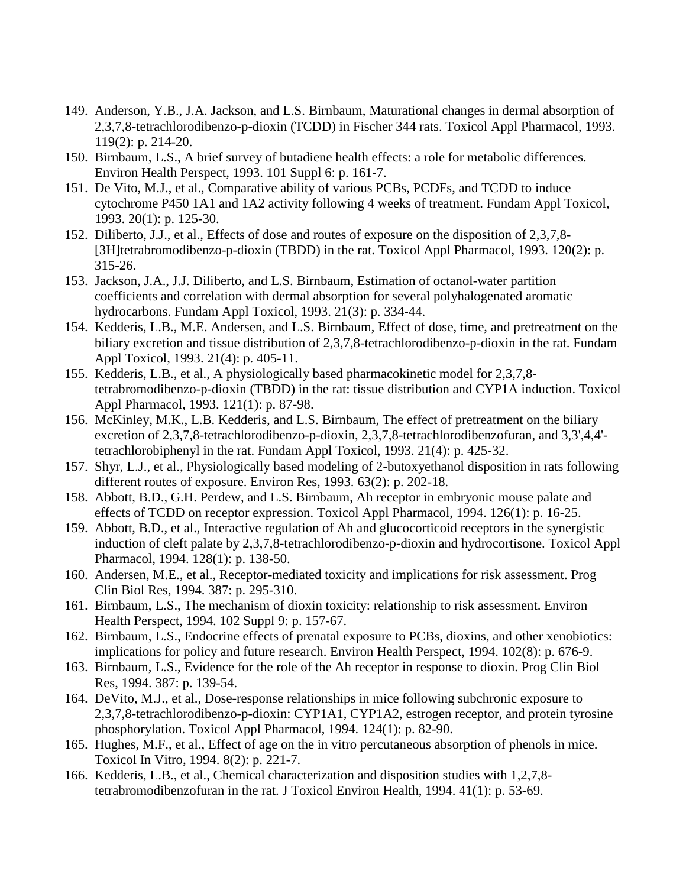- 149. Anderson, Y.B., J.A. Jackson, and L.S. Birnbaum, Maturational changes in dermal absorption of 2,3,7,8-tetrachlorodibenzo-p-dioxin (TCDD) in Fischer 344 rats. Toxicol Appl Pharmacol, 1993. 119(2): p. 214-20.
- 150. Birnbaum, L.S., A brief survey of butadiene health effects: a role for metabolic differences. Environ Health Perspect, 1993. 101 Suppl 6: p. 161-7.
- 151. De Vito, M.J., et al., Comparative ability of various PCBs, PCDFs, and TCDD to induce cytochrome P450 1A1 and 1A2 activity following 4 weeks of treatment. Fundam Appl Toxicol, 1993. 20(1): p. 125-30.
- 152. Diliberto, J.J., et al., Effects of dose and routes of exposure on the disposition of 2,3,7,8- [3H]tetrabromodibenzo-p-dioxin (TBDD) in the rat. Toxicol Appl Pharmacol, 1993. 120(2): p. 315-26.
- 153. Jackson, J.A., J.J. Diliberto, and L.S. Birnbaum, Estimation of octanol-water partition coefficients and correlation with dermal absorption for several polyhalogenated aromatic hydrocarbons. Fundam Appl Toxicol, 1993. 21(3): p. 334-44.
- 154. Kedderis, L.B., M.E. Andersen, and L.S. Birnbaum, Effect of dose, time, and pretreatment on the biliary excretion and tissue distribution of 2,3,7,8-tetrachlorodibenzo-p-dioxin in the rat. Fundam Appl Toxicol, 1993. 21(4): p. 405-11.
- 155. Kedderis, L.B., et al., A physiologically based pharmacokinetic model for 2,3,7,8 tetrabromodibenzo-p-dioxin (TBDD) in the rat: tissue distribution and CYP1A induction. Toxicol Appl Pharmacol, 1993. 121(1): p. 87-98.
- 156. McKinley, M.K., L.B. Kedderis, and L.S. Birnbaum, The effect of pretreatment on the biliary excretion of 2,3,7,8-tetrachlorodibenzo-p-dioxin, 2,3,7,8-tetrachlorodibenzofuran, and 3,3',4,4' tetrachlorobiphenyl in the rat. Fundam Appl Toxicol, 1993. 21(4): p. 425-32.
- 157. Shyr, L.J., et al., Physiologically based modeling of 2-butoxyethanol disposition in rats following different routes of exposure. Environ Res, 1993. 63(2): p. 202-18.
- 158. Abbott, B.D., G.H. Perdew, and L.S. Birnbaum, Ah receptor in embryonic mouse palate and effects of TCDD on receptor expression. Toxicol Appl Pharmacol, 1994. 126(1): p. 16-25.
- 159. Abbott, B.D., et al., Interactive regulation of Ah and glucocorticoid receptors in the synergistic induction of cleft palate by 2,3,7,8-tetrachlorodibenzo-p-dioxin and hydrocortisone. Toxicol Appl Pharmacol, 1994. 128(1): p. 138-50.
- 160. Andersen, M.E., et al., Receptor-mediated toxicity and implications for risk assessment. Prog Clin Biol Res, 1994. 387: p. 295-310.
- 161. Birnbaum, L.S., The mechanism of dioxin toxicity: relationship to risk assessment. Environ Health Perspect, 1994. 102 Suppl 9: p. 157-67.
- 162. Birnbaum, L.S., Endocrine effects of prenatal exposure to PCBs, dioxins, and other xenobiotics: implications for policy and future research. Environ Health Perspect, 1994. 102(8): p. 676-9.
- 163. Birnbaum, L.S., Evidence for the role of the Ah receptor in response to dioxin. Prog Clin Biol Res, 1994. 387: p. 139-54.
- 164. DeVito, M.J., et al., Dose-response relationships in mice following subchronic exposure to 2,3,7,8-tetrachlorodibenzo-p-dioxin: CYP1A1, CYP1A2, estrogen receptor, and protein tyrosine phosphorylation. Toxicol Appl Pharmacol, 1994. 124(1): p. 82-90.
- 165. Hughes, M.F., et al., Effect of age on the in vitro percutaneous absorption of phenols in mice. Toxicol In Vitro, 1994. 8(2): p. 221-7.
- 166. Kedderis, L.B., et al., Chemical characterization and disposition studies with 1,2,7,8 tetrabromodibenzofuran in the rat. J Toxicol Environ Health, 1994. 41(1): p. 53-69.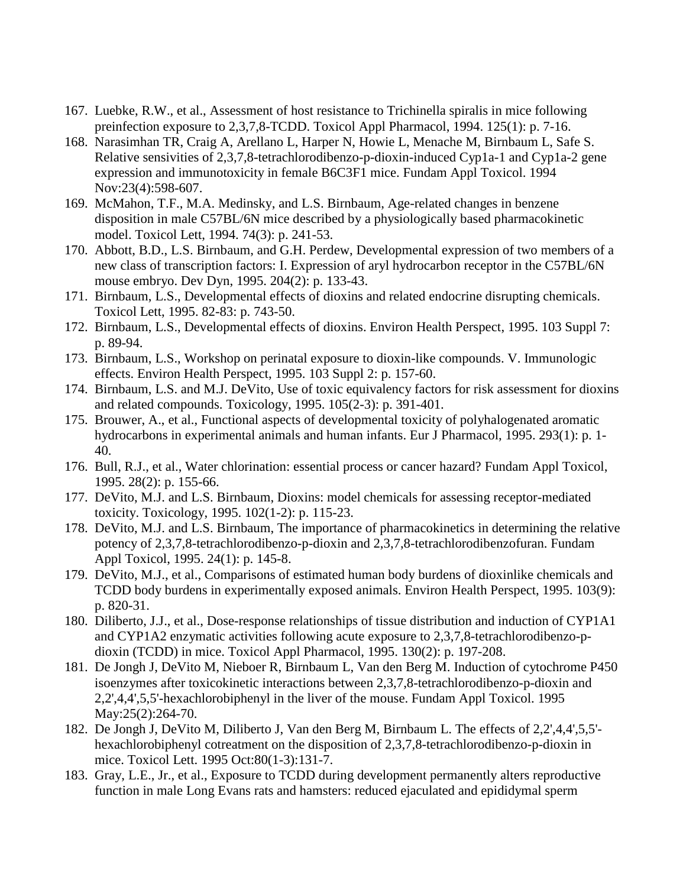- 167. Luebke, R.W., et al., Assessment of host resistance to Trichinella spiralis in mice following preinfection exposure to 2,3,7,8-TCDD. Toxicol Appl Pharmacol, 1994. 125(1): p. 7-16.
- 168. Narasimhan TR, Craig A, Arellano L, Harper N, Howie L, Menache M, Birnbaum L, Safe S. Relative sensivities of 2,3,7,8-tetrachlorodibenzo-p-dioxin-induced Cyp1a-1 and Cyp1a-2 gene expression and immunotoxicity in female B6C3F1 mice. Fundam Appl Toxicol. 1994 Nov:23(4):598-607.
- 169. McMahon, T.F., M.A. Medinsky, and L.S. Birnbaum, Age-related changes in benzene disposition in male C57BL/6N mice described by a physiologically based pharmacokinetic model. Toxicol Lett, 1994. 74(3): p. 241-53.
- 170. Abbott, B.D., L.S. Birnbaum, and G.H. Perdew, Developmental expression of two members of a new class of transcription factors: I. Expression of aryl hydrocarbon receptor in the C57BL/6N mouse embryo. Dev Dyn, 1995. 204(2): p. 133-43.
- 171. Birnbaum, L.S., Developmental effects of dioxins and related endocrine disrupting chemicals. Toxicol Lett, 1995. 82-83: p. 743-50.
- 172. Birnbaum, L.S., Developmental effects of dioxins. Environ Health Perspect, 1995. 103 Suppl 7: p. 89-94.
- 173. Birnbaum, L.S., Workshop on perinatal exposure to dioxin-like compounds. V. Immunologic effects. Environ Health Perspect, 1995. 103 Suppl 2: p. 157-60.
- 174. Birnbaum, L.S. and M.J. DeVito, Use of toxic equivalency factors for risk assessment for dioxins and related compounds. Toxicology, 1995. 105(2-3): p. 391-401.
- 175. Brouwer, A., et al., Functional aspects of developmental toxicity of polyhalogenated aromatic hydrocarbons in experimental animals and human infants. Eur J Pharmacol, 1995. 293(1): p. 1- 40.
- 176. Bull, R.J., et al., Water chlorination: essential process or cancer hazard? Fundam Appl Toxicol, 1995. 28(2): p. 155-66.
- 177. DeVito, M.J. and L.S. Birnbaum, Dioxins: model chemicals for assessing receptor-mediated toxicity. Toxicology, 1995. 102(1-2): p. 115-23.
- 178. DeVito, M.J. and L.S. Birnbaum, The importance of pharmacokinetics in determining the relative potency of 2,3,7,8-tetrachlorodibenzo-p-dioxin and 2,3,7,8-tetrachlorodibenzofuran. Fundam Appl Toxicol, 1995. 24(1): p. 145-8.
- 179. DeVito, M.J., et al., Comparisons of estimated human body burdens of dioxinlike chemicals and TCDD body burdens in experimentally exposed animals. Environ Health Perspect, 1995. 103(9): p. 820-31.
- 180. Diliberto, J.J., et al., Dose-response relationships of tissue distribution and induction of CYP1A1 and CYP1A2 enzymatic activities following acute exposure to 2,3,7,8-tetrachlorodibenzo-pdioxin (TCDD) in mice. Toxicol Appl Pharmacol, 1995. 130(2): p. 197-208.
- 181. De Jongh J, DeVito M, Nieboer R, Birnbaum L, Van den Berg M. Induction of cytochrome P450 isoenzymes after toxicokinetic interactions between 2,3,7,8-tetrachlorodibenzo-p-dioxin and 2,2',4,4',5,5'-hexachlorobiphenyl in the liver of the mouse. Fundam Appl Toxicol. 1995 May:25(2):264-70.
- 182. De Jongh J, DeVito M, Diliberto J, Van den Berg M, Birnbaum L. The effects of 2,2',4,4',5,5' hexachlorobiphenyl cotreatment on the disposition of 2,3,7,8-tetrachlorodibenzo-p-dioxin in mice. Toxicol Lett. 1995 Oct:80(1-3):131-7.
- 183. Gray, L.E., Jr., et al., Exposure to TCDD during development permanently alters reproductive function in male Long Evans rats and hamsters: reduced ejaculated and epididymal sperm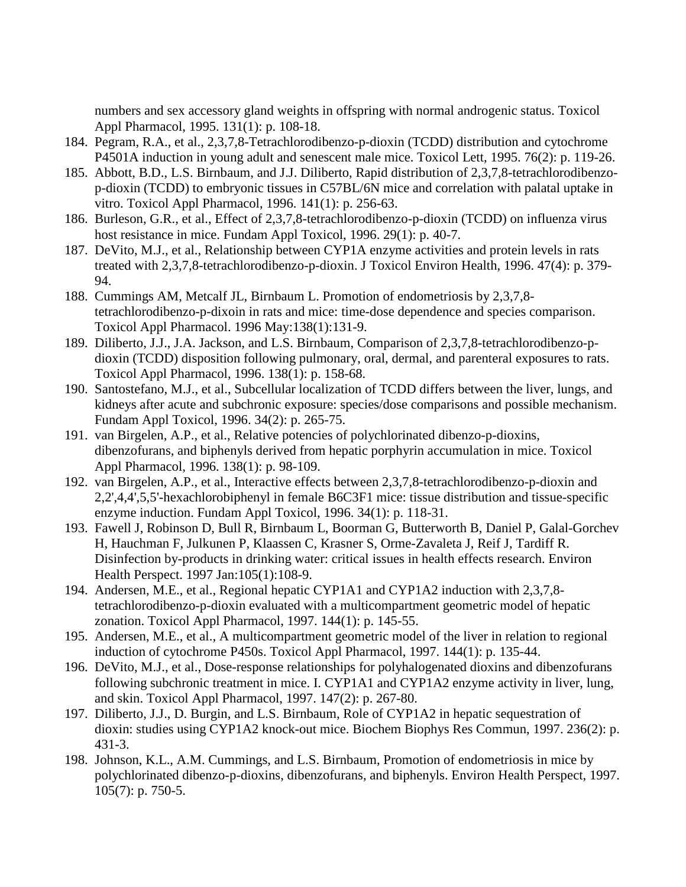numbers and sex accessory gland weights in offspring with normal androgenic status. Toxicol Appl Pharmacol, 1995. 131(1): p. 108-18.

- 184. Pegram, R.A., et al., 2,3,7,8-Tetrachlorodibenzo-p-dioxin (TCDD) distribution and cytochrome P4501A induction in young adult and senescent male mice. Toxicol Lett, 1995. 76(2): p. 119-26.
- 185. Abbott, B.D., L.S. Birnbaum, and J.J. Diliberto, Rapid distribution of 2,3,7,8-tetrachlorodibenzop-dioxin (TCDD) to embryonic tissues in C57BL/6N mice and correlation with palatal uptake in vitro. Toxicol Appl Pharmacol, 1996. 141(1): p. 256-63.
- 186. Burleson, G.R., et al., Effect of 2,3,7,8-tetrachlorodibenzo-p-dioxin (TCDD) on influenza virus host resistance in mice. Fundam Appl Toxicol, 1996. 29(1): p. 40-7.
- 187. DeVito, M.J., et al., Relationship between CYP1A enzyme activities and protein levels in rats treated with 2,3,7,8-tetrachlorodibenzo-p-dioxin. J Toxicol Environ Health, 1996. 47(4): p. 379- 94.
- 188. Cummings AM, Metcalf JL, Birnbaum L. Promotion of endometriosis by 2,3,7,8 tetrachlorodibenzo-p-dixoin in rats and mice: time-dose dependence and species comparison. Toxicol Appl Pharmacol. 1996 May:138(1):131-9.
- 189. Diliberto, J.J., J.A. Jackson, and L.S. Birnbaum, Comparison of 2,3,7,8-tetrachlorodibenzo-pdioxin (TCDD) disposition following pulmonary, oral, dermal, and parenteral exposures to rats. Toxicol Appl Pharmacol, 1996. 138(1): p. 158-68.
- 190. Santostefano, M.J., et al., Subcellular localization of TCDD differs between the liver, lungs, and kidneys after acute and subchronic exposure: species/dose comparisons and possible mechanism. Fundam Appl Toxicol, 1996. 34(2): p. 265-75.
- 191. van Birgelen, A.P., et al., Relative potencies of polychlorinated dibenzo-p-dioxins, dibenzofurans, and biphenyls derived from hepatic porphyrin accumulation in mice. Toxicol Appl Pharmacol, 1996. 138(1): p. 98-109.
- 192. van Birgelen, A.P., et al., Interactive effects between 2,3,7,8-tetrachlorodibenzo-p-dioxin and 2,2',4,4',5,5'-hexachlorobiphenyl in female B6C3F1 mice: tissue distribution and tissue-specific enzyme induction. Fundam Appl Toxicol, 1996. 34(1): p. 118-31.
- 193. Fawell J, Robinson D, Bull R, Birnbaum L, Boorman G, Butterworth B, Daniel P, Galal-Gorchev H, Hauchman F, Julkunen P, Klaassen C, Krasner S, Orme-Zavaleta J, Reif J, Tardiff R. Disinfection by-products in drinking water: critical issues in health effects research. Environ Health Perspect. 1997 Jan:105(1):108-9.
- 194. Andersen, M.E., et al., Regional hepatic CYP1A1 and CYP1A2 induction with 2,3,7,8 tetrachlorodibenzo-p-dioxin evaluated with a multicompartment geometric model of hepatic zonation. Toxicol Appl Pharmacol, 1997. 144(1): p. 145-55.
- 195. Andersen, M.E., et al., A multicompartment geometric model of the liver in relation to regional induction of cytochrome P450s. Toxicol Appl Pharmacol, 1997. 144(1): p. 135-44.
- 196. DeVito, M.J., et al., Dose-response relationships for polyhalogenated dioxins and dibenzofurans following subchronic treatment in mice. I. CYP1A1 and CYP1A2 enzyme activity in liver, lung, and skin. Toxicol Appl Pharmacol, 1997. 147(2): p. 267-80.
- 197. Diliberto, J.J., D. Burgin, and L.S. Birnbaum, Role of CYP1A2 in hepatic sequestration of dioxin: studies using CYP1A2 knock-out mice. Biochem Biophys Res Commun, 1997. 236(2): p. 431-3.
- 198. Johnson, K.L., A.M. Cummings, and L.S. Birnbaum, Promotion of endometriosis in mice by polychlorinated dibenzo-p-dioxins, dibenzofurans, and biphenyls. Environ Health Perspect, 1997. 105(7): p. 750-5.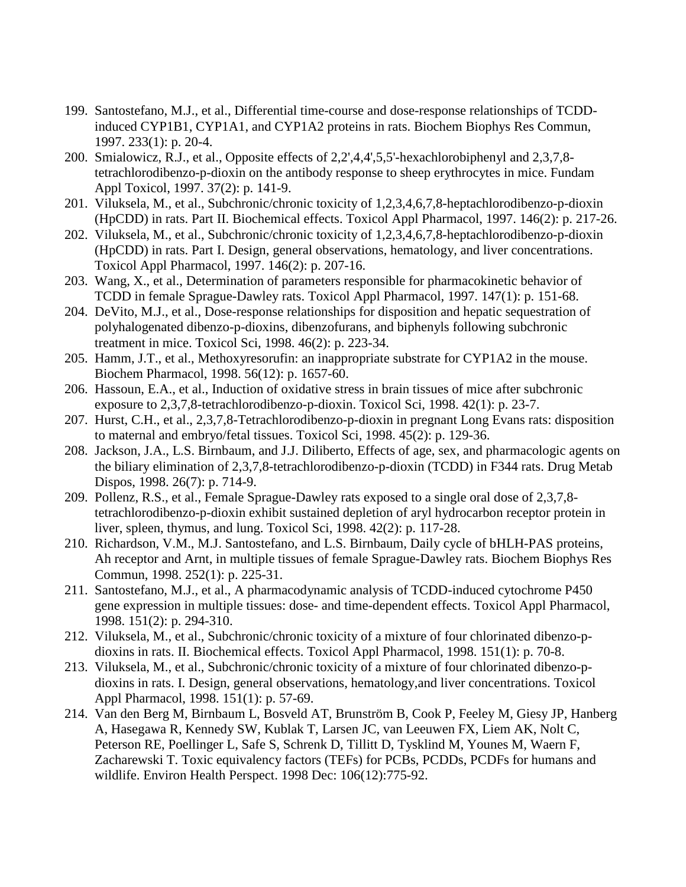- 199. Santostefano, M.J., et al., Differential time-course and dose-response relationships of TCDDinduced CYP1B1, CYP1A1, and CYP1A2 proteins in rats. Biochem Biophys Res Commun, 1997. 233(1): p. 20-4.
- 200. Smialowicz, R.J., et al., Opposite effects of 2,2',4,4',5,5'-hexachlorobiphenyl and 2,3,7,8 tetrachlorodibenzo-p-dioxin on the antibody response to sheep erythrocytes in mice. Fundam Appl Toxicol, 1997. 37(2): p. 141-9.
- 201. Viluksela, M., et al., Subchronic/chronic toxicity of 1,2,3,4,6,7,8-heptachlorodibenzo-p-dioxin (HpCDD) in rats. Part II. Biochemical effects. Toxicol Appl Pharmacol, 1997. 146(2): p. 217-26.
- 202. Viluksela, M., et al., Subchronic/chronic toxicity of 1,2,3,4,6,7,8-heptachlorodibenzo-p-dioxin (HpCDD) in rats. Part I. Design, general observations, hematology, and liver concentrations. Toxicol Appl Pharmacol, 1997. 146(2): p. 207-16.
- 203. Wang, X., et al., Determination of parameters responsible for pharmacokinetic behavior of TCDD in female Sprague-Dawley rats. Toxicol Appl Pharmacol, 1997. 147(1): p. 151-68.
- 204. DeVito, M.J., et al., Dose-response relationships for disposition and hepatic sequestration of polyhalogenated dibenzo-p-dioxins, dibenzofurans, and biphenyls following subchronic treatment in mice. Toxicol Sci, 1998. 46(2): p. 223-34.
- 205. Hamm, J.T., et al., Methoxyresorufin: an inappropriate substrate for CYP1A2 in the mouse. Biochem Pharmacol, 1998. 56(12): p. 1657-60.
- 206. Hassoun, E.A., et al., Induction of oxidative stress in brain tissues of mice after subchronic exposure to 2,3,7,8-tetrachlorodibenzo-p-dioxin. Toxicol Sci, 1998. 42(1): p. 23-7.
- 207. Hurst, C.H., et al., 2,3,7,8-Tetrachlorodibenzo-p-dioxin in pregnant Long Evans rats: disposition to maternal and embryo/fetal tissues. Toxicol Sci, 1998. 45(2): p. 129-36.
- 208. Jackson, J.A., L.S. Birnbaum, and J.J. Diliberto, Effects of age, sex, and pharmacologic agents on the biliary elimination of 2,3,7,8-tetrachlorodibenzo-p-dioxin (TCDD) in F344 rats. Drug Metab Dispos, 1998. 26(7): p. 714-9.
- 209. Pollenz, R.S., et al., Female Sprague-Dawley rats exposed to a single oral dose of 2,3,7,8 tetrachlorodibenzo-p-dioxin exhibit sustained depletion of aryl hydrocarbon receptor protein in liver, spleen, thymus, and lung. Toxicol Sci, 1998. 42(2): p. 117-28.
- 210. Richardson, V.M., M.J. Santostefano, and L.S. Birnbaum, Daily cycle of bHLH-PAS proteins, Ah receptor and Arnt, in multiple tissues of female Sprague-Dawley rats. Biochem Biophys Res Commun, 1998. 252(1): p. 225-31.
- 211. Santostefano, M.J., et al., A pharmacodynamic analysis of TCDD-induced cytochrome P450 gene expression in multiple tissues: dose- and time-dependent effects. Toxicol Appl Pharmacol, 1998. 151(2): p. 294-310.
- 212. Viluksela, M., et al., Subchronic/chronic toxicity of a mixture of four chlorinated dibenzo-pdioxins in rats. II. Biochemical effects. Toxicol Appl Pharmacol, 1998. 151(1): p. 70-8.
- 213. Viluksela, M., et al., Subchronic/chronic toxicity of a mixture of four chlorinated dibenzo-pdioxins in rats. I. Design, general observations, hematology,and liver concentrations. Toxicol Appl Pharmacol, 1998. 151(1): p. 57-69.
- 214. Van den Berg M, Birnbaum L, Bosveld AT, Brunström B, Cook P, Feeley M, Giesy JP, Hanberg A, Hasegawa R, Kennedy SW, Kublak T, Larsen JC, van Leeuwen FX, Liem AK, Nolt C, Peterson RE, Poellinger L, Safe S, Schrenk D, Tillitt D, Tysklind M, Younes M, Waern F, Zacharewski T. Toxic equivalency factors (TEFs) for PCBs, PCDDs, PCDFs for humans and wildlife. Environ Health Perspect. 1998 Dec: 106(12):775-92.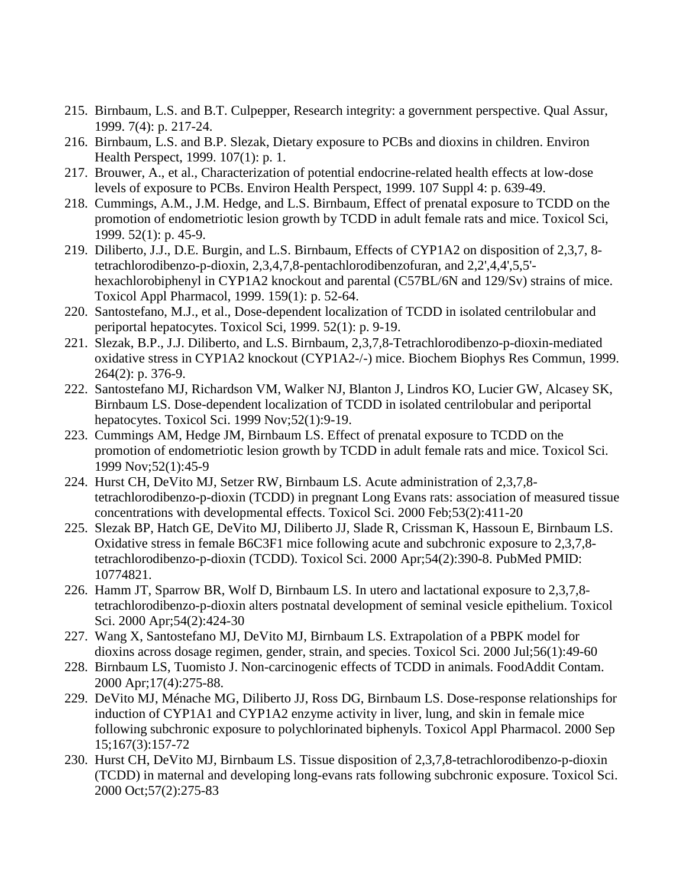- 215. Birnbaum, L.S. and B.T. Culpepper, Research integrity: a government perspective. Qual Assur, 1999. 7(4): p. 217-24.
- 216. Birnbaum, L.S. and B.P. Slezak, Dietary exposure to PCBs and dioxins in children. Environ Health Perspect, 1999. 107(1): p. 1.
- 217. Brouwer, A., et al., Characterization of potential endocrine-related health effects at low-dose levels of exposure to PCBs. Environ Health Perspect, 1999. 107 Suppl 4: p. 639-49.
- 218. Cummings, A.M., J.M. Hedge, and L.S. Birnbaum, Effect of prenatal exposure to TCDD on the promotion of endometriotic lesion growth by TCDD in adult female rats and mice. Toxicol Sci, 1999. 52(1): p. 45-9.
- 219. Diliberto, J.J., D.E. Burgin, and L.S. Birnbaum, Effects of CYP1A2 on disposition of 2,3,7, 8 tetrachlorodibenzo-p-dioxin, 2,3,4,7,8-pentachlorodibenzofuran, and 2,2',4,4',5,5' hexachlorobiphenyl in CYP1A2 knockout and parental (C57BL/6N and 129/Sv) strains of mice. Toxicol Appl Pharmacol, 1999. 159(1): p. 52-64.
- 220. Santostefano, M.J., et al., Dose-dependent localization of TCDD in isolated centrilobular and periportal hepatocytes. Toxicol Sci, 1999. 52(1): p. 9-19.
- 221. Slezak, B.P., J.J. Diliberto, and L.S. Birnbaum, 2,3,7,8-Tetrachlorodibenzo-p-dioxin-mediated oxidative stress in CYP1A2 knockout (CYP1A2-/-) mice. Biochem Biophys Res Commun, 1999. 264(2): p. 376-9.
- 222. Santostefano MJ, Richardson VM, Walker NJ, Blanton J, Lindros KO, Lucier GW, Alcasey SK, Birnbaum LS. Dose-dependent localization of TCDD in isolated centrilobular and periportal hepatocytes. Toxicol Sci. 1999 Nov;52(1):9-19.
- 223. Cummings AM, Hedge JM, Birnbaum LS. Effect of prenatal exposure to TCDD on the promotion of endometriotic lesion growth by TCDD in adult female rats and mice. Toxicol Sci. 1999 Nov;52(1):45-9
- 224. Hurst CH, DeVito MJ, Setzer RW, Birnbaum LS. Acute administration of 2,3,7,8 tetrachlorodibenzo-p-dioxin (TCDD) in pregnant Long Evans rats: association of measured tissue concentrations with developmental effects. Toxicol Sci. 2000 Feb;53(2):411-20
- 225. Slezak BP, Hatch GE, DeVito MJ, Diliberto JJ, Slade R, Crissman K, Hassoun E, Birnbaum LS. Oxidative stress in female B6C3F1 mice following acute and subchronic exposure to 2,3,7,8 tetrachlorodibenzo-p-dioxin (TCDD). Toxicol Sci. 2000 Apr;54(2):390-8. PubMed PMID: 10774821.
- 226. Hamm JT, Sparrow BR, Wolf D, Birnbaum LS. In utero and lactational exposure to 2,3,7,8 tetrachlorodibenzo-p-dioxin alters postnatal development of seminal vesicle epithelium. Toxicol Sci. 2000 Apr;54(2):424-30
- 227. Wang X, Santostefano MJ, DeVito MJ, Birnbaum LS. Extrapolation of a PBPK model for dioxins across dosage regimen, gender, strain, and species. Toxicol Sci. 2000 Jul;56(1):49-60
- 228. Birnbaum LS, Tuomisto J. Non-carcinogenic effects of TCDD in animals. FoodAddit Contam. 2000 Apr;17(4):275-88.
- 229. DeVito MJ, Ménache MG, Diliberto JJ, Ross DG, Birnbaum LS. Dose-response relationships for induction of CYP1A1 and CYP1A2 enzyme activity in liver, lung, and skin in female mice following subchronic exposure to polychlorinated biphenyls. Toxicol Appl Pharmacol. 2000 Sep 15;167(3):157-72
- 230. Hurst CH, DeVito MJ, Birnbaum LS. Tissue disposition of 2,3,7,8-tetrachlorodibenzo-p-dioxin (TCDD) in maternal and developing long-evans rats following subchronic exposure. Toxicol Sci. 2000 Oct;57(2):275-83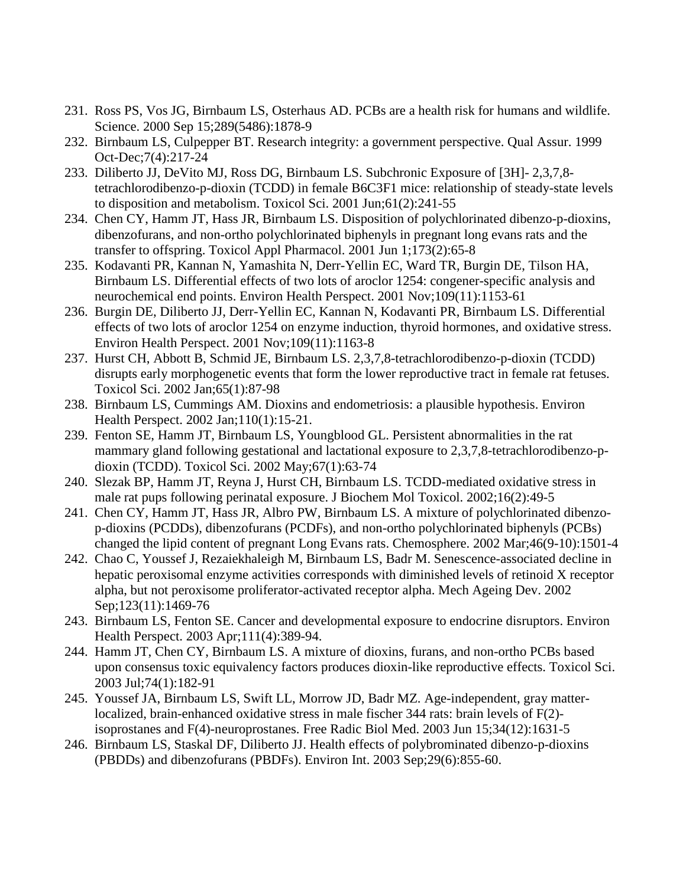- 231. Ross PS, Vos JG, Birnbaum LS, Osterhaus AD. PCBs are a health risk for humans and wildlife. Science. 2000 Sep 15;289(5486):1878-9
- 232. Birnbaum LS, Culpepper BT. Research integrity: a government perspective. Qual Assur. 1999 Oct-Dec;7(4):217-24
- 233. Diliberto JJ, DeVito MJ, Ross DG, Birnbaum LS. Subchronic Exposure of [3H]- 2,3,7,8 tetrachlorodibenzo-p-dioxin (TCDD) in female B6C3F1 mice: relationship of steady-state levels to disposition and metabolism. Toxicol Sci. 2001 Jun;61(2):241-55
- 234. Chen CY, Hamm JT, Hass JR, Birnbaum LS. Disposition of polychlorinated dibenzo-p-dioxins, dibenzofurans, and non-ortho polychlorinated biphenyls in pregnant long evans rats and the transfer to offspring. Toxicol Appl Pharmacol. 2001 Jun 1;173(2):65-8
- 235. Kodavanti PR, Kannan N, Yamashita N, Derr-Yellin EC, Ward TR, Burgin DE, Tilson HA, Birnbaum LS. Differential effects of two lots of aroclor 1254: congener-specific analysis and neurochemical end points. Environ Health Perspect. 2001 Nov;109(11):1153-61
- 236. Burgin DE, Diliberto JJ, Derr-Yellin EC, Kannan N, Kodavanti PR, Birnbaum LS. Differential effects of two lots of aroclor 1254 on enzyme induction, thyroid hormones, and oxidative stress. Environ Health Perspect. 2001 Nov;109(11):1163-8
- 237. Hurst CH, Abbott B, Schmid JE, Birnbaum LS. 2,3,7,8-tetrachlorodibenzo-p-dioxin (TCDD) disrupts early morphogenetic events that form the lower reproductive tract in female rat fetuses. Toxicol Sci. 2002 Jan;65(1):87-98
- 238. Birnbaum LS, Cummings AM. Dioxins and endometriosis: a plausible hypothesis. Environ Health Perspect. 2002 Jan;110(1):15-21.
- 239. Fenton SE, Hamm JT, Birnbaum LS, Youngblood GL. Persistent abnormalities in the rat mammary gland following gestational and lactational exposure to 2,3,7,8-tetrachlorodibenzo-pdioxin (TCDD). Toxicol Sci. 2002 May;67(1):63-74
- 240. Slezak BP, Hamm JT, Reyna J, Hurst CH, Birnbaum LS. TCDD-mediated oxidative stress in male rat pups following perinatal exposure. J Biochem Mol Toxicol. 2002;16(2):49-5
- 241. Chen CY, Hamm JT, Hass JR, Albro PW, Birnbaum LS. A mixture of polychlorinated dibenzop-dioxins (PCDDs), dibenzofurans (PCDFs), and non-ortho polychlorinated biphenyls (PCBs) changed the lipid content of pregnant Long Evans rats. Chemosphere. 2002 Mar;46(9-10):1501-4
- 242. Chao C, Youssef J, Rezaiekhaleigh M, Birnbaum LS, Badr M. Senescence-associated decline in hepatic peroxisomal enzyme activities corresponds with diminished levels of retinoid X receptor alpha, but not peroxisome proliferator-activated receptor alpha. Mech Ageing Dev. 2002 Sep;123(11):1469-76
- 243. Birnbaum LS, Fenton SE. Cancer and developmental exposure to endocrine disruptors. Environ Health Perspect. 2003 Apr;111(4):389-94.
- 244. Hamm JT, Chen CY, Birnbaum LS. A mixture of dioxins, furans, and non-ortho PCBs based upon consensus toxic equivalency factors produces dioxin-like reproductive effects. Toxicol Sci. 2003 Jul;74(1):182-91
- 245. Youssef JA, Birnbaum LS, Swift LL, Morrow JD, Badr MZ. Age-independent, gray matterlocalized, brain-enhanced oxidative stress in male fischer 344 rats: brain levels of F(2) isoprostanes and F(4)-neuroprostanes. Free Radic Biol Med. 2003 Jun 15;34(12):1631-5
- 246. Birnbaum LS, Staskal DF, Diliberto JJ. Health effects of polybrominated dibenzo-p-dioxins (PBDDs) and dibenzofurans (PBDFs). Environ Int. 2003 Sep;29(6):855-60.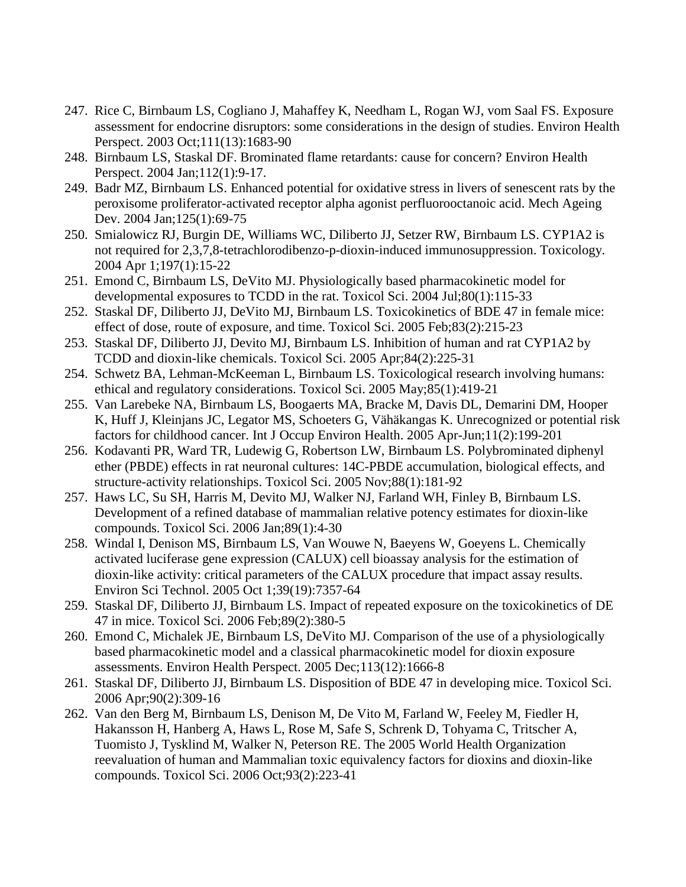- 247. Rice C, Birnbaum LS, Cogliano J, Mahaffey K, Needham L, Rogan WJ, vom Saal FS. Exposure assessment for endocrine disruptors: some considerations in the design of studies. Environ Health Perspect. 2003 Oct;111(13):1683-90
- 248. Birnbaum LS, Staskal DF. Brominated flame retardants: cause for concern? Environ Health Perspect. 2004 Jan;112(1):9-17.
- 249. Badr MZ, Birnbaum LS. Enhanced potential for oxidative stress in livers of senescent rats by the peroxisome proliferator-activated receptor alpha agonist perfluorooctanoic acid. Mech Ageing Dev. 2004 Jan; 125(1): 69-75
- 250. Smialowicz RJ, Burgin DE, Williams WC, Diliberto JJ, Setzer RW, Birnbaum LS. CYP1A2 is not required for 2,3,7,8-tetrachlorodibenzo-p-dioxin-induced immunosuppression. Toxicology. 2004 Apr 1;197(1):15-22
- 251. Emond C, Birnbaum LS, DeVito MJ. Physiologically based pharmacokinetic model for developmental exposures to TCDD in the rat. Toxicol Sci. 2004 Jul;80(1):115-33
- 252. Staskal DF, Diliberto JJ, DeVito MJ, Birnbaum LS. Toxicokinetics of BDE 47 in female mice: effect of dose, route of exposure, and time. Toxicol Sci. 2005 Feb;83(2):215-23
- 253. Staskal DF, Diliberto JJ, Devito MJ, Birnbaum LS. Inhibition of human and rat CYP1A2 by TCDD and dioxin-like chemicals. Toxicol Sci. 2005 Apr;84(2):225-31
- 254. Schwetz BA, Lehman-McKeeman L, Birnbaum LS. Toxicological research involving humans: ethical and regulatory considerations. Toxicol Sci. 2005 May;85(1):419-21
- 255. Van Larebeke NA, Birnbaum LS, Boogaerts MA, Bracke M, Davis DL, Demarini DM, Hooper K, Huff J, Kleinjans JC, Legator MS, Schoeters G, Vähäkangas K. Unrecognized or potential risk factors for childhood cancer. Int J Occup Environ Health. 2005 Apr-Jun;11(2):199-201
- 256. Kodavanti PR, Ward TR, Ludewig G, Robertson LW, Birnbaum LS. Polybrominated diphenyl ether (PBDE) effects in rat neuronal cultures: 14C-PBDE accumulation, biological effects, and structure-activity relationships. Toxicol Sci. 2005 Nov;88(1):181-92
- 257. Haws LC, Su SH, Harris M, Devito MJ, Walker NJ, Farland WH, Finley B, Birnbaum LS. Development of a refined database of mammalian relative potency estimates for dioxin-like compounds. Toxicol Sci. 2006 Jan;89(1):4-30
- 258. Windal I, Denison MS, Birnbaum LS, Van Wouwe N, Baeyens W, Goeyens L. Chemically activated luciferase gene expression (CALUX) cell bioassay analysis for the estimation of dioxin-like activity: critical parameters of the CALUX procedure that impact assay results. Environ Sci Technol. 2005 Oct 1;39(19):7357-64
- 259. Staskal DF, Diliberto JJ, Birnbaum LS. Impact of repeated exposure on the toxicokinetics of DE 47 in mice. Toxicol Sci. 2006 Feb;89(2):380-5
- 260. Emond C, Michalek JE, Birnbaum LS, DeVito MJ. Comparison of the use of a physiologically based pharmacokinetic model and a classical pharmacokinetic model for dioxin exposure assessments. Environ Health Perspect. 2005 Dec;113(12):1666-8
- 261. Staskal DF, Diliberto JJ, Birnbaum LS. Disposition of BDE 47 in developing mice. Toxicol Sci. 2006 Apr;90(2):309-16
- 262. Van den Berg M, Birnbaum LS, Denison M, De Vito M, Farland W, Feeley M, Fiedler H, Hakansson H, Hanberg A, Haws L, Rose M, Safe S, Schrenk D, Tohyama C, Tritscher A, Tuomisto J, Tysklind M, Walker N, Peterson RE. The 2005 World Health Organization reevaluation of human and Mammalian toxic equivalency factors for dioxins and dioxin-like compounds. Toxicol Sci. 2006 Oct;93(2):223-41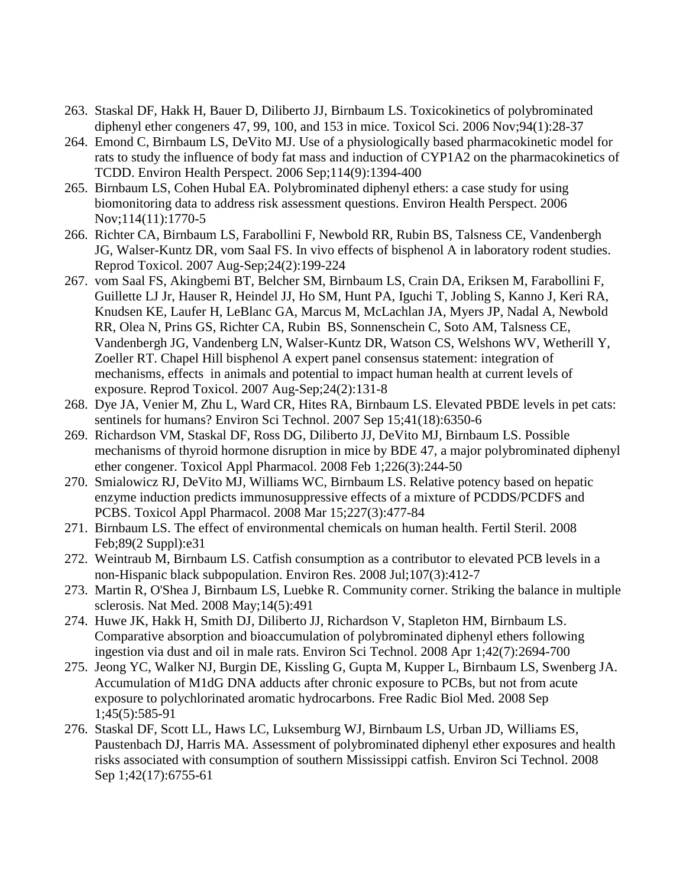- 263. Staskal DF, Hakk H, Bauer D, Diliberto JJ, Birnbaum LS. Toxicokinetics of polybrominated diphenyl ether congeners 47, 99, 100, and 153 in mice. Toxicol Sci. 2006 Nov;94(1):28-37
- 264. Emond C, Birnbaum LS, DeVito MJ. Use of a physiologically based pharmacokinetic model for rats to study the influence of body fat mass and induction of CYP1A2 on the pharmacokinetics of TCDD. Environ Health Perspect. 2006 Sep;114(9):1394-400
- 265. Birnbaum LS, Cohen Hubal EA. Polybrominated diphenyl ethers: a case study for using biomonitoring data to address risk assessment questions. Environ Health Perspect. 2006 Nov;114(11):1770-5
- 266. Richter CA, Birnbaum LS, Farabollini F, Newbold RR, Rubin BS, Talsness CE, Vandenbergh JG, Walser-Kuntz DR, vom Saal FS. In vivo effects of bisphenol A in laboratory rodent studies. Reprod Toxicol. 2007 Aug-Sep;24(2):199-224
- 267. vom Saal FS, Akingbemi BT, Belcher SM, Birnbaum LS, Crain DA, Eriksen M, Farabollini F, Guillette LJ Jr, Hauser R, Heindel JJ, Ho SM, Hunt PA, Iguchi T, Jobling S, Kanno J, Keri RA, Knudsen KE, Laufer H, LeBlanc GA, Marcus M, McLachlan JA, Myers JP, Nadal A, Newbold RR, Olea N, Prins GS, Richter CA, Rubin BS, Sonnenschein C, Soto AM, Talsness CE, Vandenbergh JG, Vandenberg LN, Walser-Kuntz DR, Watson CS, Welshons WV, Wetherill Y, Zoeller RT. Chapel Hill bisphenol A expert panel consensus statement: integration of mechanisms, effects in animals and potential to impact human health at current levels of exposure. Reprod Toxicol. 2007 Aug-Sep;24(2):131-8
- 268. Dye JA, Venier M, Zhu L, Ward CR, Hites RA, Birnbaum LS. Elevated PBDE levels in pet cats: sentinels for humans? Environ Sci Technol. 2007 Sep 15;41(18):6350-6
- 269. Richardson VM, Staskal DF, Ross DG, Diliberto JJ, DeVito MJ, Birnbaum LS. Possible mechanisms of thyroid hormone disruption in mice by BDE 47, a major polybrominated diphenyl ether congener. Toxicol Appl Pharmacol. 2008 Feb 1;226(3):244-50
- 270. Smialowicz RJ, DeVito MJ, Williams WC, Birnbaum LS. Relative potency based on hepatic enzyme induction predicts immunosuppressive effects of a mixture of PCDDS/PCDFS and PCBS. Toxicol Appl Pharmacol. 2008 Mar 15;227(3):477-84
- 271. Birnbaum LS. The effect of environmental chemicals on human health. Fertil Steril. 2008 Feb;89(2 Suppl):e31
- 272. Weintraub M, Birnbaum LS. Catfish consumption as a contributor to elevated PCB levels in a non-Hispanic black subpopulation. Environ Res. 2008 Jul;107(3):412-7
- 273. Martin R, O'Shea J, Birnbaum LS, Luebke R. Community corner. Striking the balance in multiple sclerosis. Nat Med. 2008 May;14(5):491
- 274. Huwe JK, Hakk H, Smith DJ, Diliberto JJ, Richardson V, Stapleton HM, Birnbaum LS. Comparative absorption and bioaccumulation of polybrominated diphenyl ethers following ingestion via dust and oil in male rats. Environ Sci Technol. 2008 Apr 1;42(7):2694-700
- 275. Jeong YC, Walker NJ, Burgin DE, Kissling G, Gupta M, Kupper L, Birnbaum LS, Swenberg JA. Accumulation of M1dG DNA adducts after chronic exposure to PCBs, but not from acute exposure to polychlorinated aromatic hydrocarbons. Free Radic Biol Med. 2008 Sep 1;45(5):585-91
- 276. Staskal DF, Scott LL, Haws LC, Luksemburg WJ, Birnbaum LS, Urban JD, Williams ES, Paustenbach DJ, Harris MA. Assessment of polybrominated diphenyl ether exposures and health risks associated with consumption of southern Mississippi catfish. Environ Sci Technol. 2008 Sep 1;42(17):6755-61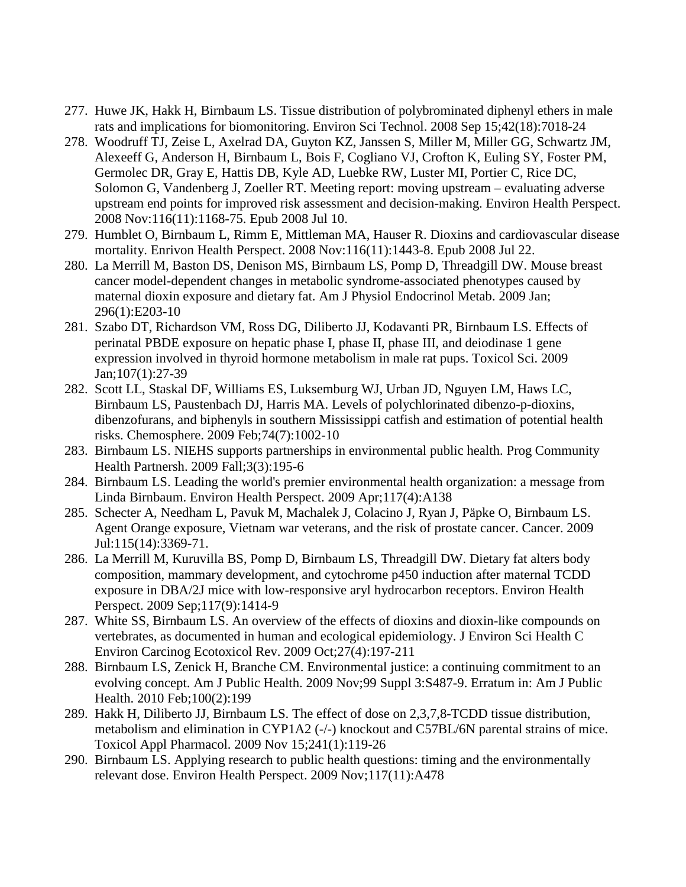- 277. Huwe JK, Hakk H, Birnbaum LS. Tissue distribution of polybrominated diphenyl ethers in male rats and implications for biomonitoring. Environ Sci Technol. 2008 Sep 15;42(18):7018-24
- 278. Woodruff TJ, Zeise L, Axelrad DA, Guyton KZ, Janssen S, Miller M, Miller GG, Schwartz JM, Alexeeff G, Anderson H, Birnbaum L, Bois F, Cogliano VJ, Crofton K, Euling SY, Foster PM, Germolec DR, Gray E, Hattis DB, Kyle AD, Luebke RW, Luster MI, Portier C, Rice DC, Solomon G, Vandenberg J, Zoeller RT. Meeting report: moving upstream – evaluating adverse upstream end points for improved risk assessment and decision-making. Environ Health Perspect. 2008 Nov:116(11):1168-75. Epub 2008 Jul 10.
- 279. Humblet O, Birnbaum L, Rimm E, Mittleman MA, Hauser R. Dioxins and cardiovascular disease mortality. Enrivon Health Perspect. 2008 Nov:116(11):1443-8. Epub 2008 Jul 22.
- 280. La Merrill M, Baston DS, Denison MS, Birnbaum LS, Pomp D, Threadgill DW. Mouse breast cancer model-dependent changes in metabolic syndrome-associated phenotypes caused by maternal dioxin exposure and dietary fat. Am J Physiol Endocrinol Metab. 2009 Jan; 296(1):E203-10
- 281. Szabo DT, Richardson VM, Ross DG, Diliberto JJ, Kodavanti PR, Birnbaum LS. Effects of perinatal PBDE exposure on hepatic phase I, phase II, phase III, and deiodinase 1 gene expression involved in thyroid hormone metabolism in male rat pups. Toxicol Sci. 2009 Jan;107(1):27-39
- 282. Scott LL, Staskal DF, Williams ES, Luksemburg WJ, Urban JD, Nguyen LM, Haws LC, Birnbaum LS, Paustenbach DJ, Harris MA. Levels of polychlorinated dibenzo-p-dioxins, dibenzofurans, and biphenyls in southern Mississippi catfish and estimation of potential health risks. Chemosphere. 2009 Feb;74(7):1002-10
- 283. Birnbaum LS. NIEHS supports partnerships in environmental public health. Prog Community Health Partnersh. 2009 Fall;3(3):195-6
- 284. Birnbaum LS. Leading the world's premier environmental health organization: a message from Linda Birnbaum. Environ Health Perspect. 2009 Apr;117(4):A138
- 285. Schecter A, Needham L, Pavuk M, Machalek J, Colacino J, Ryan J, Päpke O, Birnbaum LS. Agent Orange exposure, Vietnam war veterans, and the risk of prostate cancer. Cancer. 2009 Jul:115(14):3369-71.
- 286. La Merrill M, Kuruvilla BS, Pomp D, Birnbaum LS, Threadgill DW. Dietary fat alters body composition, mammary development, and cytochrome p450 induction after maternal TCDD exposure in DBA/2J mice with low-responsive aryl hydrocarbon receptors. Environ Health Perspect. 2009 Sep;117(9):1414-9
- 287. White SS, Birnbaum LS. An overview of the effects of dioxins and dioxin-like compounds on vertebrates, as documented in human and ecological epidemiology. J Environ Sci Health C Environ Carcinog Ecotoxicol Rev. 2009 Oct;27(4):197-211
- 288. Birnbaum LS, Zenick H, Branche CM. Environmental justice: a continuing commitment to an evolving concept. Am J Public Health. 2009 Nov;99 Suppl 3:S487-9. Erratum in: Am J Public Health. 2010 Feb;100(2):199
- 289. Hakk H, Diliberto JJ, Birnbaum LS. The effect of dose on 2,3,7,8-TCDD tissue distribution, metabolism and elimination in CYP1A2 (-/-) knockout and C57BL/6N parental strains of mice. Toxicol Appl Pharmacol. 2009 Nov 15;241(1):119-26
- 290. Birnbaum LS. Applying research to public health questions: timing and the environmentally relevant dose. Environ Health Perspect. 2009 Nov;117(11):A478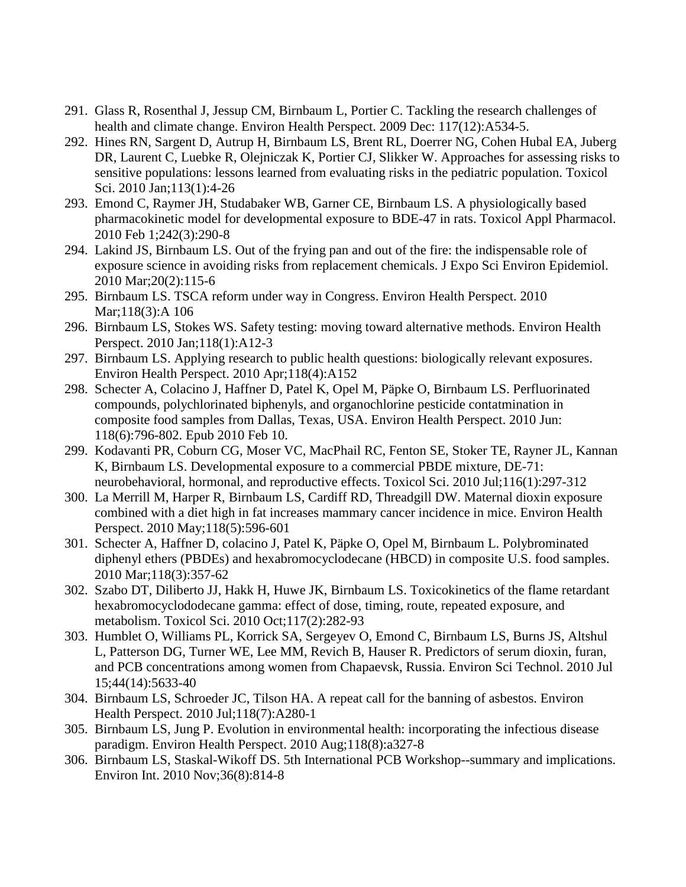- 291. Glass R, Rosenthal J, Jessup CM, Birnbaum L, Portier C. Tackling the research challenges of health and climate change. Environ Health Perspect. 2009 Dec: 117(12):A534-5.
- 292. Hines RN, Sargent D, Autrup H, Birnbaum LS, Brent RL, Doerrer NG, Cohen Hubal EA, Juberg DR, Laurent C, Luebke R, Olejniczak K, Portier CJ, Slikker W. Approaches for assessing risks to sensitive populations: lessons learned from evaluating risks in the pediatric population. Toxicol Sci. 2010 Jan;113(1):4-26
- 293. Emond C, Raymer JH, Studabaker WB, Garner CE, Birnbaum LS. A physiologically based pharmacokinetic model for developmental exposure to BDE-47 in rats. Toxicol Appl Pharmacol. 2010 Feb 1;242(3):290-8
- 294. Lakind JS, Birnbaum LS. Out of the frying pan and out of the fire: the indispensable role of exposure science in avoiding risks from replacement chemicals. J Expo Sci Environ Epidemiol. 2010 Mar;20(2):115-6
- 295. Birnbaum LS. TSCA reform under way in Congress. Environ Health Perspect. 2010 Mar;118(3):A 106
- 296. Birnbaum LS, Stokes WS. Safety testing: moving toward alternative methods. Environ Health Perspect. 2010 Jan;118(1):A12-3
- 297. Birnbaum LS. Applying research to public health questions: biologically relevant exposures. Environ Health Perspect. 2010 Apr;118(4):A152
- 298. Schecter A, Colacino J, Haffner D, Patel K, Opel M, Päpke O, Birnbaum LS. Perfluorinated compounds, polychlorinated biphenyls, and organochlorine pesticide contatmination in composite food samples from Dallas, Texas, USA. Environ Health Perspect. 2010 Jun: 118(6):796-802. Epub 2010 Feb 10.
- 299. Kodavanti PR, Coburn CG, Moser VC, MacPhail RC, Fenton SE, Stoker TE, Rayner JL, Kannan K, Birnbaum LS. Developmental exposure to a commercial PBDE mixture, DE-71: neurobehavioral, hormonal, and reproductive effects. Toxicol Sci. 2010 Jul;116(1):297-312
- 300. La Merrill M, Harper R, Birnbaum LS, Cardiff RD, Threadgill DW. Maternal dioxin exposure combined with a diet high in fat increases mammary cancer incidence in mice. Environ Health Perspect. 2010 May;118(5):596-601
- 301. Schecter A, Haffner D, colacino J, Patel K, Päpke O, Opel M, Birnbaum L. Polybrominated diphenyl ethers (PBDEs) and hexabromocyclodecane (HBCD) in composite U.S. food samples. 2010 Mar;118(3):357-62
- 302. Szabo DT, Diliberto JJ, Hakk H, Huwe JK, Birnbaum LS. Toxicokinetics of the flame retardant hexabromocyclododecane gamma: effect of dose, timing, route, repeated exposure, and metabolism. Toxicol Sci. 2010 Oct;117(2):282-93
- 303. Humblet O, Williams PL, Korrick SA, Sergeyev O, Emond C, Birnbaum LS, Burns JS, Altshul L, Patterson DG, Turner WE, Lee MM, Revich B, Hauser R. Predictors of serum dioxin, furan, and PCB concentrations among women from Chapaevsk, Russia. Environ Sci Technol. 2010 Jul 15;44(14):5633-40
- 304. Birnbaum LS, Schroeder JC, Tilson HA. A repeat call for the banning of asbestos. Environ Health Perspect. 2010 Jul;118(7):A280-1
- 305. Birnbaum LS, Jung P. Evolution in environmental health: incorporating the infectious disease paradigm. Environ Health Perspect. 2010 Aug;118(8):a327-8
- 306. Birnbaum LS, Staskal-Wikoff DS. 5th International PCB Workshop--summary and implications. Environ Int. 2010 Nov;36(8):814-8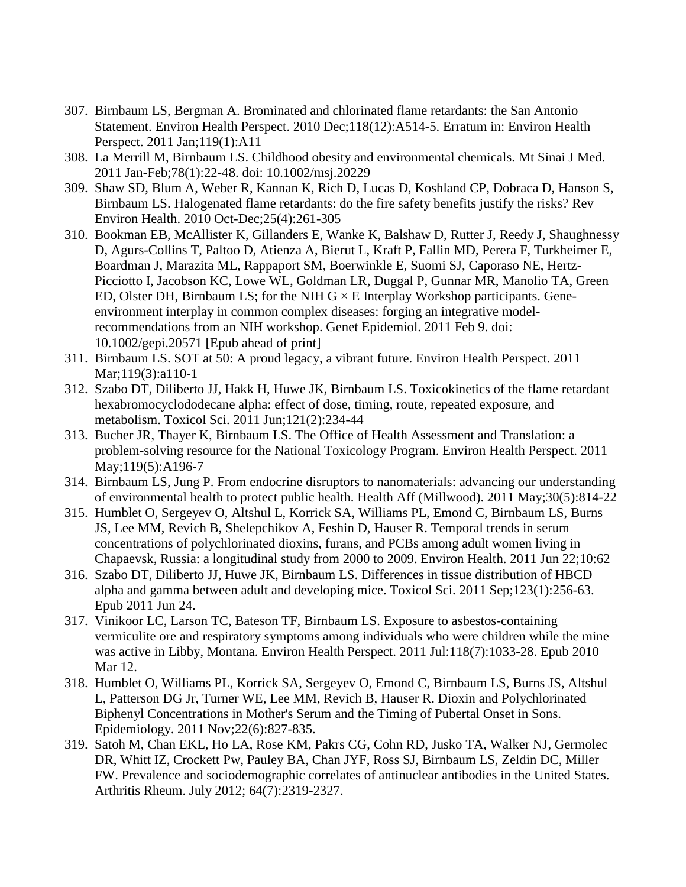- 307. Birnbaum LS, Bergman A. Brominated and chlorinated flame retardants: the San Antonio Statement. Environ Health Perspect. 2010 Dec;118(12):A514-5. Erratum in: Environ Health Perspect. 2011 Jan;119(1):A11
- 308. La Merrill M, Birnbaum LS. Childhood obesity and environmental chemicals. Mt Sinai J Med. 2011 Jan-Feb;78(1):22-48. doi: 10.1002/msj.20229
- 309. Shaw SD, Blum A, Weber R, Kannan K, Rich D, Lucas D, Koshland CP, Dobraca D, Hanson S, Birnbaum LS. Halogenated flame retardants: do the fire safety benefits justify the risks? Rev Environ Health. 2010 Oct-Dec;25(4):261-305
- 310. Bookman EB, McAllister K, Gillanders E, Wanke K, Balshaw D, Rutter J, Reedy J, Shaughnessy D, Agurs-Collins T, Paltoo D, Atienza A, Bierut L, Kraft P, Fallin MD, Perera F, Turkheimer E, Boardman J, Marazita ML, Rappaport SM, Boerwinkle E, Suomi SJ, Caporaso NE, Hertz-Picciotto I, Jacobson KC, Lowe WL, Goldman LR, Duggal P, Gunnar MR, Manolio TA, Green ED, Olster DH, Birnbaum LS; for the NIH  $G \times E$  Interplay Workshop participants. Geneenvironment interplay in common complex diseases: forging an integrative modelrecommendations from an NIH workshop. Genet Epidemiol. 2011 Feb 9. doi: 10.1002/gepi.20571 [Epub ahead of print]
- 311. Birnbaum LS. SOT at 50: A proud legacy, a vibrant future. Environ Health Perspect. 2011 Mar;119(3):a110-1
- 312. Szabo DT, Diliberto JJ, Hakk H, Huwe JK, Birnbaum LS. Toxicokinetics of the flame retardant hexabromocyclododecane alpha: effect of dose, timing, route, repeated exposure, and metabolism. Toxicol Sci. 2011 Jun;121(2):234-44
- 313. Bucher JR, Thayer K, Birnbaum LS. The Office of Health Assessment and Translation: a problem-solving resource for the National Toxicology Program. Environ Health Perspect. 2011 May;119(5):A196-7
- 314. Birnbaum LS, Jung P. From endocrine disruptors to nanomaterials: advancing our understanding of environmental health to protect public health. Health Aff (Millwood). 2011 May;30(5):814-22
- 315. Humblet O, Sergeyev O, Altshul L, Korrick SA, Williams PL, Emond C, Birnbaum LS, Burns JS, Lee MM, Revich B, Shelepchikov A, Feshin D, Hauser R. Temporal trends in serum concentrations of polychlorinated dioxins, furans, and PCBs among adult women living in Chapaevsk, Russia: a longitudinal study from 2000 to 2009. Environ Health. 2011 Jun 22;10:62
- 316. Szabo DT, Diliberto JJ, Huwe JK, Birnbaum LS. Differences in tissue distribution of HBCD alpha and gamma between adult and developing mice. Toxicol Sci. 2011 Sep;123(1):256-63. Epub 2011 Jun 24.
- 317. Vinikoor LC, Larson TC, Bateson TF, Birnbaum LS. Exposure to asbestos-containing vermiculite ore and respiratory symptoms among individuals who were children while the mine was active in Libby, Montana. Environ Health Perspect. 2011 Jul:118(7):1033-28. Epub 2010 Mar 12.
- 318. Humblet O, Williams PL, Korrick SA, Sergeyev O, Emond C, Birnbaum LS, Burns JS, Altshul L, Patterson DG Jr, Turner WE, Lee MM, Revich B, Hauser R. Dioxin and Polychlorinated Biphenyl Concentrations in Mother's Serum and the Timing of Pubertal Onset in Sons. Epidemiology. 2011 Nov;22(6):827-835.
- 319. Satoh M, Chan EKL, Ho LA, Rose KM, Pakrs CG, Cohn RD, Jusko TA, Walker NJ, Germolec DR, Whitt IZ, Crockett Pw, Pauley BA, Chan JYF, Ross SJ, Birnbaum LS, Zeldin DC, Miller FW. Prevalence and sociodemographic correlates of antinuclear antibodies in the United States. Arthritis Rheum. July 2012; 64(7):2319-2327.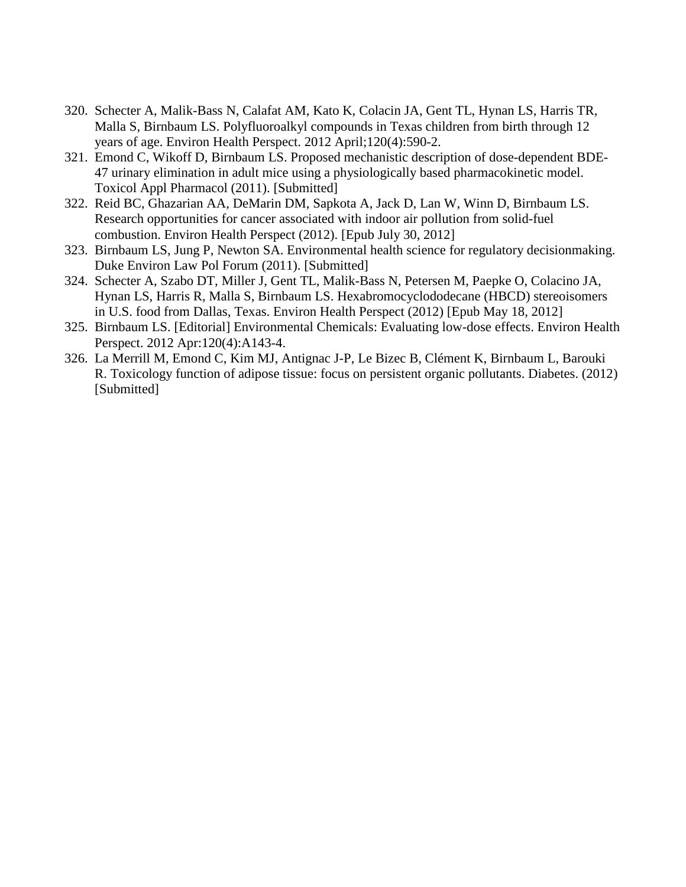- 320. Schecter A, Malik-Bass N, Calafat AM, Kato K, Colacin JA, Gent TL, Hynan LS, Harris TR, Malla S, Birnbaum LS. Polyfluoroalkyl compounds in Texas children from birth through 12 years of age. Environ Health Perspect. 2012 April;120(4):590-2.
- 321. Emond C, Wikoff D, Birnbaum LS. Proposed mechanistic description of dose-dependent BDE-47 urinary elimination in adult mice using a physiologically based pharmacokinetic model. Toxicol Appl Pharmacol (2011). [Submitted]
- 322. Reid BC, Ghazarian AA, DeMarin DM, Sapkota A, Jack D, Lan W, Winn D, Birnbaum LS. Research opportunities for cancer associated with indoor air pollution from solid-fuel combustion. Environ Health Perspect (2012). [Epub July 30, 2012]
- 323. Birnbaum LS, Jung P, Newton SA. Environmental health science for regulatory decisionmaking. Duke Environ Law Pol Forum (2011). [Submitted]
- 324. Schecter A, Szabo DT, Miller J, Gent TL, Malik-Bass N, Petersen M, Paepke O, Colacino JA, Hynan LS, Harris R, Malla S, Birnbaum LS. Hexabromocyclododecane (HBCD) stereoisomers in U.S. food from Dallas, Texas. Environ Health Perspect (2012) [Epub May 18, 2012]
- 325. Birnbaum LS. [Editorial] Environmental Chemicals: Evaluating low-dose effects. Environ Health Perspect. 2012 Apr:120(4):A143-4.
- 326. La Merrill M, Emond C, Kim MJ, Antignac J-P, Le Bizec B, Clément K, Birnbaum L, Barouki R. Toxicology function of adipose tissue: focus on persistent organic pollutants. Diabetes. (2012) [Submitted]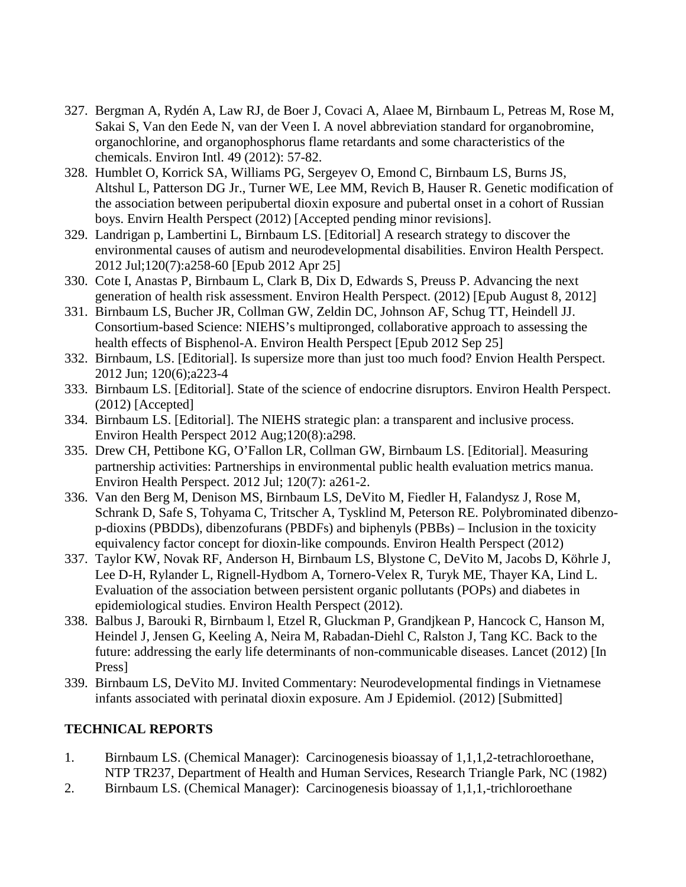- 327. Bergman A, Rydén A, Law RJ, de Boer J, Covaci A, Alaee M, Birnbaum L, Petreas M, Rose M, Sakai S, Van den Eede N, van der Veen I. A novel abbreviation standard for organobromine, organochlorine, and organophosphorus flame retardants and some characteristics of the chemicals. Environ Intl. 49 (2012): 57-82.
- 328. Humblet O, Korrick SA, Williams PG, Sergeyev O, Emond C, Birnbaum LS, Burns JS, Altshul L, Patterson DG Jr., Turner WE, Lee MM, Revich B, Hauser R. Genetic modification of the association between peripubertal dioxin exposure and pubertal onset in a cohort of Russian boys. Envirn Health Perspect (2012) [Accepted pending minor revisions].
- 329. Landrigan p, Lambertini L, Birnbaum LS. [Editorial] A research strategy to discover the environmental causes of autism and neurodevelopmental disabilities. Environ Health Perspect. 2012 Jul;120(7):a258-60 [Epub 2012 Apr 25]
- 330. Cote I, Anastas P, Birnbaum L, Clark B, Dix D, Edwards S, Preuss P. Advancing the next generation of health risk assessment. Environ Health Perspect. (2012) [Epub August 8, 2012]
- 331. Birnbaum LS, Bucher JR, Collman GW, Zeldin DC, Johnson AF, Schug TT, Heindell JJ. Consortium-based Science: NIEHS's multipronged, collaborative approach to assessing the health effects of Bisphenol-A. Environ Health Perspect [Epub 2012 Sep 25]
- 332. Birnbaum, LS. [Editorial]. Is supersize more than just too much food? Envion Health Perspect. 2012 Jun; 120(6);a223-4
- 333. Birnbaum LS. [Editorial]. State of the science of endocrine disruptors. Environ Health Perspect. (2012) [Accepted]
- 334. Birnbaum LS. [Editorial]. The NIEHS strategic plan: a transparent and inclusive process. Environ Health Perspect 2012 Aug;120(8):a298.
- 335. Drew CH, Pettibone KG, O'Fallon LR, Collman GW, Birnbaum LS. [Editorial]. Measuring partnership activities: Partnerships in environmental public health evaluation metrics manua. Environ Health Perspect. 2012 Jul; 120(7): a261-2.
- 336. Van den Berg M, Denison MS, Birnbaum LS, DeVito M, Fiedler H, Falandysz J, Rose M, Schrank D, Safe S, Tohyama C, Tritscher A, Tysklind M, Peterson RE. Polybrominated dibenzop-dioxins (PBDDs), dibenzofurans (PBDFs) and biphenyls (PBBs) – Inclusion in the toxicity equivalency factor concept for dioxin-like compounds. Environ Health Perspect (2012)
- 337. Taylor KW, Novak RF, Anderson H, Birnbaum LS, Blystone C, DeVito M, Jacobs D, Köhrle J, Lee D-H, Rylander L, Rignell-Hydbom A, Tornero-Velex R, Turyk ME, Thayer KA, Lind L. Evaluation of the association between persistent organic pollutants (POPs) and diabetes in epidemiological studies. Environ Health Perspect (2012).
- 338. Balbus J, Barouki R, Birnbaum l, Etzel R, Gluckman P, Grandjkean P, Hancock C, Hanson M, Heindel J, Jensen G, Keeling A, Neira M, Rabadan-Diehl C, Ralston J, Tang KC. Back to the future: addressing the early life determinants of non-communicable diseases. Lancet (2012) [In Press]
- 339. Birnbaum LS, DeVito MJ. Invited Commentary: Neurodevelopmental findings in Vietnamese infants associated with perinatal dioxin exposure. Am J Epidemiol. (2012) [Submitted]

# **TECHNICAL REPORTS**

- 1. Birnbaum LS. (Chemical Manager): Carcinogenesis bioassay of 1,1,1,2-tetrachloroethane, NTP TR237, Department of Health and Human Services, Research Triangle Park, NC (1982)
- 2. Birnbaum LS. (Chemical Manager): Carcinogenesis bioassay of 1,1,1,-trichloroethane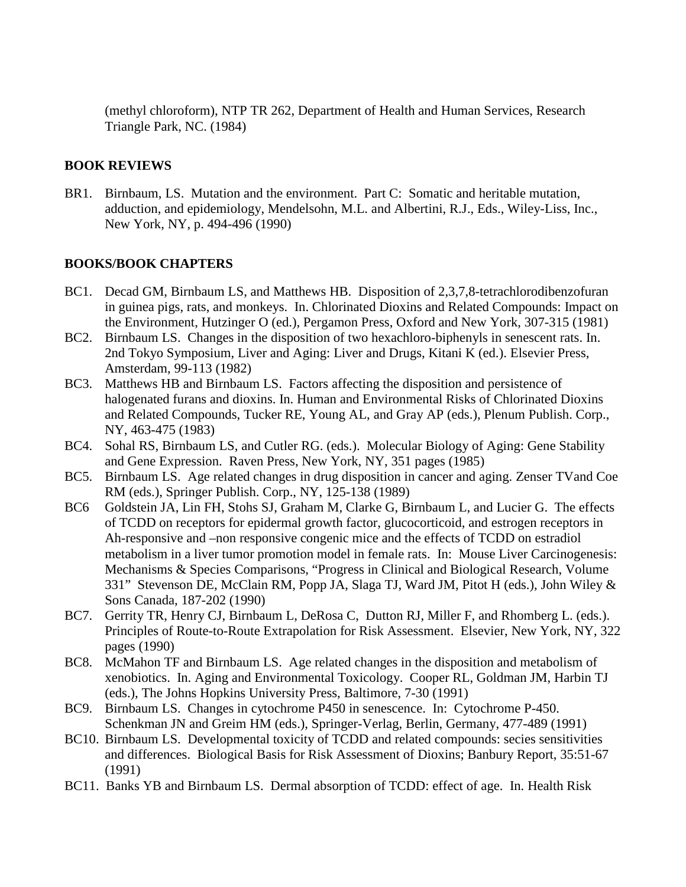(methyl chloroform), NTP TR 262, Department of Health and Human Services, Research Triangle Park, NC. (1984)

## **BOOK REVIEWS**

BR1. Birnbaum, LS. Mutation and the environment. Part C: Somatic and heritable mutation, adduction, and epidemiology, Mendelsohn, M.L. and Albertini, R.J., Eds., Wiley-Liss, Inc., New York, NY, p. 494-496 (1990)

## **BOOKS/BOOK CHAPTERS**

- BC1. Decad GM, Birnbaum LS, and Matthews HB. Disposition of 2,3,7,8-tetrachlorodibenzofuran in guinea pigs, rats, and monkeys. In. Chlorinated Dioxins and Related Compounds: Impact on the Environment, Hutzinger O (ed.), Pergamon Press, Oxford and New York, 307-315 (1981)
- BC2. Birnbaum LS. Changes in the disposition of two hexachloro-biphenyls in senescent rats. In. 2nd Tokyo Symposium, Liver and Aging: Liver and Drugs, Kitani K (ed.). Elsevier Press, Amsterdam, 99-113 (1982)
- BC3. Matthews HB and Birnbaum LS. Factors affecting the disposition and persistence of halogenated furans and dioxins. In. Human and Environmental Risks of Chlorinated Dioxins and Related Compounds, Tucker RE, Young AL, and Gray AP (eds.), Plenum Publish. Corp., NY, 463-475 (1983)
- BC4. Sohal RS, Birnbaum LS, and Cutler RG. (eds.). Molecular Biology of Aging: Gene Stability and Gene Expression. Raven Press, New York, NY, 351 pages (1985)
- BC5. Birnbaum LS. Age related changes in drug disposition in cancer and aging. Zenser TVand Coe RM (eds.), Springer Publish. Corp., NY, 125-138 (1989)
- BC6 Goldstein JA, Lin FH, Stohs SJ, Graham M, Clarke G, Birnbaum L, and Lucier G. The effects of TCDD on receptors for epidermal growth factor, glucocorticoid, and estrogen receptors in Ah-responsive and –non responsive congenic mice and the effects of TCDD on estradiol metabolism in a liver tumor promotion model in female rats. In: Mouse Liver Carcinogenesis: Mechanisms & Species Comparisons, "Progress in Clinical and Biological Research, Volume 331" Stevenson DE, McClain RM, Popp JA, Slaga TJ, Ward JM, Pitot H (eds.), John Wiley & Sons Canada, 187-202 (1990)
- BC7. Gerrity TR, Henry CJ, Birnbaum L, DeRosa C, Dutton RJ, Miller F, and Rhomberg L. (eds.). Principles of Route-to-Route Extrapolation for Risk Assessment. Elsevier, New York, NY, 322 pages (1990)
- BC8. McMahon TF and Birnbaum LS. Age related changes in the disposition and metabolism of xenobiotics. In. Aging and Environmental Toxicology. Cooper RL, Goldman JM, Harbin TJ (eds.), The Johns Hopkins University Press, Baltimore, 7-30 (1991)
- BC9. Birnbaum LS. Changes in cytochrome P450 in senescence. In: Cytochrome P-450. Schenkman JN and Greim HM (eds.), Springer-Verlag, Berlin, Germany, 477-489 (1991)
- BC10. Birnbaum LS. Developmental toxicity of TCDD and related compounds: secies sensitivities and differences. Biological Basis for Risk Assessment of Dioxins; Banbury Report, 35:51-67 (1991)
- BC11. Banks YB and Birnbaum LS. Dermal absorption of TCDD: effect of age. In. Health Risk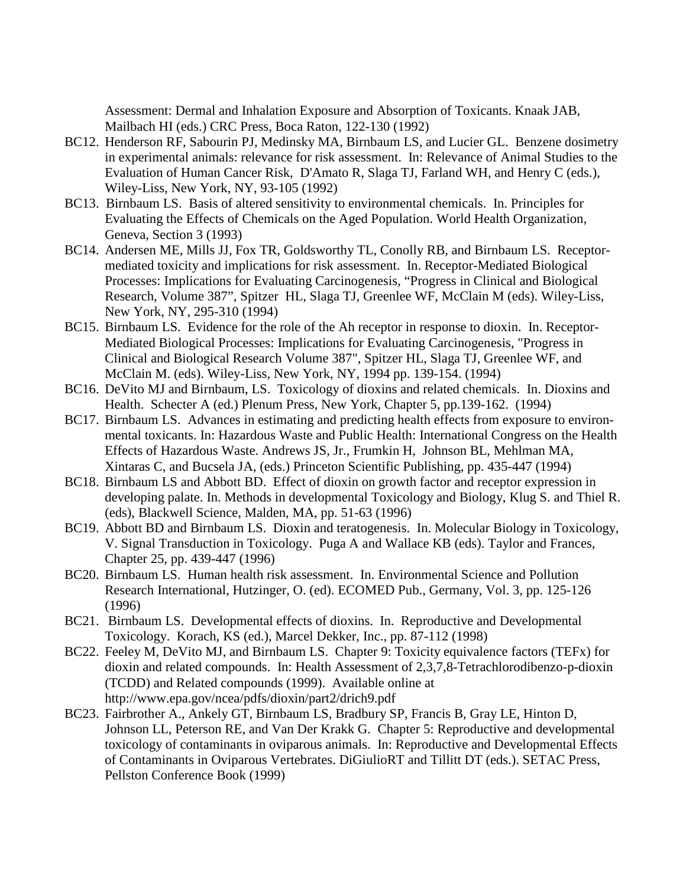Assessment: Dermal and Inhalation Exposure and Absorption of Toxicants. Knaak JAB, Mailbach HI (eds.) CRC Press, Boca Raton, 122-130 (1992)

- BC12. Henderson RF, Sabourin PJ, Medinsky MA, Birnbaum LS, and Lucier GL. Benzene dosimetry in experimental animals: relevance for risk assessment. In: Relevance of Animal Studies to the Evaluation of Human Cancer Risk, D'Amato R, Slaga TJ, Farland WH, and Henry C (eds.), Wiley-Liss, New York, NY, 93-105 (1992)
- BC13. Birnbaum LS. Basis of altered sensitivity to environmental chemicals. In. Principles for Evaluating the Effects of Chemicals on the Aged Population. World Health Organization, Geneva, Section 3 (1993)
- BC14. Andersen ME, Mills JJ, Fox TR, Goldsworthy TL, Conolly RB, and Birnbaum LS. Receptormediated toxicity and implications for risk assessment. In. Receptor-Mediated Biological Processes: Implications for Evaluating Carcinogenesis, "Progress in Clinical and Biological Research, Volume 387", Spitzer HL, Slaga TJ, Greenlee WF, McClain M (eds). Wiley-Liss, New York, NY, 295-310 (1994)
- BC15. Birnbaum LS. Evidence for the role of the Ah receptor in response to dioxin. In. Receptor-Mediated Biological Processes: Implications for Evaluating Carcinogenesis, "Progress in Clinical and Biological Research Volume 387", Spitzer HL, Slaga TJ, Greenlee WF, and McClain M. (eds). Wiley-Liss, New York, NY, 1994 pp. 139-154. (1994)
- BC16. DeVito MJ and Birnbaum, LS. Toxicology of dioxins and related chemicals. In. Dioxins and Health. Schecter A (ed.) Plenum Press, New York, Chapter 5, pp.139-162. (1994)
- BC17. Birnbaum LS. Advances in estimating and predicting health effects from exposure to environmental toxicants. In: Hazardous Waste and Public Health: International Congress on the Health Effects of Hazardous Waste. Andrews JS, Jr., Frumkin H, Johnson BL, Mehlman MA, Xintaras C, and Bucsela JA, (eds.) Princeton Scientific Publishing, pp. 435-447 (1994)
- BC18. Birnbaum LS and Abbott BD. Effect of dioxin on growth factor and receptor expression in developing palate. In. Methods in developmental Toxicology and Biology, Klug S. and Thiel R. (eds), Blackwell Science, Malden, MA, pp. 51-63 (1996)
- BC19. Abbott BD and Birnbaum LS. Dioxin and teratogenesis. In. Molecular Biology in Toxicology, V. Signal Transduction in Toxicology. Puga A and Wallace KB (eds). Taylor and Frances, Chapter 25, pp. 439-447 (1996)
- BC20. Birnbaum LS. Human health risk assessment. In. Environmental Science and Pollution Research International, Hutzinger, O. (ed). ECOMED Pub., Germany, Vol. 3, pp. 125-126 (1996)
- BC21. Birnbaum LS. Developmental effects of dioxins. In. Reproductive and Developmental Toxicology. Korach, KS (ed.), Marcel Dekker, Inc., pp. 87-112 (1998)
- BC22. Feeley M, DeVito MJ, and Birnbaum LS. Chapter 9: Toxicity equivalence factors (TEFx) for dioxin and related compounds. In: Health Assessment of 2,3,7,8-Tetrachlorodibenzo-p-dioxin (TCDD) and Related compounds (1999). Available online at http://www.epa.gov/ncea/pdfs/dioxin/part2/drich9.pdf
- BC23. Fairbrother A., Ankely GT, Birnbaum LS, Bradbury SP, Francis B, Gray LE, Hinton D, Johnson LL, Peterson RE, and Van Der Krakk G. Chapter 5: Reproductive and developmental toxicology of contaminants in oviparous animals. In: Reproductive and Developmental Effects of Contaminants in Oviparous Vertebrates. DiGiulioRT and Tillitt DT (eds.). SETAC Press, Pellston Conference Book (1999)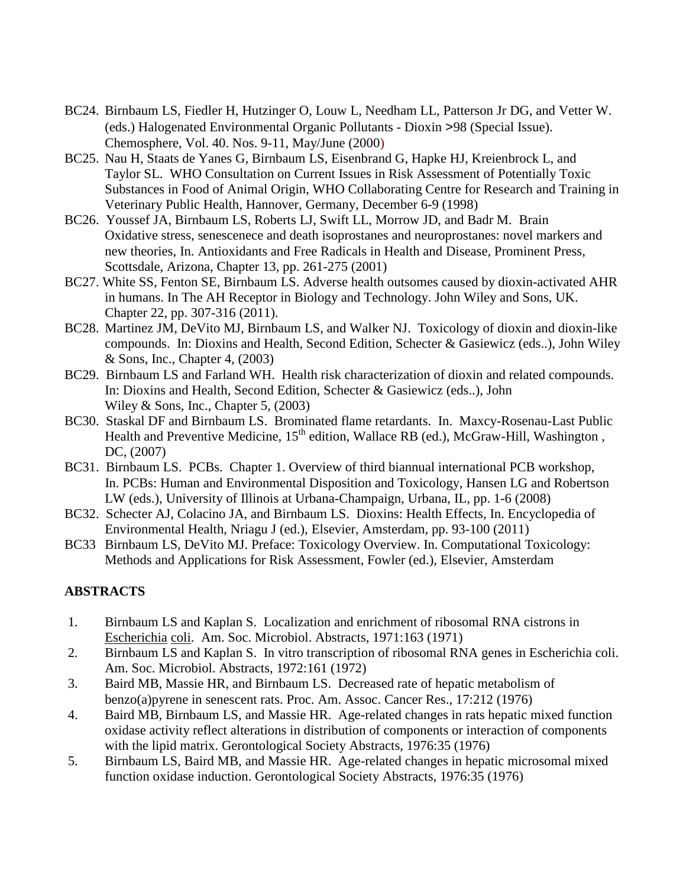- BC24. Birnbaum LS, Fiedler H, Hutzinger O, Louw L, Needham LL, Patterson Jr DG, and Vetter W. (eds.) Halogenated Environmental Organic Pollutants - Dioxin >98 (Special Issue). Chemosphere, Vol. 40. Nos. 9-11, May/June (2000)
- BC25. Nau H, Staats de Yanes G, Birnbaum LS, Eisenbrand G, Hapke HJ, Kreienbrock L, and Taylor SL. WHO Consultation on Current Issues in Risk Assessment of Potentially Toxic Substances in Food of Animal Origin, WHO Collaborating Centre for Research and Training in Veterinary Public Health, Hannover, Germany, December 6-9 (1998)
- BC26. Youssef JA, Birnbaum LS, Roberts LJ, Swift LL, Morrow JD, and Badr M. Brain Oxidative stress, senescenece and death isoprostanes and neuroprostanes: novel markers and new theories, In. Antioxidants and Free Radicals in Health and Disease, Prominent Press, Scottsdale, Arizona, Chapter 13, pp. 261-275 (2001)
- BC27. White SS, Fenton SE, Birnbaum LS. Adverse health outsomes caused by dioxin-activated AHR in humans. In The AH Receptor in Biology and Technology. John Wiley and Sons, UK. Chapter 22, pp. 307-316 (2011).
- BC28. Martinez JM, DeVito MJ, Birnbaum LS, and Walker NJ. Toxicology of dioxin and dioxin-like compounds. In: Dioxins and Health, Second Edition, Schecter & Gasiewicz (eds..), John Wiley & Sons, Inc., Chapter 4, (2003)
- BC29. Birnbaum LS and Farland WH. Health risk characterization of dioxin and related compounds. In: Dioxins and Health, Second Edition, Schecter & Gasiewicz (eds..), John Wiley & Sons, Inc., Chapter 5, (2003)
- BC30. Staskal DF and Birnbaum LS. Brominated flame retardants. In. Maxcy-Rosenau-Last Public Health and Preventive Medicine, 15<sup>th</sup> edition, Wallace RB (ed.), McGraw-Hill, Washington, DC, (2007)
- BC31. Birnbaum LS. PCBs. Chapter 1. Overview of third biannual international PCB workshop, In. PCBs: Human and Environmental Disposition and Toxicology, Hansen LG and Robertson LW (eds.), University of Illinois at Urbana-Champaign, Urbana, IL, pp. 1-6 (2008)
- BC32. Schecter AJ, Colacino JA, and Birnbaum LS. Dioxins: Health Effects, In. Encyclopedia of Environmental Health, Nriagu J (ed.), Elsevier, Amsterdam, pp. 93-100 (2011)
- BC33 Birnbaum LS, DeVito MJ. Preface: Toxicology Overview. In. Computational Toxicology: Methods and Applications for Risk Assessment, Fowler (ed.), Elsevier, Amsterdam

# **ABSTRACTS**

- 1. Birnbaum LS and Kaplan S. Localization and enrichment of ribosomal RNA cistrons in Escherichia coli. Am. Soc. Microbiol. Abstracts, 1971:163 (1971)
- 2. Birnbaum LS and Kaplan S. In vitro transcription of ribosomal RNA genes in Escherichia coli. Am. Soc. Microbiol. Abstracts, 1972:161 (1972)
- 3. Baird MB, Massie HR, and Birnbaum LS. Decreased rate of hepatic metabolism of benzo(a)pyrene in senescent rats. Proc. Am. Assoc. Cancer Res., 17:212 (1976)
- 4. Baird MB, Birnbaum LS, and Massie HR. Age-related changes in rats hepatic mixed function oxidase activity reflect alterations in distribution of components or interaction of components with the lipid matrix. Gerontological Society Abstracts, 1976:35 (1976)
- 5. Birnbaum LS, Baird MB, and Massie HR. Age-related changes in hepatic microsomal mixed function oxidase induction. Gerontological Society Abstracts, 1976:35 (1976)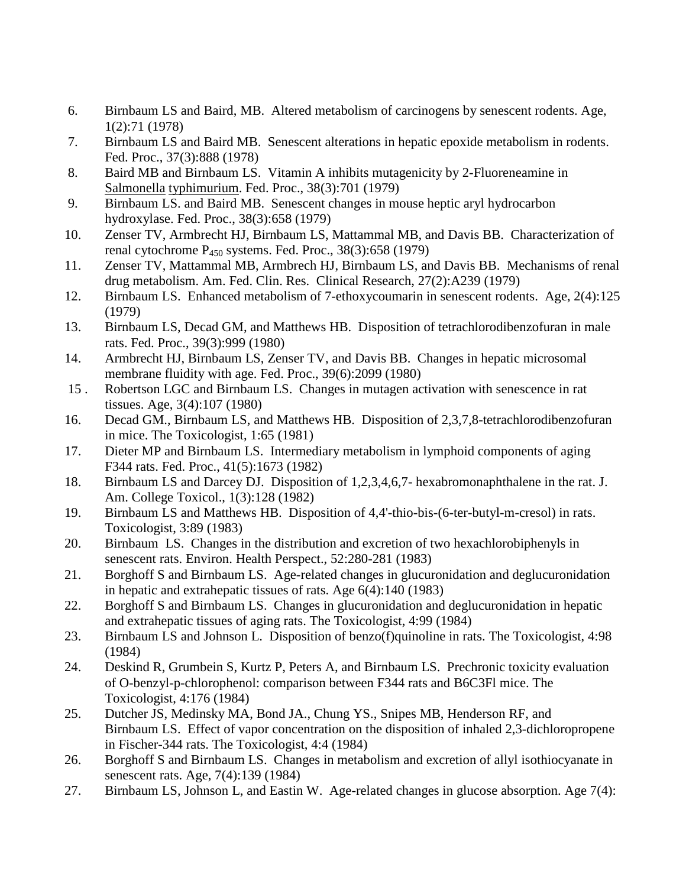- 6. Birnbaum LS and Baird, MB. Altered metabolism of carcinogens by senescent rodents. Age, 1(2):71 (1978)
- 7. Birnbaum LS and Baird MB. Senescent alterations in hepatic epoxide metabolism in rodents. Fed. Proc., 37(3):888 (1978)
- 8. Baird MB and Birnbaum LS. Vitamin A inhibits mutagenicity by 2-Fluoreneamine in Salmonella typhimurium. Fed. Proc., 38(3):701 (1979)
- 9. Birnbaum LS. and Baird MB. Senescent changes in mouse heptic aryl hydrocarbon hydroxylase. Fed. Proc., 38(3):658 (1979)
- 10. Zenser TV, Armbrecht HJ, Birnbaum LS, Mattammal MB, and Davis BB. Characterization of renal cytochrome  $P_{450}$  systems. Fed. Proc., 38(3):658 (1979)
- 11. Zenser TV, Mattammal MB, Armbrech HJ, Birnbaum LS, and Davis BB. Mechanisms of renal drug metabolism. Am. Fed. Clin. Res. Clinical Research, 27(2):A239 (1979)
- 12. Birnbaum LS. Enhanced metabolism of 7-ethoxycoumarin in senescent rodents. Age, 2(4):125 (1979)
- 13. Birnbaum LS, Decad GM, and Matthews HB. Disposition of tetrachlorodibenzofuran in male rats. Fed. Proc., 39(3):999 (1980)
- 14. Armbrecht HJ, Birnbaum LS, Zenser TV, and Davis BB. Changes in hepatic microsomal membrane fluidity with age. Fed. Proc., 39(6):2099 (1980)
- 15 . Robertson LGC and Birnbaum LS. Changes in mutagen activation with senescence in rat tissues. Age, 3(4):107 (1980)
- 16. Decad GM., Birnbaum LS, and Matthews HB. Disposition of 2,3,7,8-tetrachlorodibenzofuran in mice. The Toxicologist, 1:65 (1981)
- 17. Dieter MP and Birnbaum LS. Intermediary metabolism in lymphoid components of aging F344 rats. Fed. Proc., 41(5):1673 (1982)
- 18. Birnbaum LS and Darcey DJ. Disposition of 1,2,3,4,6,7- hexabromonaphthalene in the rat. J. Am. College Toxicol., 1(3):128 (1982)
- 19. Birnbaum LS and Matthews HB. Disposition of 4,4'-thio-bis-(6-ter-butyl-m-cresol) in rats. Toxicologist, 3:89 (1983)
- 20. Birnbaum LS. Changes in the distribution and excretion of two hexachlorobiphenyls in senescent rats. Environ. Health Perspect., 52:280-281 (1983)
- 21. Borghoff S and Birnbaum LS. Age-related changes in glucuronidation and deglucuronidation in hepatic and extrahepatic tissues of rats. Age 6(4):140 (1983)
- 22. Borghoff S and Birnbaum LS. Changes in glucuronidation and deglucuronidation in hepatic and extrahepatic tissues of aging rats. The Toxicologist, 4:99 (1984)
- 23. Birnbaum LS and Johnson L. Disposition of benzo(f)quinoline in rats. The Toxicologist, 4:98 (1984)
- 24. Deskind R, Grumbein S, Kurtz P, Peters A, and Birnbaum LS. Prechronic toxicity evaluation of O-benzyl-p-chlorophenol: comparison between F344 rats and B6C3Fl mice. The Toxicologist, 4:176 (1984)
- 25. Dutcher JS, Medinsky MA, Bond JA., Chung YS., Snipes MB, Henderson RF, and Birnbaum LS. Effect of vapor concentration on the disposition of inhaled 2,3-dichloropropene in Fischer-344 rats. The Toxicologist, 4:4 (1984)
- 26. Borghoff S and Birnbaum LS. Changes in metabolism and excretion of allyl isothiocyanate in senescent rats. Age, 7(4):139 (1984)
- 27. Birnbaum LS, Johnson L, and Eastin W. Age-related changes in glucose absorption. Age 7(4):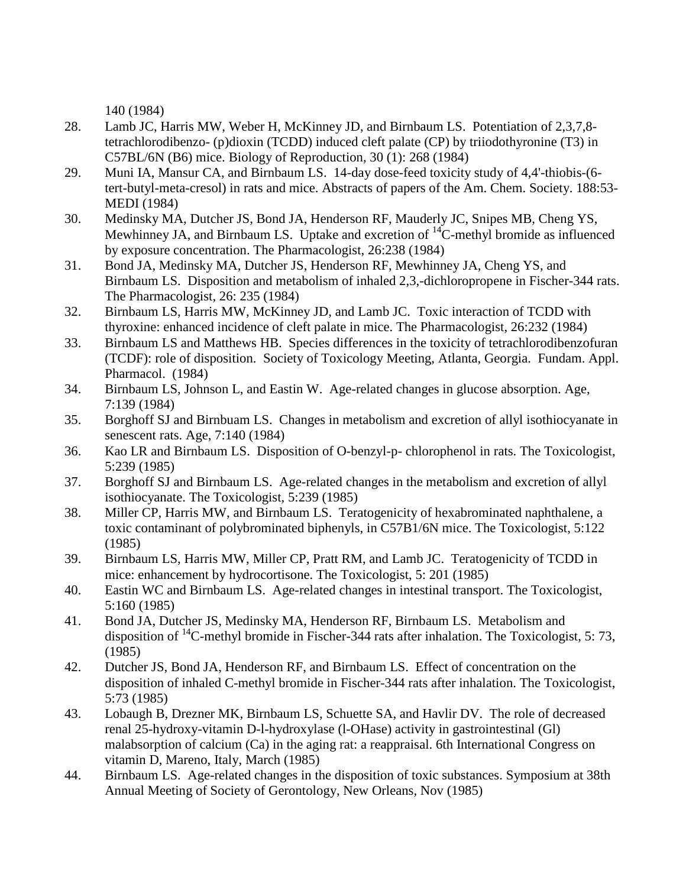140 (1984)

- 28. Lamb JC, Harris MW, Weber H, McKinney JD, and Birnbaum LS. Potentiation of 2,3,7,8 tetrachlorodibenzo- (p)dioxin (TCDD) induced cleft palate (CP) by triiodothyronine (T3) in C57BL/6N (B6) mice. Biology of Reproduction, 30 (1): 268 (1984)
- 29. Muni IA, Mansur CA, and Birnbaum LS. 14-day dose-feed toxicity study of 4,4'-thiobis-(6 tert-butyl-meta-cresol) in rats and mice. Abstracts of papers of the Am. Chem. Society. 188:53- MEDI (1984)
- 30. Medinsky MA, Dutcher JS, Bond JA, Henderson RF, Mauderly JC, Snipes MB, Cheng YS, Mewhinney JA, and Birnbaum LS. Uptake and excretion of  $^{14}$ C-methyl bromide as influenced by exposure concentration. The Pharmacologist, 26:238 (1984)
- 31. Bond JA, Medinsky MA, Dutcher JS, Henderson RF, Mewhinney JA, Cheng YS, and Birnbaum LS. Disposition and metabolism of inhaled 2,3,-dichloropropene in Fischer-344 rats. The Pharmacologist, 26: 235 (1984)
- 32. Birnbaum LS, Harris MW, McKinney JD, and Lamb JC. Toxic interaction of TCDD with thyroxine: enhanced incidence of cleft palate in mice. The Pharmacologist, 26:232 (1984)
- 33. Birnbaum LS and Matthews HB. Species differences in the toxicity of tetrachlorodibenzofuran (TCDF): role of disposition. Society of Toxicology Meeting, Atlanta, Georgia. Fundam. Appl. Pharmacol. (1984)
- 34. Birnbaum LS, Johnson L, and Eastin W. Age-related changes in glucose absorption. Age, 7:139 (1984)
- 35. Borghoff SJ and Birnbuam LS. Changes in metabolism and excretion of allyl isothiocyanate in senescent rats. Age, 7:140 (1984)
- 36. Kao LR and Birnbaum LS. Disposition of O-benzyl-p- chlorophenol in rats. The Toxicologist, 5:239 (1985)
- 37. Borghoff SJ and Birnbaum LS. Age-related changes in the metabolism and excretion of allyl isothiocyanate. The Toxicologist, 5:239 (1985)
- 38. Miller CP, Harris MW, and Birnbaum LS. Teratogenicity of hexabrominated naphthalene, a toxic contaminant of polybrominated biphenyls, in C57B1/6N mice. The Toxicologist, 5:122 (1985)
- 39. Birnbaum LS, Harris MW, Miller CP, Pratt RM, and Lamb JC. Teratogenicity of TCDD in mice: enhancement by hydrocortisone. The Toxicologist, 5: 201 (1985)
- 40. Eastin WC and Birnbaum LS. Age-related changes in intestinal transport. The Toxicologist, 5:160 (1985)
- 41. Bond JA, Dutcher JS, Medinsky MA, Henderson RF, Birnbaum LS. Metabolism and disposition of <sup>14</sup>C-methyl bromide in Fischer-344 rats after inhalation. The Toxicologist, 5:73, (1985)
- 42. Dutcher JS, Bond JA, Henderson RF, and Birnbaum LS. Effect of concentration on the disposition of inhaled C-methyl bromide in Fischer-344 rats after inhalation. The Toxicologist, 5:73 (1985)
- 43. Lobaugh B, Drezner MK, Birnbaum LS, Schuette SA, and Havlir DV. The role of decreased renal 25-hydroxy-vitamin D-l-hydroxylase (l-OHase) activity in gastrointestinal (Gl) malabsorption of calcium (Ca) in the aging rat: a reappraisal. 6th International Congress on vitamin D, Mareno, Italy, March (1985)
- 44. Birnbaum LS. Age-related changes in the disposition of toxic substances. Symposium at 38th Annual Meeting of Society of Gerontology, New Orleans, Nov (1985)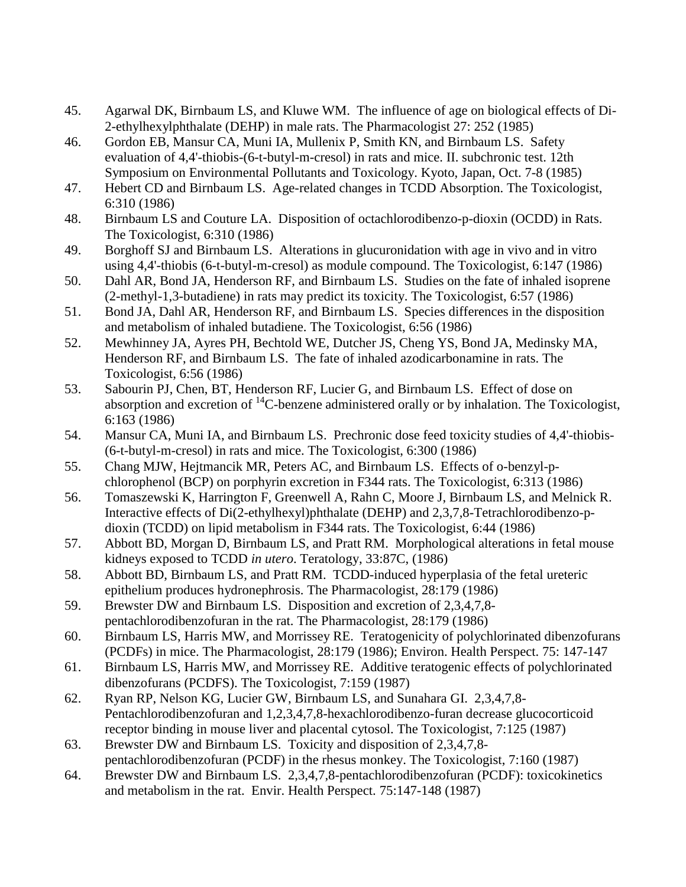- 45. Agarwal DK, Birnbaum LS, and Kluwe WM. The influence of age on biological effects of Di-2-ethylhexylphthalate (DEHP) in male rats. The Pharmacologist 27: 252 (1985)
- 46. Gordon EB, Mansur CA, Muni IA, Mullenix P, Smith KN, and Birnbaum LS. Safety evaluation of 4,4'-thiobis-(6-t-butyl-m-cresol) in rats and mice. II. subchronic test. 12th Symposium on Environmental Pollutants and Toxicology. Kyoto, Japan, Oct. 7-8 (1985)
- 47. Hebert CD and Birnbaum LS. Age-related changes in TCDD Absorption. The Toxicologist, 6:310 (1986)
- 48. Birnbaum LS and Couture LA. Disposition of octachlorodibenzo-p-dioxin (OCDD) in Rats. The Toxicologist, 6:310 (1986)
- 49. Borghoff SJ and Birnbaum LS. Alterations in glucuronidation with age in vivo and in vitro using 4,4'-thiobis (6-t-butyl-m-cresol) as module compound. The Toxicologist, 6:147 (1986)
- 50. Dahl AR, Bond JA, Henderson RF, and Birnbaum LS. Studies on the fate of inhaled isoprene (2-methyl-1,3-butadiene) in rats may predict its toxicity. The Toxicologist, 6:57 (1986)
- 51. Bond JA, Dahl AR, Henderson RF, and Birnbaum LS. Species differences in the disposition and metabolism of inhaled butadiene. The Toxicologist, 6:56 (1986)
- 52. Mewhinney JA, Ayres PH, Bechtold WE, Dutcher JS, Cheng YS, Bond JA, Medinsky MA, Henderson RF, and Birnbaum LS. The fate of inhaled azodicarbonamine in rats. The Toxicologist, 6:56 (1986)
- 53. Sabourin PJ, Chen, BT, Henderson RF, Lucier G, and Birnbaum LS. Effect of dose on absorption and excretion of  $^{14}$ C-benzene administered orally or by inhalation. The Toxicologist, 6:163 (1986)
- 54. Mansur CA, Muni IA, and Birnbaum LS. Prechronic dose feed toxicity studies of 4,4'-thiobis- (6-t-butyl-m-cresol) in rats and mice. The Toxicologist, 6:300 (1986)
- 55. Chang MJW, Hejtmancik MR, Peters AC, and Birnbaum LS. Effects of o-benzyl-pchlorophenol (BCP) on porphyrin excretion in F344 rats. The Toxicologist, 6:313 (1986)
- 56. Tomaszewski K, Harrington F, Greenwell A, Rahn C, Moore J, Birnbaum LS, and Melnick R. Interactive effects of Di(2-ethylhexyl)phthalate (DEHP) and 2,3,7,8-Tetrachlorodibenzo-pdioxin (TCDD) on lipid metabolism in F344 rats. The Toxicologist, 6:44 (1986)
- 57. Abbott BD, Morgan D, Birnbaum LS, and Pratt RM. Morphological alterations in fetal mouse kidneys exposed to TCDD *in utero*. Teratology, 33:87C, (1986)
- 58. Abbott BD, Birnbaum LS, and Pratt RM. TCDD-induced hyperplasia of the fetal ureteric epithelium produces hydronephrosis. The Pharmacologist, 28:179 (1986)
- 59. Brewster DW and Birnbaum LS. Disposition and excretion of 2,3,4,7,8 pentachlorodibenzofuran in the rat. The Pharmacologist, 28:179 (1986)
- 60. Birnbaum LS, Harris MW, and Morrissey RE. Teratogenicity of polychlorinated dibenzofurans (PCDFs) in mice. The Pharmacologist, 28:179 (1986); Environ. Health Perspect. 75: 147-147
- 61. Birnbaum LS, Harris MW, and Morrissey RE. Additive teratogenic effects of polychlorinated dibenzofurans (PCDFS). The Toxicologist, 7:159 (1987)
- 62. Ryan RP, Nelson KG, Lucier GW, Birnbaum LS, and Sunahara GI. 2,3,4,7,8- Pentachlorodibenzofuran and 1,2,3,4,7,8-hexachlorodibenzo-furan decrease glucocorticoid receptor binding in mouse liver and placental cytosol. The Toxicologist, 7:125 (1987)
- 63. Brewster DW and Birnbaum LS. Toxicity and disposition of 2,3,4,7,8 pentachlorodibenzofuran (PCDF) in the rhesus monkey. The Toxicologist, 7:160 (1987)
- 64. Brewster DW and Birnbaum LS. 2,3,4,7,8-pentachlorodibenzofuran (PCDF): toxicokinetics and metabolism in the rat. Envir. Health Perspect. 75:147-148 (1987)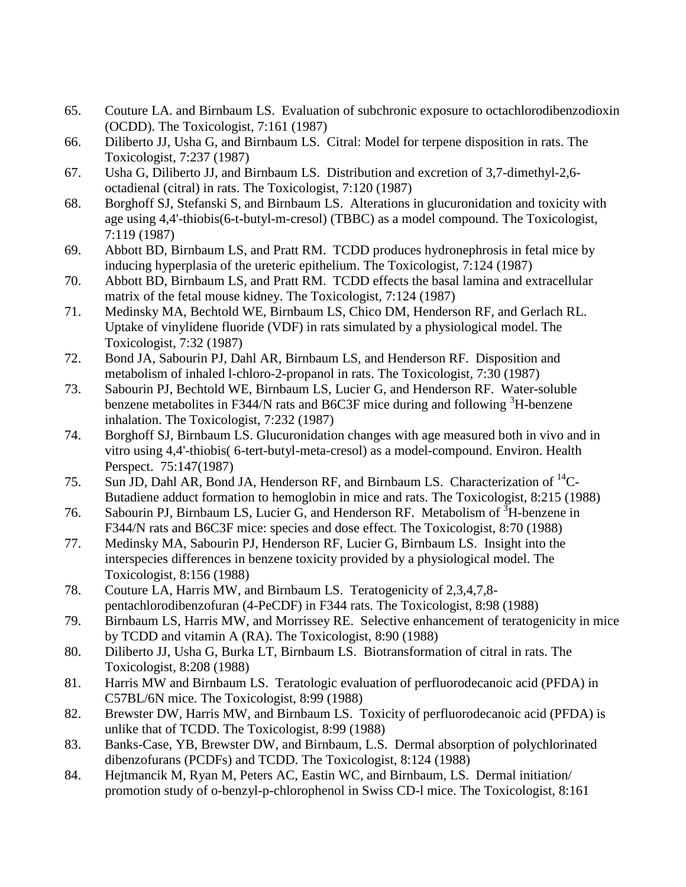- 65. Couture LA. and Birnbaum LS. Evaluation of subchronic exposure to octachlorodibenzodioxin (OCDD). The Toxicologist, 7:161 (1987)
- 66. Diliberto JJ, Usha G, and Birnbaum LS. Citral: Model for terpene disposition in rats. The Toxicologist, 7:237 (1987)
- 67. Usha G, Diliberto JJ, and Birnbaum LS. Distribution and excretion of 3,7-dimethyl-2,6 octadienal (citral) in rats. The Toxicologist, 7:120 (1987)
- 68. Borghoff SJ, Stefanski S, and Birnbaum LS. Alterations in glucuronidation and toxicity with age using 4,4'-thiobis(6-t-butyl-m-cresol) (TBBC) as a model compound. The Toxicologist, 7:119 (1987)
- 69. Abbott BD, Birnbaum LS, and Pratt RM. TCDD produces hydronephrosis in fetal mice by inducing hyperplasia of the ureteric epithelium. The Toxicologist, 7:124 (1987)
- 70. Abbott BD, Birnbaum LS, and Pratt RM. TCDD effects the basal lamina and extracellular matrix of the fetal mouse kidney. The Toxicologist, 7:124 (1987)
- 71. Medinsky MA, Bechtold WE, Birnbaum LS, Chico DM, Henderson RF, and Gerlach RL. Uptake of vinylidene fluoride (VDF) in rats simulated by a physiological model. The Toxicologist, 7:32 (1987)
- 72. Bond JA, Sabourin PJ, Dahl AR, Birnbaum LS, and Henderson RF. Disposition and metabolism of inhaled l-chloro-2-propanol in rats. The Toxicologist, 7:30 (1987)
- 73. Sabourin PJ, Bechtold WE, Birnbaum LS, Lucier G, and Henderson RF. Water-soluble benzene metabolites in F344/N rats and B6C3F mice during and following  ${}^{3}$ H-benzene inhalation. The Toxicologist, 7:232 (1987)
- 74. Borghoff SJ, Birnbaum LS. Glucuronidation changes with age measured both in vivo and in vitro using 4,4'-thiobis( 6-tert-butyl-meta-cresol) as a model-compound. Environ. Health Perspect. 75:147(1987)
- 75. Sun JD, Dahl AR, Bond JA, Henderson RF, and Birnbaum LS. Characterization of  ${}^{14}C$ -Butadiene adduct formation to hemoglobin in mice and rats. The Toxicologist, 8:215 (1988)
- 76. Sabourin PJ, Birnbaum LS, Lucier G, and Henderson RF. Metabolism of  ${}^{3}H$ -benzene in F344/N rats and B6C3F mice: species and dose effect. The Toxicologist, 8:70 (1988)
- 77. Medinsky MA, Sabourin PJ, Henderson RF, Lucier G, Birnbaum LS. Insight into the interspecies differences in benzene toxicity provided by a physiological model. The Toxicologist, 8:156 (1988)
- 78. Couture LA, Harris MW, and Birnbaum LS. Teratogenicity of 2,3,4,7,8 pentachlorodibenzofuran (4-PeCDF) in F344 rats. The Toxicologist, 8:98 (1988)
- 79. Birnbaum LS, Harris MW, and Morrissey RE. Selective enhancement of teratogenicity in mice by TCDD and vitamin A (RA). The Toxicologist, 8:90 (1988)
- 80. Diliberto JJ, Usha G, Burka LT, Birnbaum LS. Biotransformation of citral in rats. The Toxicologist, 8:208 (1988)
- 81. Harris MW and Birnbaum LS. Teratologic evaluation of perfluorodecanoic acid (PFDA) in C57BL/6N mice. The Toxicologist, 8:99 (1988)
- 82. Brewster DW, Harris MW, and Birnbaum LS. Toxicity of perfluorodecanoic acid (PFDA) is unlike that of TCDD. The Toxicologist, 8:99 (1988)
- 83. Banks-Case, YB, Brewster DW, and Birnbaum, L.S. Dermal absorption of polychlorinated dibenzofurans (PCDFs) and TCDD. The Toxicologist, 8:124 (1988)
- 84. Hejtmancik M, Ryan M, Peters AC, Eastin WC, and Birnbaum, LS. Dermal initiation/ promotion study of o-benzyl-p-chlorophenol in Swiss CD-l mice. The Toxicologist, 8:161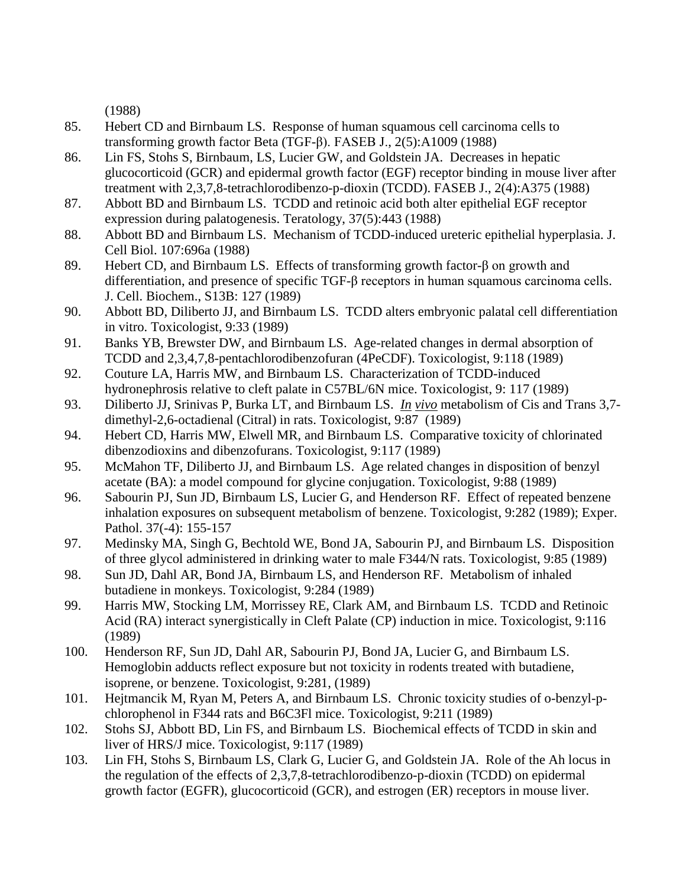(1988)

- 85. Hebert CD and Birnbaum LS. Response of human squamous cell carcinoma cells to transforming growth factor Beta (TGF-β). FASEB J., 2(5):A1009 (1988)
- 86. Lin FS, Stohs S, Birnbaum, LS, Lucier GW, and Goldstein JA. Decreases in hepatic glucocorticoid (GCR) and epidermal growth factor (EGF) receptor binding in mouse liver after treatment with 2,3,7,8-tetrachlorodibenzo-p-dioxin (TCDD). FASEB J., 2(4):A375 (1988)
- 87. Abbott BD and Birnbaum LS. TCDD and retinoic acid both alter epithelial EGF receptor expression during palatogenesis. Teratology, 37(5):443 (1988)
- 88. Abbott BD and Birnbaum LS. Mechanism of TCDD-induced ureteric epithelial hyperplasia. J. Cell Biol. 107:696a (1988)
- 89. Hebert CD, and Birnbaum LS. Effects of transforming growth factor-β on growth and differentiation, and presence of specific TGF-β receptors in human squamous carcinoma cells. J. Cell. Biochem., S13B: 127 (1989)
- 90. Abbott BD, Diliberto JJ, and Birnbaum LS. TCDD alters embryonic palatal cell differentiation in vitro. Toxicologist, 9:33 (1989)
- 91. Banks YB, Brewster DW, and Birnbaum LS. Age-related changes in dermal absorption of TCDD and 2,3,4,7,8-pentachlorodibenzofuran (4PeCDF). Toxicologist, 9:118 (1989)
- 92. Couture LA, Harris MW, and Birnbaum LS. Characterization of TCDD-induced hydronephrosis relative to cleft palate in C57BL/6N mice. Toxicologist, 9: 117 (1989)
- 93. Diliberto JJ, Srinivas P, Burka LT, and Birnbaum LS. *In vivo* metabolism of Cis and Trans 3,7 dimethyl-2,6-octadienal (Citral) in rats. Toxicologist, 9:87 (1989)
- 94. Hebert CD, Harris MW, Elwell MR, and Birnbaum LS. Comparative toxicity of chlorinated dibenzodioxins and dibenzofurans. Toxicologist, 9:117 (1989)
- 95. McMahon TF, Diliberto JJ, and Birnbaum LS. Age related changes in disposition of benzyl acetate (BA): a model compound for glycine conjugation. Toxicologist, 9:88 (1989)
- 96. Sabourin PJ, Sun JD, Birnbaum LS, Lucier G, and Henderson RF. Effect of repeated benzene inhalation exposures on subsequent metabolism of benzene. Toxicologist, 9:282 (1989); Exper. Pathol. 37(-4): 155-157
- 97. Medinsky MA, Singh G, Bechtold WE, Bond JA, Sabourin PJ, and Birnbaum LS. Disposition of three glycol administered in drinking water to male F344/N rats. Toxicologist, 9:85 (1989)
- 98. Sun JD, Dahl AR, Bond JA, Birnbaum LS, and Henderson RF. Metabolism of inhaled butadiene in monkeys. Toxicologist, 9:284 (1989)
- 99. Harris MW, Stocking LM, Morrissey RE, Clark AM, and Birnbaum LS. TCDD and Retinoic Acid (RA) interact synergistically in Cleft Palate (CP) induction in mice. Toxicologist, 9:116 (1989)
- 100. Henderson RF, Sun JD, Dahl AR, Sabourin PJ, Bond JA, Lucier G, and Birnbaum LS. Hemoglobin adducts reflect exposure but not toxicity in rodents treated with butadiene, isoprene, or benzene. Toxicologist, 9:281, (1989)
- 101. Hejtmancik M, Ryan M, Peters A, and Birnbaum LS. Chronic toxicity studies of o-benzyl-pchlorophenol in F344 rats and B6C3Fl mice. Toxicologist, 9:211 (1989)
- 102. Stohs SJ, Abbott BD, Lin FS, and Birnbaum LS. Biochemical effects of TCDD in skin and liver of HRS/J mice. Toxicologist, 9:117 (1989)
- 103. Lin FH, Stohs S, Birnbaum LS, Clark G, Lucier G, and Goldstein JA. Role of the Ah locus in the regulation of the effects of 2,3,7,8-tetrachlorodibenzo-p-dioxin (TCDD) on epidermal growth factor (EGFR), glucocorticoid (GCR), and estrogen (ER) receptors in mouse liver.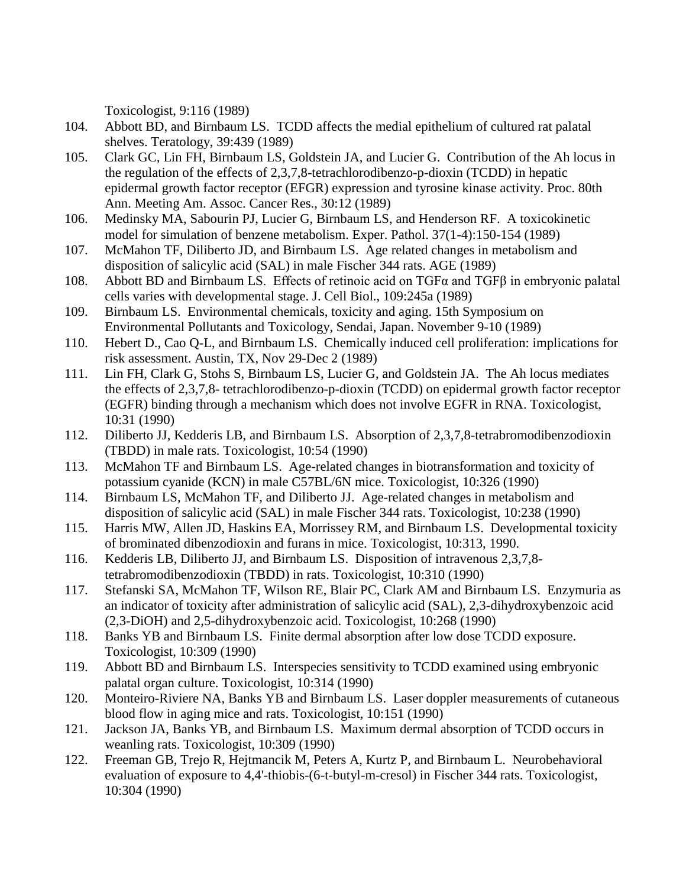Toxicologist, 9:116 (1989)

- 104. Abbott BD, and Birnbaum LS. TCDD affects the medial epithelium of cultured rat palatal shelves. Teratology, 39:439 (1989)
- 105. Clark GC, Lin FH, Birnbaum LS, Goldstein JA, and Lucier G. Contribution of the Ah locus in the regulation of the effects of 2,3,7,8-tetrachlorodibenzo-p-dioxin (TCDD) in hepatic epidermal growth factor receptor (EFGR) expression and tyrosine kinase activity. Proc. 80th Ann. Meeting Am. Assoc. Cancer Res., 30:12 (1989)
- 106. Medinsky MA, Sabourin PJ, Lucier G, Birnbaum LS, and Henderson RF. A toxicokinetic model for simulation of benzene metabolism. Exper. Pathol. 37(1-4):150-154 (1989)
- 107. McMahon TF, Diliberto JD, and Birnbaum LS. Age related changes in metabolism and disposition of salicylic acid (SAL) in male Fischer 344 rats. AGE (1989)
- 108. Abbott BD and Birnbaum LS. Effects of retinoic acid on TGFα and TGFβ in embryonic palatal cells varies with developmental stage. J. Cell Biol., 109:245a (1989)
- 109. Birnbaum LS. Environmental chemicals, toxicity and aging. 15th Symposium on Environmental Pollutants and Toxicology, Sendai, Japan. November 9-10 (1989)
- 110. Hebert D., Cao Q-L, and Birnbaum LS. Chemically induced cell proliferation: implications for risk assessment. Austin, TX, Nov 29-Dec 2 (1989)
- 111. Lin FH, Clark G, Stohs S, Birnbaum LS, Lucier G, and Goldstein JA. The Ah locus mediates the effects of 2,3,7,8- tetrachlorodibenzo-p-dioxin (TCDD) on epidermal growth factor receptor (EGFR) binding through a mechanism which does not involve EGFR in RNA. Toxicologist, 10:31 (1990)
- 112. Diliberto JJ, Kedderis LB, and Birnbaum LS. Absorption of 2,3,7,8-tetrabromodibenzodioxin (TBDD) in male rats. Toxicologist, 10:54 (1990)
- 113. McMahon TF and Birnbaum LS. Age-related changes in biotransformation and toxicity of potassium cyanide (KCN) in male C57BL/6N mice. Toxicologist, 10:326 (1990)
- 114. Birnbaum LS, McMahon TF, and Diliberto JJ. Age-related changes in metabolism and disposition of salicylic acid (SAL) in male Fischer 344 rats. Toxicologist, 10:238 (1990)
- 115. Harris MW, Allen JD, Haskins EA, Morrissey RM, and Birnbaum LS. Developmental toxicity of brominated dibenzodioxin and furans in mice. Toxicologist, 10:313, 1990.
- 116. Kedderis LB, Diliberto JJ, and Birnbaum LS. Disposition of intravenous 2,3,7,8 tetrabromodibenzodioxin (TBDD) in rats. Toxicologist, 10:310 (1990)
- 117. Stefanski SA, McMahon TF, Wilson RE, Blair PC, Clark AM and Birnbaum LS. Enzymuria as an indicator of toxicity after administration of salicylic acid (SAL), 2,3-dihydroxybenzoic acid (2,3-DiOH) and 2,5-dihydroxybenzoic acid. Toxicologist, 10:268 (1990)
- 118. Banks YB and Birnbaum LS. Finite dermal absorption after low dose TCDD exposure. Toxicologist, 10:309 (1990)
- 119. Abbott BD and Birnbaum LS. Interspecies sensitivity to TCDD examined using embryonic palatal organ culture. Toxicologist, 10:314 (1990)
- 120. Monteiro-Riviere NA, Banks YB and Birnbaum LS. Laser doppler measurements of cutaneous blood flow in aging mice and rats. Toxicologist, 10:151 (1990)
- 121. Jackson JA, Banks YB, and Birnbaum LS. Maximum dermal absorption of TCDD occurs in weanling rats. Toxicologist, 10:309 (1990)
- 122. Freeman GB, Trejo R, Hejtmancik M, Peters A, Kurtz P, and Birnbaum L. Neurobehavioral evaluation of exposure to 4,4'-thiobis-(6-t-butyl-m-cresol) in Fischer 344 rats. Toxicologist, 10:304 (1990)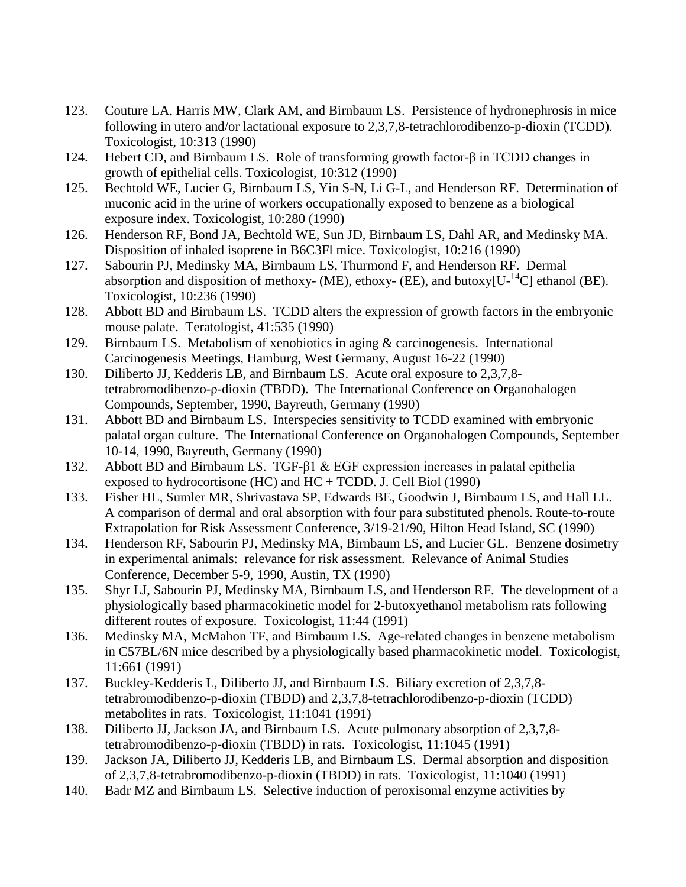- 123. Couture LA, Harris MW, Clark AM, and Birnbaum LS. Persistence of hydronephrosis in mice following in utero and/or lactational exposure to 2,3,7,8-tetrachlorodibenzo-p-dioxin (TCDD). Toxicologist, 10:313 (1990)
- 124. Hebert CD, and Birnbaum LS. Role of transforming growth factor-β in TCDD changes in growth of epithelial cells. Toxicologist, 10:312 (1990)
- 125. Bechtold WE, Lucier G, Birnbaum LS, Yin S-N, Li G-L, and Henderson RF. Determination of muconic acid in the urine of workers occupationally exposed to benzene as a biological exposure index. Toxicologist, 10:280 (1990)
- 126. Henderson RF, Bond JA, Bechtold WE, Sun JD, Birnbaum LS, Dahl AR, and Medinsky MA. Disposition of inhaled isoprene in B6C3Fl mice. Toxicologist, 10:216 (1990)
- 127. Sabourin PJ, Medinsky MA, Birnbaum LS, Thurmond F, and Henderson RF. Dermal absorption and disposition of methoxy- (ME), ethoxy- (EE), and butoxy[ $U^{-14}C$ ] ethanol (BE). Toxicologist, 10:236 (1990)
- 128. Abbott BD and Birnbaum LS. TCDD alters the expression of growth factors in the embryonic mouse palate. Teratologist, 41:535 (1990)
- 129. Birnbaum LS. Metabolism of xenobiotics in aging & carcinogenesis. International Carcinogenesis Meetings, Hamburg, West Germany, August 16-22 (1990)
- 130. Diliberto JJ, Kedderis LB, and Birnbaum LS. Acute oral exposure to 2,3,7,8 tetrabromodibenzo-ρ-dioxin (TBDD). The International Conference on Organohalogen Compounds, September, 1990, Bayreuth, Germany (1990)
- 131. Abbott BD and Birnbaum LS. Interspecies sensitivity to TCDD examined with embryonic palatal organ culture. The International Conference on Organohalogen Compounds, September 10-14, 1990, Bayreuth, Germany (1990)
- 132. Abbott BD and Birnbaum LS. TGF-β1 & EGF expression increases in palatal epithelia exposed to hydrocortisone (HC) and HC + TCDD. J. Cell Biol (1990)
- 133. Fisher HL, Sumler MR, Shrivastava SP, Edwards BE, Goodwin J, Birnbaum LS, and Hall LL. A comparison of dermal and oral absorption with four para substituted phenols. Route-to-route Extrapolation for Risk Assessment Conference, 3/19-21/90, Hilton Head Island, SC (1990)
- 134. Henderson RF, Sabourin PJ, Medinsky MA, Birnbaum LS, and Lucier GL. Benzene dosimetry in experimental animals: relevance for risk assessment. Relevance of Animal Studies Conference, December 5-9, 1990, Austin, TX (1990)
- 135. Shyr LJ, Sabourin PJ, Medinsky MA, Birnbaum LS, and Henderson RF. The development of a physiologically based pharmacokinetic model for 2-butoxyethanol metabolism rats following different routes of exposure. Toxicologist, 11:44 (1991)
- 136. Medinsky MA, McMahon TF, and Birnbaum LS. Age-related changes in benzene metabolism in C57BL/6N mice described by a physiologically based pharmacokinetic model. Toxicologist, 11:661 (1991)
- 137. Buckley-Kedderis L, Diliberto JJ, and Birnbaum LS. Biliary excretion of 2,3,7,8 tetrabromodibenzo-p-dioxin (TBDD) and 2,3,7,8-tetrachlorodibenzo-p-dioxin (TCDD) metabolites in rats. Toxicologist, 11:1041 (1991)
- 138. Diliberto JJ, Jackson JA, and Birnbaum LS. Acute pulmonary absorption of 2,3,7,8 tetrabromodibenzo-p-dioxin (TBDD) in rats. Toxicologist, 11:1045 (1991)
- 139. Jackson JA, Diliberto JJ, Kedderis LB, and Birnbaum LS. Dermal absorption and disposition of 2,3,7,8-tetrabromodibenzo-p-dioxin (TBDD) in rats. Toxicologist, 11:1040 (1991)
- 140. Badr MZ and Birnbaum LS. Selective induction of peroxisomal enzyme activities by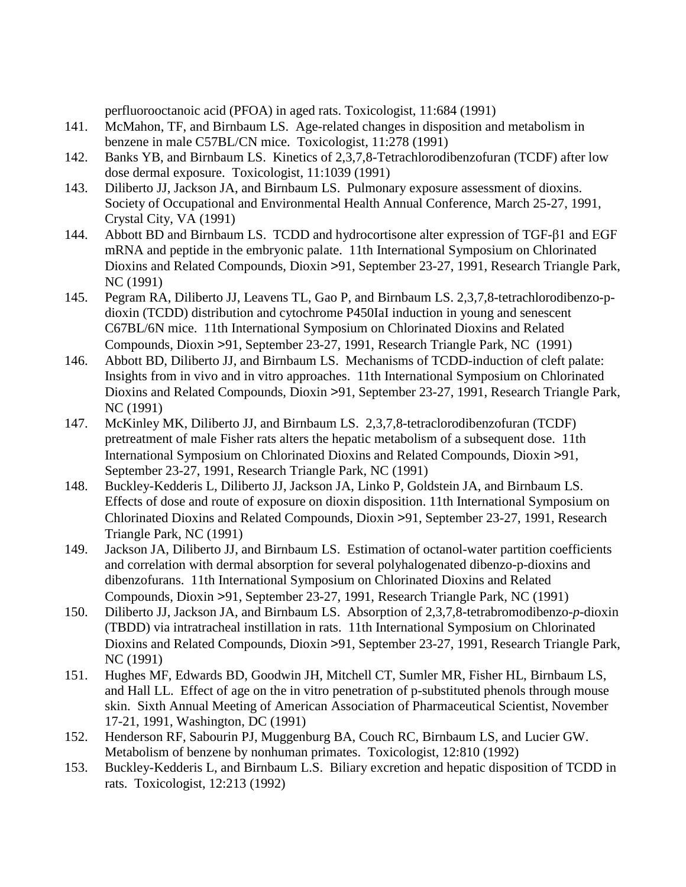perfluorooctanoic acid (PFOA) in aged rats. Toxicologist, 11:684 (1991)

- 141. McMahon, TF, and Birnbaum LS. Age-related changes in disposition and metabolism in benzene in male C57BL/CN mice. Toxicologist, 11:278 (1991)
- 142. Banks YB, and Birnbaum LS. Kinetics of 2,3,7,8-Tetrachlorodibenzofuran (TCDF) after low dose dermal exposure. Toxicologist, 11:1039 (1991)
- 143. Diliberto JJ, Jackson JA, and Birnbaum LS. Pulmonary exposure assessment of dioxins. Society of Occupational and Environmental Health Annual Conference, March 25-27, 1991, Crystal City, VA (1991)
- 144. Abbott BD and Birnbaum LS. TCDD and hydrocortisone alter expression of TGF-β1 and EGF mRNA and peptide in the embryonic palate. 11th International Symposium on Chlorinated Dioxins and Related Compounds, Dioxin >91, September 23-27, 1991, Research Triangle Park, NC (1991)
- 145. Pegram RA, Diliberto JJ, Leavens TL, Gao P, and Birnbaum LS. 2,3,7,8-tetrachlorodibenzo-pdioxin (TCDD) distribution and cytochrome P450IaI induction in young and senescent C67BL/6N mice. 11th International Symposium on Chlorinated Dioxins and Related Compounds, Dioxin >91, September 23-27, 1991, Research Triangle Park, NC (1991)
- 146. Abbott BD, Diliberto JJ, and Birnbaum LS. Mechanisms of TCDD-induction of cleft palate: Insights from in vivo and in vitro approaches. 11th International Symposium on Chlorinated Dioxins and Related Compounds, Dioxin >91, September 23-27, 1991, Research Triangle Park, NC (1991)
- 147. McKinley MK, Diliberto JJ, and Birnbaum LS. 2,3,7,8-tetraclorodibenzofuran (TCDF) pretreatment of male Fisher rats alters the hepatic metabolism of a subsequent dose. 11th International Symposium on Chlorinated Dioxins and Related Compounds, Dioxin >91, September 23-27, 1991, Research Triangle Park, NC (1991)
- 148. Buckley-Kedderis L, Diliberto JJ, Jackson JA, Linko P, Goldstein JA, and Birnbaum LS. Effects of dose and route of exposure on dioxin disposition. 11th International Symposium on Chlorinated Dioxins and Related Compounds, Dioxin >91, September 23-27, 1991, Research Triangle Park, NC (1991)
- 149. Jackson JA, Diliberto JJ, and Birnbaum LS. Estimation of octanol-water partition coefficients and correlation with dermal absorption for several polyhalogenated dibenzo-p-dioxins and dibenzofurans. 11th International Symposium on Chlorinated Dioxins and Related Compounds, Dioxin >91, September 23-27, 1991, Research Triangle Park, NC (1991)
- 150. Diliberto JJ, Jackson JA, and Birnbaum LS. Absorption of 2,3,7,8-tetrabromodibenzo-*p*-dioxin (TBDD) via intratracheal instillation in rats. 11th International Symposium on Chlorinated Dioxins and Related Compounds, Dioxin >91, September 23-27, 1991, Research Triangle Park, NC (1991)
- 151. Hughes MF, Edwards BD, Goodwin JH, Mitchell CT, Sumler MR, Fisher HL, Birnbaum LS, and Hall LL. Effect of age on the in vitro penetration of p-substituted phenols through mouse skin. Sixth Annual Meeting of American Association of Pharmaceutical Scientist, November 17-21, 1991, Washington, DC (1991)
- 152. Henderson RF, Sabourin PJ, Muggenburg BA, Couch RC, Birnbaum LS, and Lucier GW. Metabolism of benzene by nonhuman primates. Toxicologist, 12:810 (1992)
- 153. Buckley-Kedderis L, and Birnbaum L.S. Biliary excretion and hepatic disposition of TCDD in rats. Toxicologist, 12:213 (1992)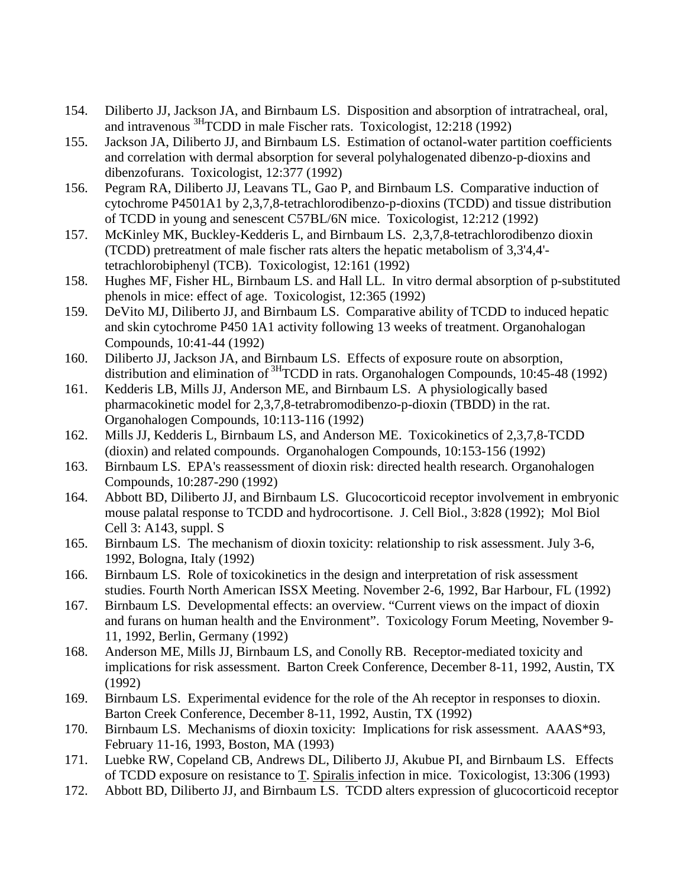- 154. Diliberto JJ, Jackson JA, and Birnbaum LS. Disposition and absorption of intratracheal, oral, and intravenous  $\frac{3H}{2}$ CDD in male Fischer rats. Toxicologist, 12:218 (1992)
- 155. Jackson JA, Diliberto JJ, and Birnbaum LS. Estimation of octanol-water partition coefficients and correlation with dermal absorption for several polyhalogenated dibenzo-p-dioxins and dibenzofurans. Toxicologist, 12:377 (1992)
- 156. Pegram RA, Diliberto JJ, Leavans TL, Gao P, and Birnbaum LS. Comparative induction of cytochrome P4501A1 by 2,3,7,8-tetrachlorodibenzo-p-dioxins (TCDD) and tissue distribution of TCDD in young and senescent C57BL/6N mice. Toxicologist, 12:212 (1992)
- 157. McKinley MK, Buckley-Kedderis L, and Birnbaum LS. 2,3,7,8-tetrachlorodibenzo dioxin (TCDD) pretreatment of male fischer rats alters the hepatic metabolism of 3,3'4,4' tetrachlorobiphenyl (TCB). Toxicologist, 12:161 (1992)
- 158. Hughes MF, Fisher HL, Birnbaum LS. and Hall LL. In vitro dermal absorption of p-substituted phenols in mice: effect of age. Toxicologist, 12:365 (1992)
- 159. DeVito MJ, Diliberto JJ, and Birnbaum LS. Comparative ability of TCDD to induced hepatic and skin cytochrome P450 1A1 activity following 13 weeks of treatment. Organohalogan Compounds, 10:41-44 (1992)
- 160. Diliberto JJ, Jackson JA, and Birnbaum LS. Effects of exposure route on absorption, distribution and elimination of <sup>3H</sup>TCDD in rats. Organohalogen Compounds, 10:45-48 (1992)
- 161. Kedderis LB, Mills JJ, Anderson ME, and Birnbaum LS. A physiologically based pharmacokinetic model for 2,3,7,8-tetrabromodibenzo-p-dioxin (TBDD) in the rat. Organohalogen Compounds, 10:113-116 (1992)
- 162. Mills JJ, Kedderis L, Birnbaum LS, and Anderson ME. Toxicokinetics of 2,3,7,8-TCDD (dioxin) and related compounds. Organohalogen Compounds, 10:153-156 (1992)
- 163. Birnbaum LS. EPA's reassessment of dioxin risk: directed health research. Organohalogen Compounds, 10:287-290 (1992)
- 164. Abbott BD, Diliberto JJ, and Birnbaum LS. Glucocorticoid receptor involvement in embryonic mouse palatal response to TCDD and hydrocortisone. J. Cell Biol., 3:828 (1992); Mol Biol Cell 3: A143, suppl. S
- 165. Birnbaum LS. The mechanism of dioxin toxicity: relationship to risk assessment. July 3-6, 1992, Bologna, Italy (1992)
- 166. Birnbaum LS. Role of toxicokinetics in the design and interpretation of risk assessment studies. Fourth North American ISSX Meeting. November 2-6, 1992, Bar Harbour, FL (1992)
- 167. Birnbaum LS. Developmental effects: an overview. "Current views on the impact of dioxin and furans on human health and the Environment". Toxicology Forum Meeting, November 9- 11, 1992, Berlin, Germany (1992)
- 168. Anderson ME, Mills JJ, Birnbaum LS, and Conolly RB. Receptor-mediated toxicity and implications for risk assessment. Barton Creek Conference, December 8-11, 1992, Austin, TX (1992)
- 169. Birnbaum LS. Experimental evidence for the role of the Ah receptor in responses to dioxin. Barton Creek Conference, December 8-11, 1992, Austin, TX (1992)
- 170. Birnbaum LS. Mechanisms of dioxin toxicity: Implications for risk assessment. AAAS\*93, February 11-16, 1993, Boston, MA (1993)
- 171. Luebke RW, Copeland CB, Andrews DL, Diliberto JJ, Akubue PI, and Birnbaum LS. Effects of TCDD exposure on resistance to T. Spiralis infection in mice. Toxicologist, 13:306 (1993)
- 172. Abbott BD, Diliberto JJ, and Birnbaum LS. TCDD alters expression of glucocorticoid receptor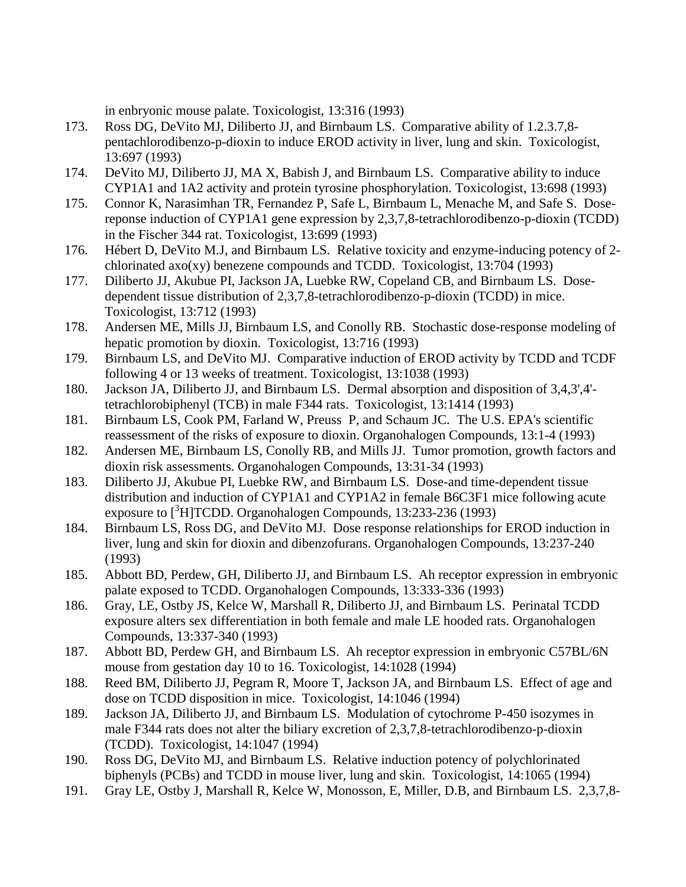in enbryonic mouse palate. Toxicologist, 13:316 (1993)

- 173. Ross DG, DeVito MJ, Diliberto JJ, and Birnbaum LS. Comparative ability of 1.2.3.7,8 pentachlorodibenzo-p-dioxin to induce EROD activity in liver, lung and skin. Toxicologist, 13:697 (1993)
- 174. DeVito MJ, Diliberto JJ, MA X, Babish J, and Birnbaum LS. Comparative ability to induce CYP1A1 and 1A2 activity and protein tyrosine phosphorylation. Toxicologist, 13:698 (1993)
- 175. Connor K, Narasimhan TR, Fernandez P, Safe L, Birnbaum L, Menache M, and Safe S. Dosereponse induction of CYP1A1 gene expression by 2,3,7,8-tetrachlorodibenzo-p-dioxin (TCDD) in the Fischer 344 rat. Toxicologist, 13:699 (1993)
- 176. Hébert D, DeVito M.J, and Birnbaum LS. Relative toxicity and enzyme-inducing potency of 2 chlorinated axo(xy) benezene compounds and TCDD. Toxicologist, 13:704 (1993)
- 177. Diliberto JJ, Akubue PI, Jackson JA, Luebke RW, Copeland CB, and Birnbaum LS. Dosedependent tissue distribution of 2,3,7,8-tetrachlorodibenzo-p-dioxin (TCDD) in mice. Toxicologist, 13:712 (1993)
- 178. Andersen ME, Mills JJ, Birnbaum LS, and Conolly RB. Stochastic dose-response modeling of hepatic promotion by dioxin. Toxicologist, 13:716 (1993)
- 179. Birnbaum LS, and DeVito MJ. Comparative induction of EROD activity by TCDD and TCDF following 4 or 13 weeks of treatment. Toxicologist, 13:1038 (1993)
- 180. Jackson JA, Diliberto JJ, and Birnbaum LS. Dermal absorption and disposition of 3,4,3',4' tetrachlorobiphenyl (TCB) in male F344 rats. Toxicologist, 13:1414 (1993)
- 181. Birnbaum LS, Cook PM, Farland W, Preuss P, and Schaum JC. The U.S. EPA's scientific reassessment of the risks of exposure to dioxin. Organohalogen Compounds, 13:1-4 (1993)
- 182. Andersen ME, Birnbaum LS, Conolly RB, and Mills JJ. Tumor promotion, growth factors and dioxin risk assessments. Organohalogen Compounds, 13:31-34 (1993)
- 183. Diliberto JJ, Akubue PI, Luebke RW, and Birnbaum LS. Dose-and time-dependent tissue distribution and induction of CYP1A1 and CYP1A2 in female B6C3F1 mice following acute exposure to [<sup>3</sup>H]TCDD. Organohalogen Compounds, 13:233-236 (1993)
- 184. Birnbaum LS, Ross DG, and DeVito MJ. Dose response relationships for EROD induction in liver, lung and skin for dioxin and dibenzofurans. Organohalogen Compounds, 13:237-240 (1993)
- 185. Abbott BD, Perdew, GH, Diliberto JJ, and Birnbaum LS. Ah receptor expression in embryonic palate exposed to TCDD. Organohalogen Compounds, 13:333-336 (1993)
- 186. Gray, LE, Ostby JS, Kelce W, Marshall R, Diliberto JJ, and Birnbaum LS. Perinatal TCDD exposure alters sex differentiation in both female and male LE hooded rats. Organohalogen Compounds, 13:337-340 (1993)
- 187. Abbott BD, Perdew GH, and Birnbaum LS. Ah receptor expression in embryonic C57BL/6N mouse from gestation day 10 to 16. Toxicologist, 14:1028 (1994)
- 188. Reed BM, Diliberto JJ, Pegram R, Moore T, Jackson JA, and Birnbaum LS. Effect of age and dose on TCDD disposition in mice. Toxicologist, 14:1046 (1994)
- 189. Jackson JA, Diliberto JJ, and Birnbaum LS. Modulation of cytochrome P-450 isozymes in male F344 rats does not alter the biliary excretion of 2,3,7,8-tetrachlorodibenzo-p-dioxin (TCDD). Toxicologist, 14:1047 (1994)
- 190. Ross DG, DeVito MJ, and Birnbaum LS. Relative induction potency of polychlorinated biphenyls (PCBs) and TCDD in mouse liver, lung and skin. Toxicologist, 14:1065 (1994)
- 191. Gray LE, Ostby J, Marshall R, Kelce W, Monosson, E, Miller, D.B, and Birnbaum LS. 2,3,7,8-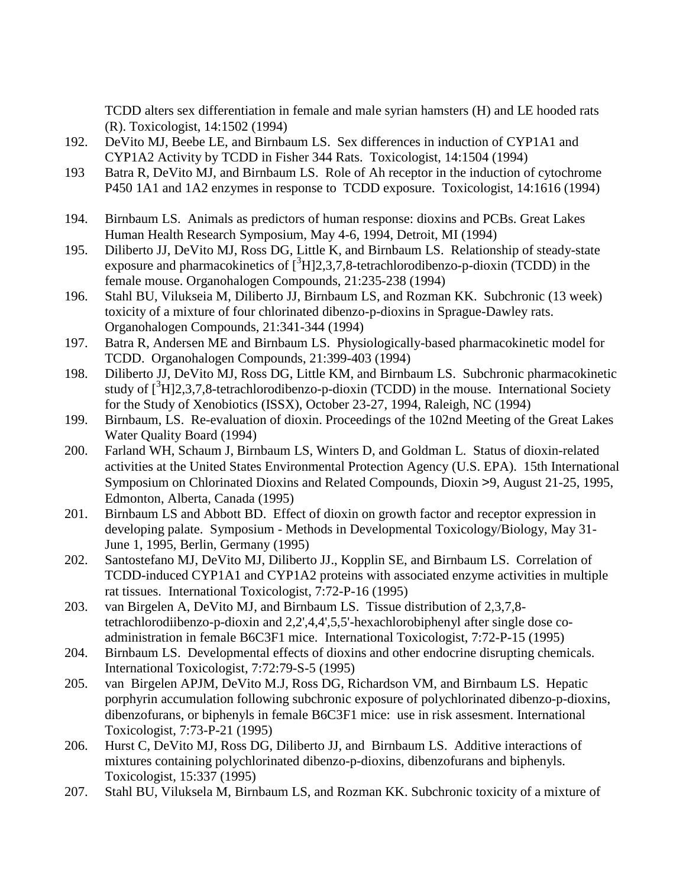TCDD alters sex differentiation in female and male syrian hamsters (H) and LE hooded rats (R). Toxicologist, 14:1502 (1994)

- 192. DeVito MJ, Beebe LE, and Birnbaum LS. Sex differences in induction of CYP1A1 and CYP1A2 Activity by TCDD in Fisher 344 Rats. Toxicologist, 14:1504 (1994)
- 193 Batra R, DeVito MJ, and Birnbaum LS. Role of Ah receptor in the induction of cytochrome P450 1A1 and 1A2 enzymes in response to TCDD exposure. Toxicologist, 14:1616 (1994)
- 194. Birnbaum LS. Animals as predictors of human response: dioxins and PCBs. Great Lakes Human Health Research Symposium, May 4-6, 1994, Detroit, MI (1994)
- 195. Diliberto JJ, DeVito MJ, Ross DG, Little K, and Birnbaum LS. Relationship of steady-state exposure and pharmacokinetics of  $[^{3}H]2,3,7,8$ -tetrachlorodibenzo-p-dioxin (TCDD) in the female mouse. Organohalogen Compounds, 21:235-238 (1994)
- 196. Stahl BU, Vilukseia M, Diliberto JJ, Birnbaum LS, and Rozman KK. Subchronic (13 week) toxicity of a mixture of four chlorinated dibenzo-p-dioxins in Sprague-Dawley rats. Organohalogen Compounds, 21:341-344 (1994)
- 197. Batra R, Andersen ME and Birnbaum LS. Physiologically-based pharmacokinetic model for TCDD. Organohalogen Compounds, 21:399-403 (1994)
- 198. Diliberto JJ, DeVito MJ, Ross DG, Little KM, and Birnbaum LS. Subchronic pharmacokinetic study of  $[^{3}H]2,3,7,8$ -tetrachlorodibenzo-p-dioxin (TCDD) in the mouse. International Society for the Study of Xenobiotics (ISSX), October 23-27, 1994, Raleigh, NC (1994)
- 199. Birnbaum, LS. Re-evaluation of dioxin. Proceedings of the 102nd Meeting of the Great Lakes Water Quality Board (1994)
- 200. Farland WH, Schaum J, Birnbaum LS, Winters D, and Goldman L. Status of dioxin-related activities at the United States Environmental Protection Agency (U.S. EPA). 15th International Symposium on Chlorinated Dioxins and Related Compounds, Dioxin >9, August 21-25, 1995, Edmonton, Alberta, Canada (1995)
- 201. Birnbaum LS and Abbott BD. Effect of dioxin on growth factor and receptor expression in developing palate. Symposium - Methods in Developmental Toxicology/Biology, May 31- June 1, 1995, Berlin, Germany (1995)
- 202. Santostefano MJ, DeVito MJ, Diliberto JJ., Kopplin SE, and Birnbaum LS. Correlation of TCDD-induced CYP1A1 and CYP1A2 proteins with associated enzyme activities in multiple rat tissues. International Toxicologist, 7:72-P-16 (1995)
- 203. van Birgelen A, DeVito MJ, and Birnbaum LS. Tissue distribution of 2,3,7,8 tetrachlorodiibenzo-p-dioxin and 2,2',4,4',5,5'-hexachlorobiphenyl after single dose coadministration in female B6C3F1 mice. International Toxicologist, 7:72-P-15 (1995)
- 204. Birnbaum LS. Developmental effects of dioxins and other endocrine disrupting chemicals. International Toxicologist, 7:72:79-S-5 (1995)
- 205. van Birgelen APJM, DeVito M.J, Ross DG, Richardson VM, and Birnbaum LS. Hepatic porphyrin accumulation following subchronic exposure of polychlorinated dibenzo-p-dioxins, dibenzofurans, or biphenyls in female B6C3F1 mice: use in risk assesment. International Toxicologist, 7:73-P-21 (1995)
- 206. Hurst C, DeVito MJ, Ross DG, Diliberto JJ, and Birnbaum LS. Additive interactions of mixtures containing polychlorinated dibenzo-p-dioxins, dibenzofurans and biphenyls. Toxicologist, 15:337 (1995)
- 207. Stahl BU, Viluksela M, Birnbaum LS, and Rozman KK. Subchronic toxicity of a mixture of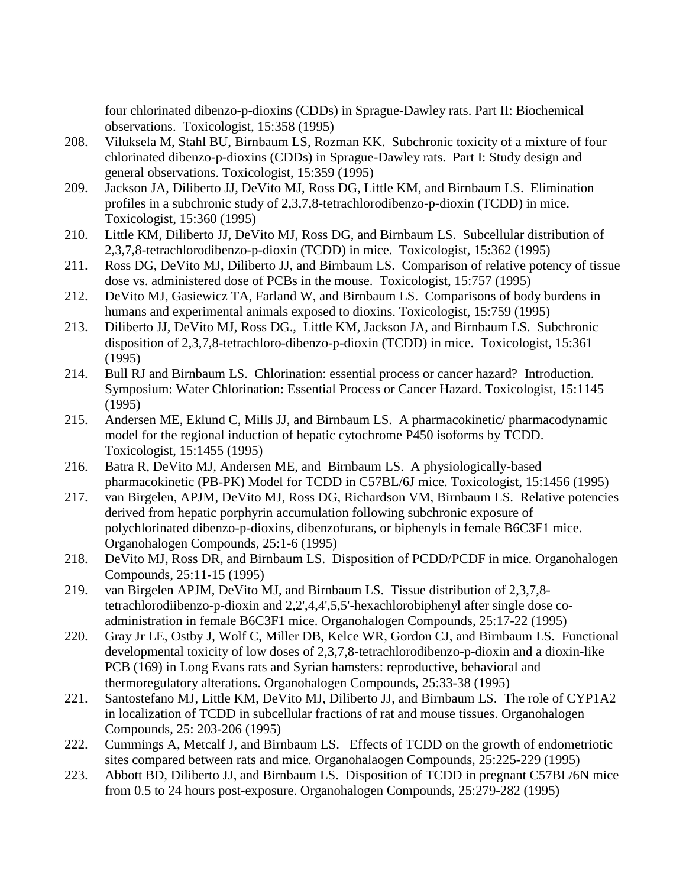four chlorinated dibenzo-p-dioxins (CDDs) in Sprague-Dawley rats. Part II: Biochemical observations. Toxicologist, 15:358 (1995)

- 208. Viluksela M, Stahl BU, Birnbaum LS, Rozman KK. Subchronic toxicity of a mixture of four chlorinated dibenzo-p-dioxins (CDDs) in Sprague-Dawley rats. Part I: Study design and general observations. Toxicologist, 15:359 (1995)
- 209. Jackson JA, Diliberto JJ, DeVito MJ, Ross DG, Little KM, and Birnbaum LS. Elimination profiles in a subchronic study of 2,3,7,8-tetrachlorodibenzo-p-dioxin (TCDD) in mice. Toxicologist, 15:360 (1995)
- 210. Little KM, Diliberto JJ, DeVito MJ, Ross DG, and Birnbaum LS. Subcellular distribution of 2,3,7,8-tetrachlorodibenzo-p-dioxin (TCDD) in mice. Toxicologist, 15:362 (1995)
- 211. Ross DG, DeVito MJ, Diliberto JJ, and Birnbaum LS. Comparison of relative potency of tissue dose vs. administered dose of PCBs in the mouse. Toxicologist, 15:757 (1995)
- 212. DeVito MJ, Gasiewicz TA, Farland W, and Birnbaum LS. Comparisons of body burdens in humans and experimental animals exposed to dioxins. Toxicologist, 15:759 (1995)
- 213. Diliberto JJ, DeVito MJ, Ross DG., Little KM, Jackson JA, and Birnbaum LS. Subchronic disposition of 2,3,7,8-tetrachloro-dibenzo-p-dioxin (TCDD) in mice. Toxicologist, 15:361 (1995)
- 214. Bull RJ and Birnbaum LS. Chlorination: essential process or cancer hazard? Introduction. Symposium: Water Chlorination: Essential Process or Cancer Hazard. Toxicologist, 15:1145 (1995)
- 215. Andersen ME, Eklund C, Mills JJ, and Birnbaum LS. A pharmacokinetic/ pharmacodynamic model for the regional induction of hepatic cytochrome P450 isoforms by TCDD. Toxicologist, 15:1455 (1995)
- 216. Batra R, DeVito MJ, Andersen ME, and Birnbaum LS. A physiologically-based pharmacokinetic (PB-PK) Model for TCDD in C57BL/6J mice. Toxicologist, 15:1456 (1995)
- 217. van Birgelen, APJM, DeVito MJ, Ross DG, Richardson VM, Birnbaum LS. Relative potencies derived from hepatic porphyrin accumulation following subchronic exposure of polychlorinated dibenzo-p-dioxins, dibenzofurans, or biphenyls in female B6C3F1 mice. Organohalogen Compounds, 25:1-6 (1995)
- 218. DeVito MJ, Ross DR, and Birnbaum LS. Disposition of PCDD/PCDF in mice. Organohalogen Compounds, 25:11-15 (1995)
- 219. van Birgelen APJM, DeVito MJ, and Birnbaum LS. Tissue distribution of 2,3,7,8 tetrachlorodiibenzo-p-dioxin and 2,2',4,4',5,5'-hexachlorobiphenyl after single dose coadministration in female B6C3F1 mice. Organohalogen Compounds, 25:17-22 (1995)
- 220. Gray Jr LE, Ostby J, Wolf C, Miller DB, Kelce WR, Gordon CJ, and Birnbaum LS. Functional developmental toxicity of low doses of 2,3,7,8-tetrachlorodibenzo-p-dioxin and a dioxin-like PCB (169) in Long Evans rats and Syrian hamsters: reproductive, behavioral and thermoregulatory alterations. Organohalogen Compounds, 25:33-38 (1995)
- 221. Santostefano MJ, Little KM, DeVito MJ, Diliberto JJ, and Birnbaum LS. The role of CYP1A2 in localization of TCDD in subcellular fractions of rat and mouse tissues. Organohalogen Compounds, 25: 203-206 (1995)
- 222. Cummings A, Metcalf J, and Birnbaum LS. Effects of TCDD on the growth of endometriotic sites compared between rats and mice. Organohalaogen Compounds, 25:225-229 (1995)
- 223. Abbott BD, Diliberto JJ, and Birnbaum LS. Disposition of TCDD in pregnant C57BL/6N mice from 0.5 to 24 hours post-exposure. Organohalogen Compounds, 25:279-282 (1995)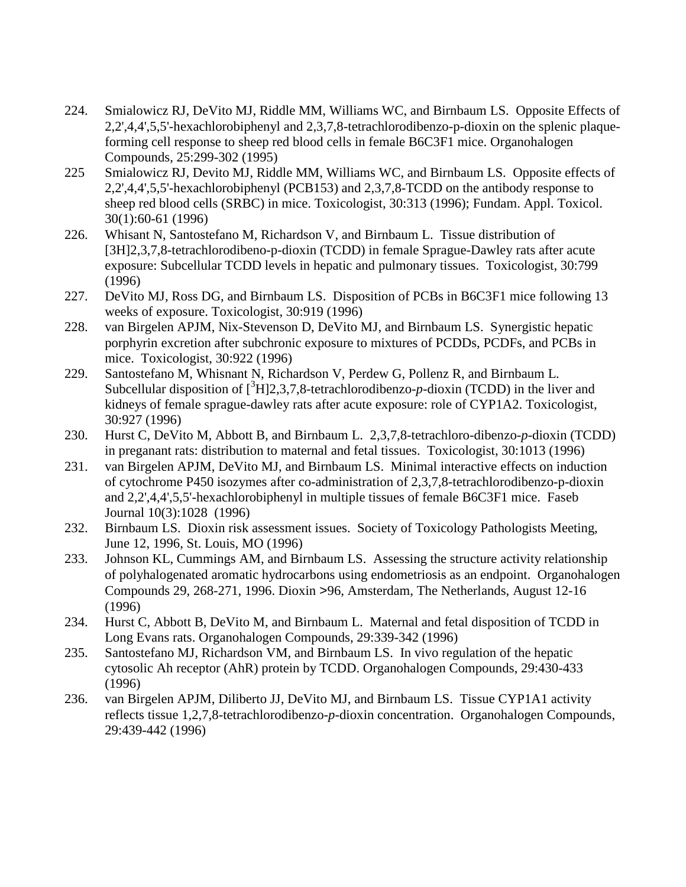- 224. Smialowicz RJ, DeVito MJ, Riddle MM, Williams WC, and Birnbaum LS. Opposite Effects of 2,2',4,4',5,5'-hexachlorobiphenyl and 2,3,7,8-tetrachlorodibenzo-p-dioxin on the splenic plaqueforming cell response to sheep red blood cells in female B6C3F1 mice. Organohalogen Compounds, 25:299-302 (1995)
- 225 Smialowicz RJ, Devito MJ, Riddle MM, Williams WC, and Birnbaum LS. Opposite effects of 2,2',4,4',5,5'-hexachlorobiphenyl (PCB153) and 2,3,7,8-TCDD on the antibody response to sheep red blood cells (SRBC) in mice. Toxicologist, 30:313 (1996); Fundam. Appl. Toxicol. 30(1):60-61 (1996)
- 226. Whisant N, Santostefano M, Richardson V, and Birnbaum L. Tissue distribution of [3H]2,3,7,8-tetrachlorodibeno-p-dioxin (TCDD) in female Sprague-Dawley rats after acute exposure: Subcellular TCDD levels in hepatic and pulmonary tissues. Toxicologist, 30:799 (1996)
- 227. DeVito MJ, Ross DG, and Birnbaum LS. Disposition of PCBs in B6C3F1 mice following 13 weeks of exposure. Toxicologist, 30:919 (1996)
- 228. van Birgelen APJM, Nix-Stevenson D, DeVito MJ, and Birnbaum LS. Synergistic hepatic porphyrin excretion after subchronic exposure to mixtures of PCDDs, PCDFs, and PCBs in mice. Toxicologist, 30:922 (1996)
- 229. Santostefano M, Whisnant N, Richardson V, Perdew G, Pollenz R, and Birnbaum L. Subcellular disposition of  $[^{3}H]2,3,7,8$ -tetrachlorodibenzo- $p$ -dioxin (TCDD) in the liver and kidneys of female sprague-dawley rats after acute exposure: role of CYP1A2. Toxicologist, 30:927 (1996)
- 230. Hurst C, DeVito M, Abbott B, and Birnbaum L. 2,3,7,8-tetrachloro-dibenzo-*p*-dioxin (TCDD) in preganant rats: distribution to maternal and fetal tissues. Toxicologist, 30:1013 (1996)
- 231. van Birgelen APJM, DeVito MJ, and Birnbaum LS. Minimal interactive effects on induction of cytochrome P450 isozymes after co-administration of 2,3,7,8-tetrachlorodibenzo-p-dioxin and 2,2',4,4',5,5'-hexachlorobiphenyl in multiple tissues of female B6C3F1 mice. Faseb Journal 10(3):1028 (1996)
- 232. Birnbaum LS. Dioxin risk assessment issues. Society of Toxicology Pathologists Meeting, June 12, 1996, St. Louis, MO (1996)
- 233. Johnson KL, Cummings AM, and Birnbaum LS. Assessing the structure activity relationship of polyhalogenated aromatic hydrocarbons using endometriosis as an endpoint. Organohalogen Compounds 29, 268-271, 1996. Dioxin >96, Amsterdam, The Netherlands, August 12-16 (1996)
- 234. Hurst C, Abbott B, DeVito M, and Birnbaum L. Maternal and fetal disposition of TCDD in Long Evans rats. Organohalogen Compounds, 29:339-342 (1996)
- 235. Santostefano MJ, Richardson VM, and Birnbaum LS. In vivo regulation of the hepatic cytosolic Ah receptor (AhR) protein by TCDD. Organohalogen Compounds, 29:430-433 (1996)
- 236. van Birgelen APJM, Diliberto JJ, DeVito MJ, and Birnbaum LS. Tissue CYP1A1 activity reflects tissue 1,2,7,8-tetrachlorodibenzo-*p*-dioxin concentration. Organohalogen Compounds, 29:439-442 (1996)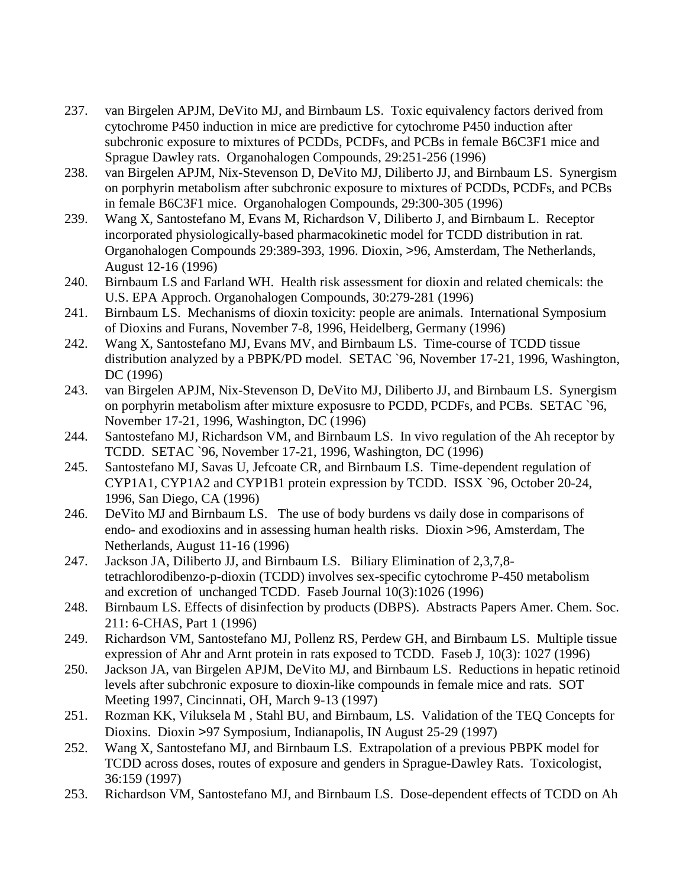- 237. van Birgelen APJM, DeVito MJ, and Birnbaum LS. Toxic equivalency factors derived from cytochrome P450 induction in mice are predictive for cytochrome P450 induction after subchronic exposure to mixtures of PCDDs, PCDFs, and PCBs in female B6C3F1 mice and Sprague Dawley rats. Organohalogen Compounds, 29:251-256 (1996)
- 238. van Birgelen APJM, Nix-Stevenson D, DeVito MJ, Diliberto JJ, and Birnbaum LS. Synergism on porphyrin metabolism after subchronic exposure to mixtures of PCDDs, PCDFs, and PCBs in female B6C3F1 mice. Organohalogen Compounds, 29:300-305 (1996)
- 239. Wang X, Santostefano M, Evans M, Richardson V, Diliberto J, and Birnbaum L. Receptor incorporated physiologically-based pharmacokinetic model for TCDD distribution in rat. Organohalogen Compounds 29:389-393, 1996. Dioxin, >96, Amsterdam, The Netherlands, August 12-16 (1996)
- 240. Birnbaum LS and Farland WH. Health risk assessment for dioxin and related chemicals: the U.S. EPA Approch. Organohalogen Compounds, 30:279-281 (1996)
- 241. Birnbaum LS. Mechanisms of dioxin toxicity: people are animals. International Symposium of Dioxins and Furans, November 7-8, 1996, Heidelberg, Germany (1996)
- 242. Wang X, Santostefano MJ, Evans MV, and Birnbaum LS. Time-course of TCDD tissue distribution analyzed by a PBPK/PD model. SETAC `96, November 17-21, 1996, Washington, DC (1996)
- 243. van Birgelen APJM, Nix-Stevenson D, DeVito MJ, Diliberto JJ, and Birnbaum LS. Synergism on porphyrin metabolism after mixture exposusre to PCDD, PCDFs, and PCBs. SETAC `96, November 17-21, 1996, Washington, DC (1996)
- 244. Santostefano MJ, Richardson VM, and Birnbaum LS. In vivo regulation of the Ah receptor by TCDD. SETAC `96, November 17-21, 1996, Washington, DC (1996)
- 245. Santostefano MJ, Savas U, Jefcoate CR, and Birnbaum LS. Time-dependent regulation of CYP1A1, CYP1A2 and CYP1B1 protein expression by TCDD. ISSX `96, October 20-24, 1996, San Diego, CA (1996)
- 246. DeVito MJ and Birnbaum LS. The use of body burdens vs daily dose in comparisons of endo- and exodioxins and in assessing human health risks. Dioxin >96, Amsterdam, The Netherlands, August 11-16 (1996)
- 247. Jackson JA, Diliberto JJ, and Birnbaum LS. Biliary Elimination of 2,3,7,8 tetrachlorodibenzo-p-dioxin (TCDD) involves sex-specific cytochrome P-450 metabolism and excretion of unchanged TCDD. Faseb Journal 10(3):1026 (1996)
- 248. Birnbaum LS. Effects of disinfection by products (DBPS). Abstracts Papers Amer. Chem. Soc. 211: 6-CHAS, Part 1 (1996)
- 249. Richardson VM, Santostefano MJ, Pollenz RS, Perdew GH, and Birnbaum LS. Multiple tissue expression of Ahr and Arnt protein in rats exposed to TCDD. Faseb J, 10(3): 1027 (1996)
- 250. Jackson JA, van Birgelen APJM, DeVito MJ, and Birnbaum LS. Reductions in hepatic retinoid levels after subchronic exposure to dioxin-like compounds in female mice and rats. SOT Meeting 1997, Cincinnati, OH, March 9-13 (1997)
- 251. Rozman KK, Viluksela M , Stahl BU, and Birnbaum, LS. Validation of the TEQ Concepts for Dioxins. Dioxin >97 Symposium, Indianapolis, IN August 25-29 (1997)
- 252. Wang X, Santostefano MJ, and Birnbaum LS. Extrapolation of a previous PBPK model for TCDD across doses, routes of exposure and genders in Sprague-Dawley Rats. Toxicologist, 36:159 (1997)
- 253. Richardson VM, Santostefano MJ, and Birnbaum LS. Dose-dependent effects of TCDD on Ah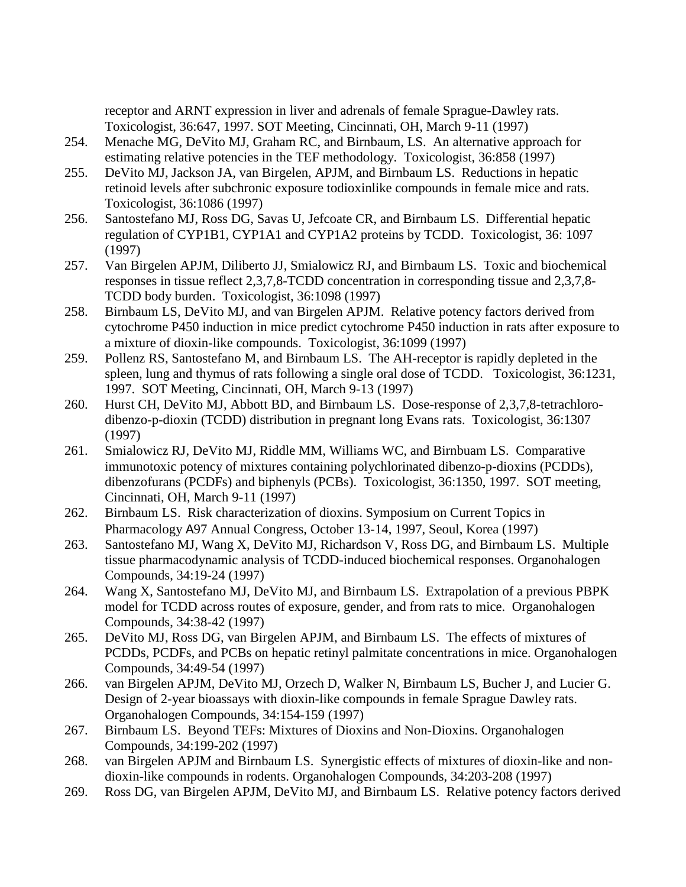receptor and ARNT expression in liver and adrenals of female Sprague-Dawley rats. Toxicologist, 36:647, 1997. SOT Meeting, Cincinnati, OH, March 9-11 (1997)

- 254. Menache MG, DeVito MJ, Graham RC, and Birnbaum, LS. An alternative approach for estimating relative potencies in the TEF methodology. Toxicologist, 36:858 (1997)
- 255. DeVito MJ, Jackson JA, van Birgelen, APJM, and Birnbaum LS. Reductions in hepatic retinoid levels after subchronic exposure todioxinlike compounds in female mice and rats. Toxicologist, 36:1086 (1997)
- 256. Santostefano MJ, Ross DG, Savas U, Jefcoate CR, and Birnbaum LS. Differential hepatic regulation of CYP1B1, CYP1A1 and CYP1A2 proteins by TCDD. Toxicologist, 36: 1097 (1997)
- 257. Van Birgelen APJM, Diliberto JJ, Smialowicz RJ, and Birnbaum LS. Toxic and biochemical responses in tissue reflect 2,3,7,8-TCDD concentration in corresponding tissue and 2,3,7,8- TCDD body burden. Toxicologist, 36:1098 (1997)
- 258. Birnbaum LS, DeVito MJ, and van Birgelen APJM. Relative potency factors derived from cytochrome P450 induction in mice predict cytochrome P450 induction in rats after exposure to a mixture of dioxin-like compounds. Toxicologist, 36:1099 (1997)
- 259. Pollenz RS, Santostefano M, and Birnbaum LS. The AH-receptor is rapidly depleted in the spleen, lung and thymus of rats following a single oral dose of TCDD. Toxicologist, 36:1231, 1997. SOT Meeting, Cincinnati, OH, March 9-13 (1997)
- 260. Hurst CH, DeVito MJ, Abbott BD, and Birnbaum LS. Dose-response of 2,3,7,8-tetrachlorodibenzo-p-dioxin (TCDD) distribution in pregnant long Evans rats. Toxicologist, 36:1307 (1997)
- 261. Smialowicz RJ, DeVito MJ, Riddle MM, Williams WC, and Birnbuam LS. Comparative immunotoxic potency of mixtures containing polychlorinated dibenzo-p-dioxins (PCDDs), dibenzofurans (PCDFs) and biphenyls (PCBs). Toxicologist, 36:1350, 1997. SOT meeting, Cincinnati, OH, March 9-11 (1997)
- 262. Birnbaum LS. Risk characterization of dioxins. Symposium on Current Topics in Pharmacology A97 Annual Congress, October 13-14, 1997, Seoul, Korea (1997)
- 263. Santostefano MJ, Wang X, DeVito MJ, Richardson V, Ross DG, and Birnbaum LS. Multiple tissue pharmacodynamic analysis of TCDD-induced biochemical responses. Organohalogen Compounds, 34:19-24 (1997)
- 264. Wang X, Santostefano MJ, DeVito MJ, and Birnbaum LS. Extrapolation of a previous PBPK model for TCDD across routes of exposure, gender, and from rats to mice. Organohalogen Compounds, 34:38-42 (1997)
- 265. DeVito MJ, Ross DG, van Birgelen APJM, and Birnbaum LS. The effects of mixtures of PCDDs, PCDFs, and PCBs on hepatic retinyl palmitate concentrations in mice. Organohalogen Compounds, 34:49-54 (1997)
- 266. van Birgelen APJM, DeVito MJ, Orzech D, Walker N, Birnbaum LS, Bucher J, and Lucier G. Design of 2-year bioassays with dioxin-like compounds in female Sprague Dawley rats. Organohalogen Compounds, 34:154-159 (1997)
- 267. Birnbaum LS. Beyond TEFs: Mixtures of Dioxins and Non-Dioxins. Organohalogen Compounds, 34:199-202 (1997)
- 268. van Birgelen APJM and Birnbaum LS. Synergistic effects of mixtures of dioxin-like and nondioxin-like compounds in rodents. Organohalogen Compounds, 34:203-208 (1997)
- 269. Ross DG, van Birgelen APJM, DeVito MJ, and Birnbaum LS. Relative potency factors derived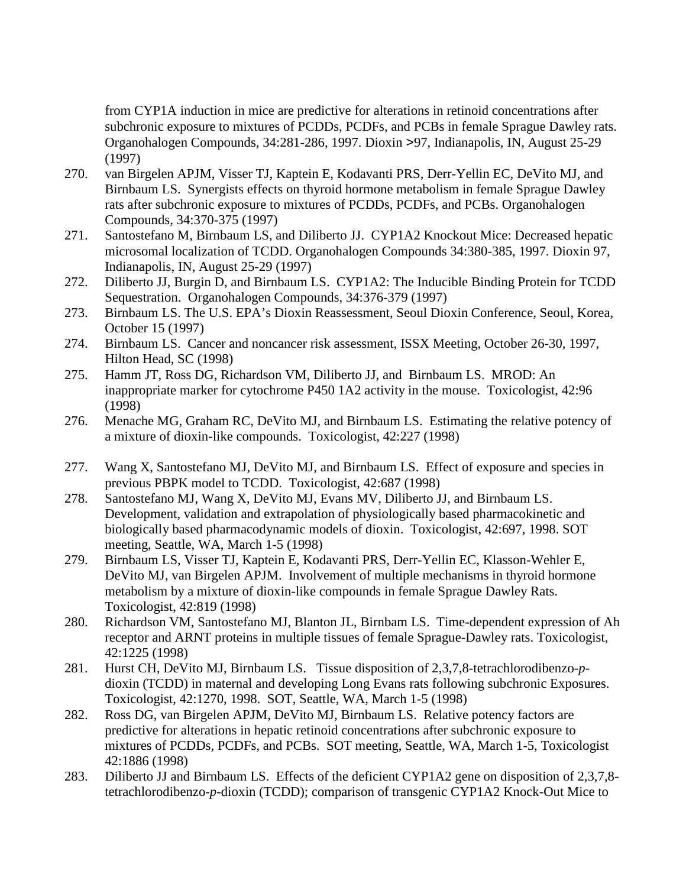from CYP1A induction in mice are predictive for alterations in retinoid concentrations after subchronic exposure to mixtures of PCDDs, PCDFs, and PCBs in female Sprague Dawley rats. Organohalogen Compounds, 34:281-286, 1997. Dioxin >97, Indianapolis, IN, August 25-29 (1997)

- 270. van Birgelen APJM, Visser TJ, Kaptein E, Kodavanti PRS, Derr-Yellin EC, DeVito MJ, and Birnbaum LS. Synergists effects on thyroid hormone metabolism in female Sprague Dawley rats after subchronic exposure to mixtures of PCDDs, PCDFs, and PCBs. Organohalogen Compounds, 34:370-375 (1997)
- 271. Santostefano M, Birnbaum LS, and Diliberto JJ. CYP1A2 Knockout Mice: Decreased hepatic microsomal localization of TCDD. Organohalogen Compounds 34:380-385, 1997. Dioxin 97, Indianapolis, IN, August 25-29 (1997)
- 272. Diliberto JJ, Burgin D, and Birnbaum LS. CYP1A2: The Inducible Binding Protein for TCDD Sequestration. Organohalogen Compounds, 34:376-379 (1997)
- 273. Birnbaum LS. The U.S. EPA's Dioxin Reassessment, Seoul Dioxin Conference, Seoul, Korea, October 15 (1997)
- 274. Birnbaum LS. Cancer and noncancer risk assessment, ISSX Meeting, October 26-30, 1997, Hilton Head, SC (1998)
- 275. Hamm JT, Ross DG, Richardson VM, Diliberto JJ, and Birnbaum LS. MROD: An inappropriate marker for cytochrome P450 1A2 activity in the mouse. Toxicologist, 42:96 (1998)
- 276. Menache MG, Graham RC, DeVito MJ, and Birnbaum LS. Estimating the relative potency of a mixture of dioxin-like compounds. Toxicologist, 42:227 (1998)
- 277. Wang X, Santostefano MJ, DeVito MJ, and Birnbaum LS. Effect of exposure and species in previous PBPK model to TCDD. Toxicologist, 42:687 (1998)
- 278. Santostefano MJ, Wang X, DeVito MJ, Evans MV, Diliberto JJ, and Birnbaum LS. Development, validation and extrapolation of physiologically based pharmacokinetic and biologically based pharmacodynamic models of dioxin. Toxicologist, 42:697, 1998. SOT meeting, Seattle, WA, March 1-5 (1998)
- 279. Birnbaum LS, Visser TJ, Kaptein E, Kodavanti PRS, Derr-Yellin EC, Klasson-Wehler E, DeVito MJ, van Birgelen APJM. Involvement of multiple mechanisms in thyroid hormone metabolism by a mixture of dioxin-like compounds in female Sprague Dawley Rats. Toxicologist, 42:819 (1998)
- 280. Richardson VM, Santostefano MJ, Blanton JL, Birnbam LS. Time-dependent expression of Ah receptor and ARNT proteins in multiple tissues of female Sprague-Dawley rats. Toxicologist, 42:1225 (1998)
- 281. Hurst CH, DeVito MJ, Birnbaum LS. Tissue disposition of 2,3,7,8-tetrachlorodibenzo-*p*dioxin (TCDD) in maternal and developing Long Evans rats following subchronic Exposures. Toxicologist, 42:1270, 1998. SOT, Seattle, WA, March 1-5 (1998)
- 282. Ross DG, van Birgelen APJM, DeVito MJ, Birnbaum LS. Relative potency factors are predictive for alterations in hepatic retinoid concentrations after subchronic exposure to mixtures of PCDDs, PCDFs, and PCBs. SOT meeting, Seattle, WA, March 1-5, Toxicologist 42:1886 (1998)
- 283. Diliberto JJ and Birnbaum LS. Effects of the deficient CYP1A2 gene on disposition of 2,3,7,8 tetrachlorodibenzo-*p*-dioxin (TCDD); comparison of transgenic CYP1A2 Knock-Out Mice to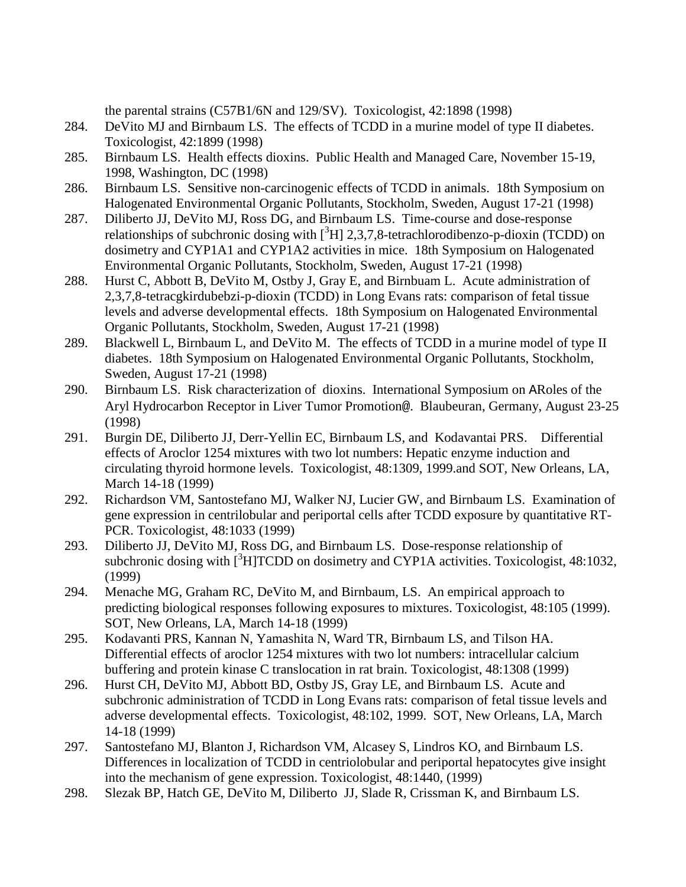the parental strains (C57B1/6N and 129/SV). Toxicologist, 42:1898 (1998)

- 284. DeVito MJ and Birnbaum LS. The effects of TCDD in a murine model of type II diabetes. Toxicologist, 42:1899 (1998)
- 285. Birnbaum LS. Health effects dioxins. Public Health and Managed Care, November 15-19, 1998, Washington, DC (1998)
- 286. Birnbaum LS. Sensitive non-carcinogenic effects of TCDD in animals. 18th Symposium on Halogenated Environmental Organic Pollutants, Stockholm, Sweden, August 17-21 (1998)
- 287. Diliberto JJ, DeVito MJ, Ross DG, and Birnbaum LS. Time-course and dose-response relationships of subchronic dosing with  $[^3H]$  2,3,7,8-tetrachlorodibenzo-p-dioxin (TCDD) on dosimetry and CYP1A1 and CYP1A2 activities in mice. 18th Symposium on Halogenated Environmental Organic Pollutants, Stockholm, Sweden, August 17-21 (1998)
- 288. Hurst C, Abbott B, DeVito M, Ostby J, Gray E, and Birnbuam L. Acute administration of 2,3,7,8-tetracgkirdubebzi-p-dioxin (TCDD) in Long Evans rats: comparison of fetal tissue levels and adverse developmental effects. 18th Symposium on Halogenated Environmental Organic Pollutants, Stockholm, Sweden, August 17-21 (1998)
- 289. Blackwell L, Birnbaum L, and DeVito M. The effects of TCDD in a murine model of type II diabetes. 18th Symposium on Halogenated Environmental Organic Pollutants, Stockholm, Sweden, August 17-21 (1998)
- 290. Birnbaum LS. Risk characterization of dioxins. International Symposium on ARoles of the Aryl Hydrocarbon Receptor in Liver Tumor Promotion@. Blaubeuran, Germany, August 23-25 (1998)
- 291. Burgin DE, Diliberto JJ, Derr-Yellin EC, Birnbaum LS, and Kodavantai PRS. Differential effects of Aroclor 1254 mixtures with two lot numbers: Hepatic enzyme induction and circulating thyroid hormone levels. Toxicologist, 48:1309, 1999.and SOT, New Orleans, LA, March 14-18 (1999)
- 292. Richardson VM, Santostefano MJ, Walker NJ, Lucier GW, and Birnbaum LS. Examination of gene expression in centrilobular and periportal cells after TCDD exposure by quantitative RT-PCR. Toxicologist, 48:1033 (1999)
- 293. Diliberto JJ, DeVito MJ, Ross DG, and Birnbaum LS. Dose-response relationship of subchronic dosing with  $\left[\right]$ <sup>3</sup>H]TCDD on dosimetry and CYP1A activities. Toxicologist, 48:1032, (1999)
- 294. Menache MG, Graham RC, DeVito M, and Birnbaum, LS. An empirical approach to predicting biological responses following exposures to mixtures. Toxicologist, 48:105 (1999). SOT, New Orleans, LA, March 14-18 (1999)
- 295. Kodavanti PRS, Kannan N, Yamashita N, Ward TR, Birnbaum LS, and Tilson HA. Differential effects of aroclor 1254 mixtures with two lot numbers: intracellular calcium buffering and protein kinase C translocation in rat brain. Toxicologist, 48:1308 (1999)
- 296. Hurst CH, DeVito MJ, Abbott BD, Ostby JS, Gray LE, and Birnbaum LS. Acute and subchronic administration of TCDD in Long Evans rats: comparison of fetal tissue levels and adverse developmental effects. Toxicologist, 48:102, 1999. SOT, New Orleans, LA, March 14-18 (1999)
- 297. Santostefano MJ, Blanton J, Richardson VM, Alcasey S, Lindros KO, and Birnbaum LS. Differences in localization of TCDD in centriolobular and periportal hepatocytes give insight into the mechanism of gene expression. Toxicologist, 48:1440, (1999)
- 298. Slezak BP, Hatch GE, DeVito M, Diliberto JJ, Slade R, Crissman K, and Birnbaum LS.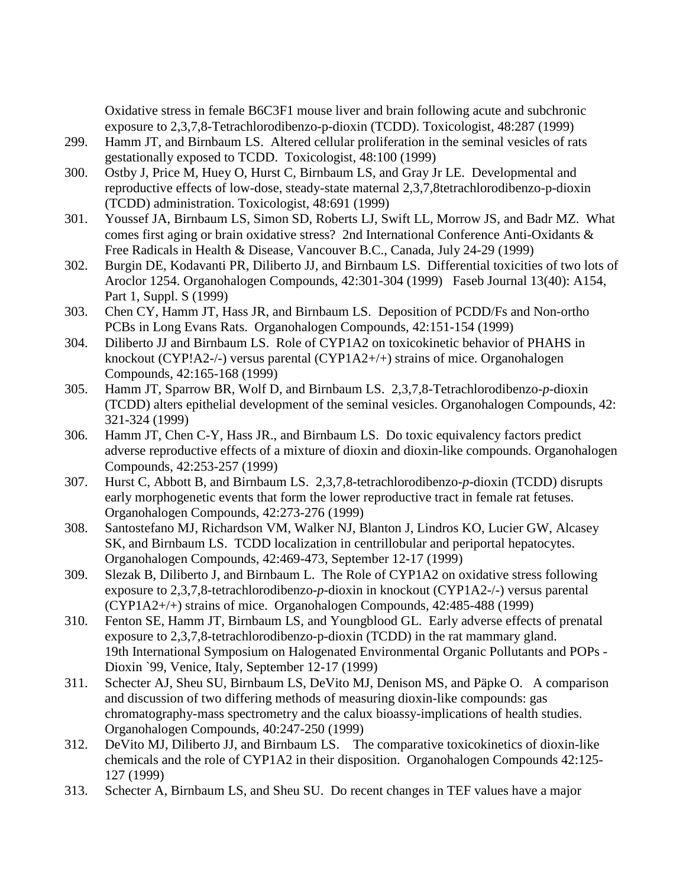Oxidative stress in female B6C3F1 mouse liver and brain following acute and subchronic exposure to 2,3,7,8-Tetrachlorodibenzo-p-dioxin (TCDD). Toxicologist, 48:287 (1999)

- 299. Hamm JT, and Birnbaum LS. Altered cellular proliferation in the seminal vesicles of rats gestationally exposed to TCDD. Toxicologist, 48:100 (1999)
- 300. Ostby J, Price M, Huey O, Hurst C, Birnbaum LS, and Gray Jr LE. Developmental and reproductive effects of low-dose, steady-state maternal 2,3,7,8tetrachlorodibenzo-p-dioxin (TCDD) administration. Toxicologist, 48:691 (1999)
- 301. Youssef JA, Birnbaum LS, Simon SD, Roberts LJ, Swift LL, Morrow JS, and Badr MZ. What comes first aging or brain oxidative stress? 2nd International Conference Anti-Oxidants & Free Radicals in Health & Disease, Vancouver B.C., Canada, July 24-29 (1999)
- 302. Burgin DE, Kodavanti PR, Diliberto JJ, and Birnbaum LS. Differential toxicities of two lots of Aroclor 1254. Organohalogen Compounds, 42:301-304 (1999) Faseb Journal 13(40): A154, Part 1, Suppl. S (1999)
- 303. Chen CY, Hamm JT, Hass JR, and Birnbaum LS. Deposition of PCDD/Fs and Non-ortho PCBs in Long Evans Rats. Organohalogen Compounds, 42:151-154 (1999)
- 304. Diliberto JJ and Birnbaum LS. Role of CYP1A2 on toxicokinetic behavior of PHAHS in knockout (CYP!A2-/-) versus parental (CYP1A2+/+) strains of mice. Organohalogen Compounds, 42:165-168 (1999)
- 305. Hamm JT, Sparrow BR, Wolf D, and Birnbaum LS. 2,3,7,8-Tetrachlorodibenzo*-p*-dioxin (TCDD) alters epithelial development of the seminal vesicles. Organohalogen Compounds, 42: 321-324 (1999)
- 306. Hamm JT, Chen C-Y, Hass JR., and Birnbaum LS. Do toxic equivalency factors predict adverse reproductive effects of a mixture of dioxin and dioxin-like compounds. Organohalogen Compounds, 42:253-257 (1999)
- 307. Hurst C, Abbott B, and Birnbaum LS. 2,3,7,8-tetrachlorodibenzo-*p*-dioxin (TCDD) disrupts early morphogenetic events that form the lower reproductive tract in female rat fetuses. Organohalogen Compounds, 42:273-276 (1999)
- 308. Santostefano MJ, Richardson VM, Walker NJ, Blanton J, Lindros KO, Lucier GW, Alcasey SK, and Birnbaum LS. TCDD localization in centrillobular and periportal hepatocytes. Organohalogen Compounds, 42:469-473, September 12-17 (1999)
- 309. Slezak B, Diliberto J, and Birnbaum L. The Role of CYP1A2 on oxidative stress following exposure to 2,3,7,8-tetrachlorodibenzo-*p*-dioxin in knockout (CYP1A2-/-) versus parental (CYP1A2+/+) strains of mice. Organohalogen Compounds, 42:485-488 (1999)
- 310. Fenton SE, Hamm JT, Birnbaum LS, and Youngblood GL. Early adverse effects of prenatal exposure to 2,3,7,8-tetrachlorodibenzo-p-dioxin (TCDD) in the rat mammary gland. 19th International Symposium on Halogenated Environmental Organic Pollutants and POPs - Dioxin `99, Venice, Italy, September 12-17 (1999)
- 311. Schecter AJ, Sheu SU, Birnbaum LS, DeVito MJ, Denison MS, and Päpke O. A comparison and discussion of two differing methods of measuring dioxin-like compounds: gas chromatography-mass spectrometry and the calux bioassy-implications of health studies. Organohalogen Compounds, 40:247-250 (1999)
- 312. DeVito MJ, Diliberto JJ, and Birnbaum LS. The comparative toxicokinetics of dioxin-like chemicals and the role of CYP1A2 in their disposition. Organohalogen Compounds 42:125- 127 (1999)
- 313. Schecter A, Birnbaum LS, and Sheu SU. Do recent changes in TEF values have a major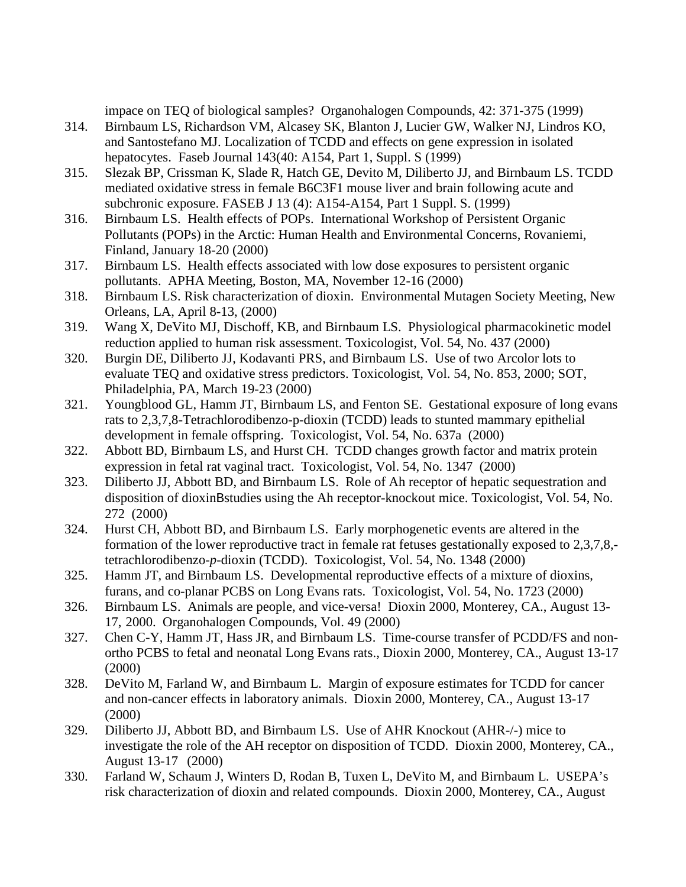impace on TEQ of biological samples? Organohalogen Compounds, 42: 371-375 (1999)

- 314. Birnbaum LS, Richardson VM, Alcasey SK, Blanton J, Lucier GW, Walker NJ, Lindros KO, and Santostefano MJ. Localization of TCDD and effects on gene expression in isolated hepatocytes. Faseb Journal 143(40: A154, Part 1, Suppl. S (1999)
- 315. Slezak BP, Crissman K, Slade R, Hatch GE, Devito M, Diliberto JJ, and Birnbaum LS. TCDD mediated oxidative stress in female B6C3F1 mouse liver and brain following acute and subchronic exposure. FASEB J 13 (4): A154-A154, Part 1 Suppl. S. (1999)
- 316. Birnbaum LS. Health effects of POPs. International Workshop of Persistent Organic Pollutants (POPs) in the Arctic: Human Health and Environmental Concerns, Rovaniemi, Finland, January 18-20 (2000)
- 317. Birnbaum LS. Health effects associated with low dose exposures to persistent organic pollutants. APHA Meeting, Boston, MA, November 12-16 (2000)
- 318. Birnbaum LS. Risk characterization of dioxin. Environmental Mutagen Society Meeting, New Orleans, LA, April 8-13, (2000)
- 319. Wang X, DeVito MJ, Dischoff, KB, and Birnbaum LS. Physiological pharmacokinetic model reduction applied to human risk assessment. Toxicologist, Vol. 54, No. 437 (2000)
- 320. Burgin DE, Diliberto JJ, Kodavanti PRS, and Birnbaum LS. Use of two Arcolor lots to evaluate TEQ and oxidative stress predictors. Toxicologist, Vol. 54, No. 853, 2000; SOT, Philadelphia, PA, March 19-23 (2000)
- 321. Youngblood GL, Hamm JT, Birnbaum LS, and Fenton SE. Gestational exposure of long evans rats to 2,3,7,8-Tetrachlorodibenzo-p-dioxin (TCDD) leads to stunted mammary epithelial development in female offspring. Toxicologist, Vol. 54, No. 637a (2000)
- 322. Abbott BD, Birnbaum LS, and Hurst CH. TCDD changes growth factor and matrix protein expression in fetal rat vaginal tract. Toxicologist, Vol. 54, No. 1347 (2000)
- 323. Diliberto JJ, Abbott BD, and Birnbaum LS. Role of Ah receptor of hepatic sequestration and disposition of dioxinBstudies using the Ah receptor-knockout mice. Toxicologist, Vol. 54, No. 272 (2000)
- 324. Hurst CH, Abbott BD, and Birnbaum LS. Early morphogenetic events are altered in the formation of the lower reproductive tract in female rat fetuses gestationally exposed to 2,3,7,8, tetrachlorodibenzo-*p*-dioxin (TCDD). Toxicologist, Vol. 54, No. 1348 (2000)
- 325. Hamm JT, and Birnbaum LS. Developmental reproductive effects of a mixture of dioxins, furans, and co-planar PCBS on Long Evans rats. Toxicologist, Vol. 54, No. 1723 (2000)
- 326. Birnbaum LS. Animals are people, and vice-versa! Dioxin 2000, Monterey, CA., August 13- 17, 2000. Organohalogen Compounds, Vol. 49 (2000)
- 327. Chen C-Y, Hamm JT, Hass JR, and Birnbaum LS. Time-course transfer of PCDD/FS and nonortho PCBS to fetal and neonatal Long Evans rats., Dioxin 2000, Monterey, CA., August 13-17 (2000)
- 328. DeVito M, Farland W, and Birnbaum L. Margin of exposure estimates for TCDD for cancer and non-cancer effects in laboratory animals. Dioxin 2000, Monterey, CA., August 13-17 (2000)
- 329. Diliberto JJ, Abbott BD, and Birnbaum LS. Use of AHR Knockout (AHR-/-) mice to investigate the role of the AH receptor on disposition of TCDD. Dioxin 2000, Monterey, CA., August 13-17 (2000)
- 330. Farland W, Schaum J, Winters D, Rodan B, Tuxen L, DeVito M, and Birnbaum L. USEPA's risk characterization of dioxin and related compounds. Dioxin 2000, Monterey, CA., August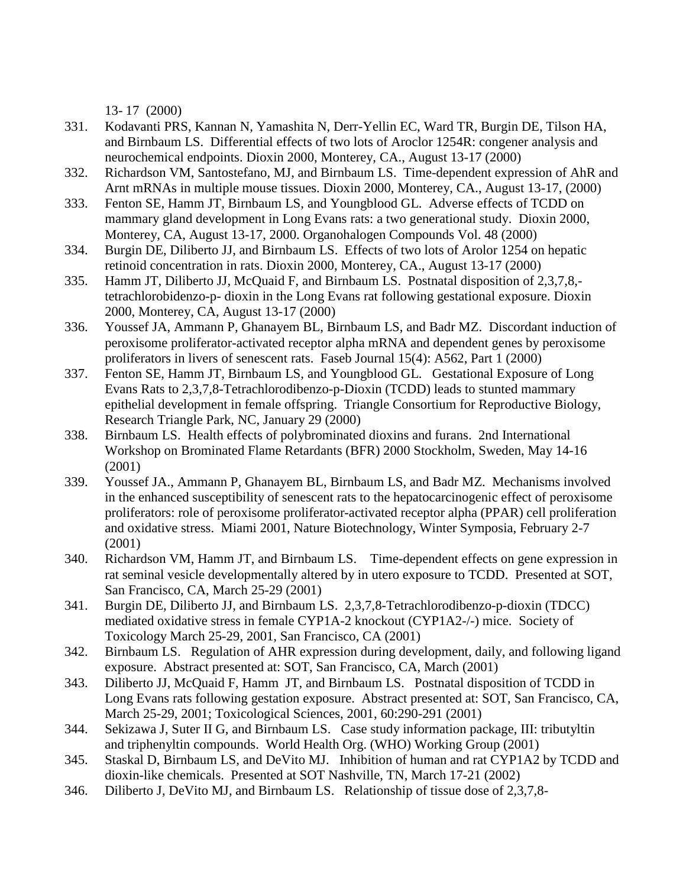13- 17 (2000)

- 331. Kodavanti PRS, Kannan N, Yamashita N, Derr-Yellin EC, Ward TR, Burgin DE, Tilson HA, and Birnbaum LS. Differential effects of two lots of Aroclor 1254R: congener analysis and neurochemical endpoints. Dioxin 2000, Monterey, CA., August 13-17 (2000)
- 332. Richardson VM, Santostefano, MJ, and Birnbaum LS. Time-dependent expression of AhR and Arnt mRNAs in multiple mouse tissues. Dioxin 2000, Monterey, CA., August 13-17, (2000)
- 333. Fenton SE, Hamm JT, Birnbaum LS, and Youngblood GL. Adverse effects of TCDD on mammary gland development in Long Evans rats: a two generational study. Dioxin 2000, Monterey, CA, August 13-17, 2000. Organohalogen Compounds Vol. 48 (2000)
- 334. Burgin DE, Diliberto JJ, and Birnbaum LS. Effects of two lots of Arolor 1254 on hepatic retinoid concentration in rats. Dioxin 2000, Monterey, CA., August 13-17 (2000)
- 335. Hamm JT, Diliberto JJ, McQuaid F, and Birnbaum LS. Postnatal disposition of 2,3,7,8, tetrachlorobidenzo-p- dioxin in the Long Evans rat following gestational exposure. Dioxin 2000, Monterey, CA, August 13-17 (2000)
- 336. Youssef JA, Ammann P, Ghanayem BL, Birnbaum LS, and Badr MZ. Discordant induction of peroxisome proliferator-activated receptor alpha mRNA and dependent genes by peroxisome proliferators in livers of senescent rats. Faseb Journal 15(4): A562, Part 1 (2000)
- 337. Fenton SE, Hamm JT, Birnbaum LS, and Youngblood GL. Gestational Exposure of Long Evans Rats to 2,3,7,8-Tetrachlorodibenzo-p-Dioxin (TCDD) leads to stunted mammary epithelial development in female offspring. Triangle Consortium for Reproductive Biology, Research Triangle Park, NC, January 29 (2000)
- 338. Birnbaum LS. Health effects of polybrominated dioxins and furans. 2nd International Workshop on Brominated Flame Retardants (BFR) 2000 Stockholm, Sweden, May 14-16 (2001)
- 339. Youssef JA., Ammann P, Ghanayem BL, Birnbaum LS, and Badr MZ. Mechanisms involved in the enhanced susceptibility of senescent rats to the hepatocarcinogenic effect of peroxisome proliferators: role of peroxisome proliferator-activated receptor alpha (PPAR) cell proliferation and oxidative stress. Miami 2001, Nature Biotechnology, Winter Symposia, February 2-7 (2001)
- 340. Richardson VM, Hamm JT, and Birnbaum LS. Time-dependent effects on gene expression in rat seminal vesicle developmentally altered by in utero exposure to TCDD. Presented at SOT, San Francisco, CA, March 25-29 (2001)
- 341. Burgin DE, Diliberto JJ, and Birnbaum LS. 2,3,7,8-Tetrachlorodibenzo-p-dioxin (TDCC) mediated oxidative stress in female CYP1A-2 knockout (CYP1A2-/-) mice. Society of Toxicology March 25-29, 2001, San Francisco, CA (2001)
- 342. Birnbaum LS. Regulation of AHR expression during development, daily, and following ligand exposure. Abstract presented at: SOT, San Francisco, CA, March (2001)
- 343. Diliberto JJ, McQuaid F, Hamm JT, and Birnbaum LS. Postnatal disposition of TCDD in Long Evans rats following gestation exposure. Abstract presented at: SOT, San Francisco, CA, March 25-29, 2001; Toxicological Sciences, 2001, 60:290-291 (2001)
- 344. Sekizawa J, Suter II G, and Birnbaum LS. Case study information package, III: tributyltin and triphenyltin compounds. World Health Org. (WHO) Working Group (2001)
- 345. Staskal D, Birnbaum LS, and DeVito MJ. Inhibition of human and rat CYP1A2 by TCDD and dioxin-like chemicals. Presented at SOT Nashville, TN, March 17-21 (2002)
- 346. Diliberto J, DeVito MJ, and Birnbaum LS. Relationship of tissue dose of 2,3,7,8-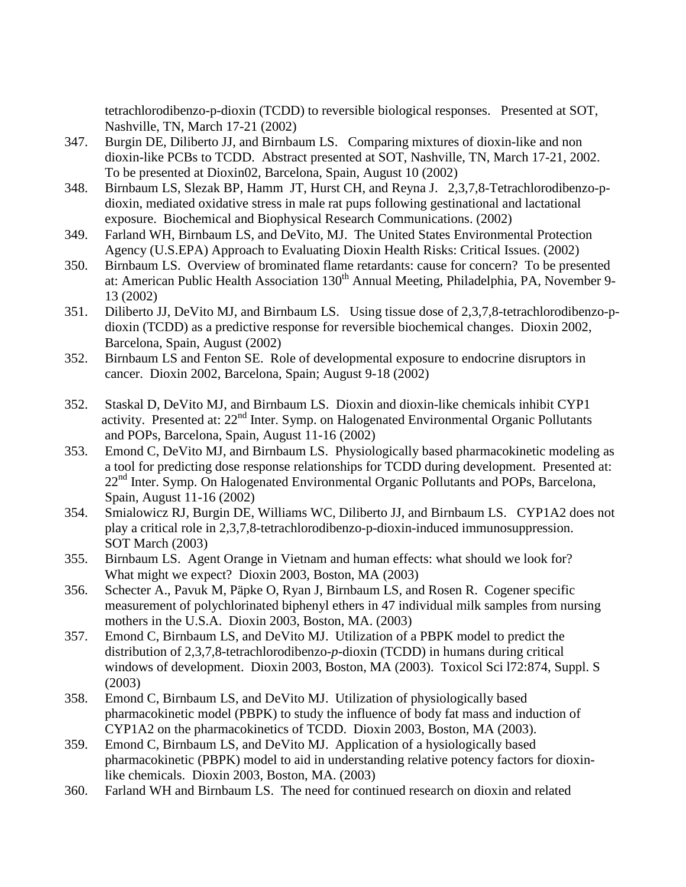tetrachlorodibenzo-p-dioxin (TCDD) to reversible biological responses. Presented at SOT, Nashville, TN, March 17-21 (2002)

- 347. Burgin DE, Diliberto JJ, and Birnbaum LS. Comparing mixtures of dioxin-like and non dioxin-like PCBs to TCDD. Abstract presented at SOT, Nashville, TN, March 17-21, 2002. To be presented at Dioxin02, Barcelona, Spain, August 10 (2002)
- 348. Birnbaum LS, Slezak BP, Hamm JT, Hurst CH, and Reyna J. 2,3,7,8-Tetrachlorodibenzo-pdioxin, mediated oxidative stress in male rat pups following gestinational and lactational exposure. Biochemical and Biophysical Research Communications. (2002)
- 349. Farland WH, Birnbaum LS, and DeVito, MJ. The United States Environmental Protection Agency (U.S.EPA) Approach to Evaluating Dioxin Health Risks: Critical Issues. (2002)
- 350. Birnbaum LS. Overview of brominated flame retardants: cause for concern? To be presented at: American Public Health Association 130<sup>th</sup> Annual Meeting, Philadelphia, PA, November 9-13 (2002)
- 351. Diliberto JJ, DeVito MJ, and Birnbaum LS. Using tissue dose of 2,3,7,8-tetrachlorodibenzo-pdioxin (TCDD) as a predictive response for reversible biochemical changes. Dioxin 2002, Barcelona, Spain, August (2002)
- 352. Birnbaum LS and Fenton SE. Role of developmental exposure to endocrine disruptors in cancer. Dioxin 2002, Barcelona, Spain; August 9-18 (2002)
- 352. Staskal D, DeVito MJ, and Birnbaum LS. Dioxin and dioxin-like chemicals inhibit CYP1 activity. Presented at: 22<sup>nd</sup> Inter. Symp. on Halogenated Environmental Organic Pollutants and POPs, Barcelona, Spain, August 11-16 (2002)
- 353. Emond C, DeVito MJ, and Birnbaum LS. Physiologically based pharmacokinetic modeling as a tool for predicting dose response relationships for TCDD during development. Presented at:  $22<sup>nd</sup>$  Inter. Symp. On Halogenated Environmental Organic Pollutants and POPs, Barcelona, Spain, August 11-16 (2002)
- 354. Smialowicz RJ, Burgin DE, Williams WC, Diliberto JJ, and Birnbaum LS. CYP1A2 does not play a critical role in 2,3,7,8-tetrachlorodibenzo-p-dioxin-induced immunosuppression. SOT March (2003)
- 355. Birnbaum LS. Agent Orange in Vietnam and human effects: what should we look for? What might we expect? Dioxin 2003, Boston, MA (2003)
- 356. Schecter A., Pavuk M, Päpke O, Ryan J, Birnbaum LS, and Rosen R. Cogener specific measurement of polychlorinated biphenyl ethers in 47 individual milk samples from nursing mothers in the U.S.A. Dioxin 2003, Boston, MA. (2003)
- 357. Emond C, Birnbaum LS, and DeVito MJ. Utilization of a PBPK model to predict the distribution of 2,3,7,8-tetrachlorodibenzo-*p*-dioxin (TCDD) in humans during critical windows of development. Dioxin 2003, Boston, MA (2003). Toxicol Sci l72:874, Suppl. S (2003)
- 358. Emond C, Birnbaum LS, and DeVito MJ. Utilization of physiologically based pharmacokinetic model (PBPK) to study the influence of body fat mass and induction of CYP1A2 on the pharmacokinetics of TCDD. Dioxin 2003, Boston, MA (2003).
- 359. Emond C, Birnbaum LS, and DeVito MJ. Application of a hysiologically based pharmacokinetic (PBPK) model to aid in understanding relative potency factors for dioxin like chemicals. Dioxin 2003, Boston, MA. (2003)
- 360. Farland WH and Birnbaum LS. The need for continued research on dioxin and related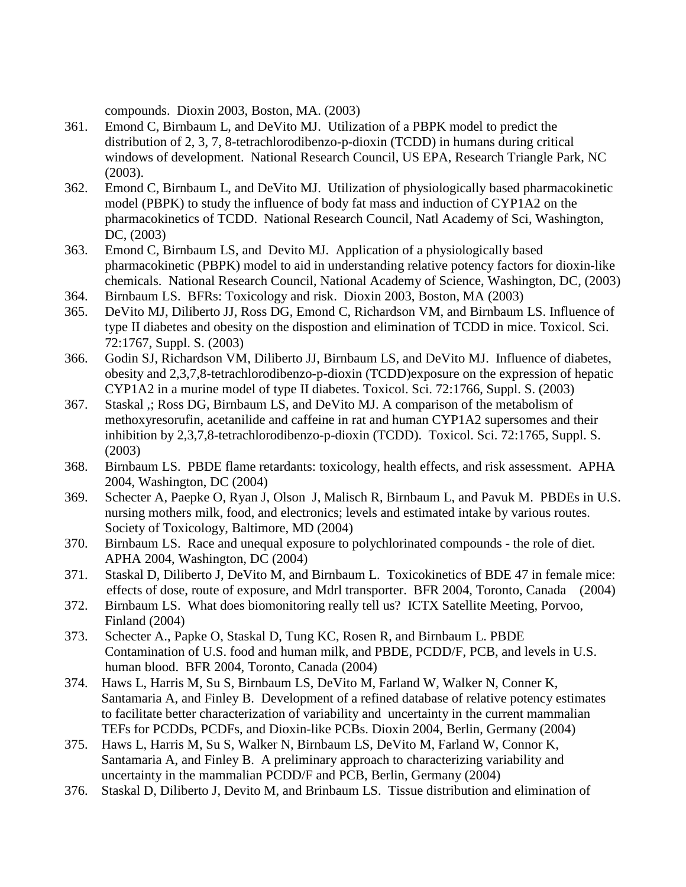compounds. Dioxin 2003, Boston, MA. (2003)

- 361. Emond C, Birnbaum L, and DeVito MJ. Utilization of a PBPK model to predict the distribution of 2, 3, 7, 8-tetrachlorodibenzo-p-dioxin (TCDD) in humans during critical windows of development. National Research Council, US EPA, Research Triangle Park, NC (2003).
- 362. Emond C, Birnbaum L, and DeVito MJ. Utilization of physiologically based pharmacokinetic model (PBPK) to study the influence of body fat mass and induction of CYP1A2 on the pharmacokinetics of TCDD. National Research Council, Natl Academy of Sci, Washington, DC, (2003)
- 363. Emond C, Birnbaum LS, and Devito MJ. Application of a physiologically based pharmacokinetic (PBPK) model to aid in understanding relative potency factors for dioxin-like chemicals. National Research Council, National Academy of Science, Washington, DC, (2003)
- 364. Birnbaum LS. BFRs: Toxicology and risk. Dioxin 2003, Boston, MA (2003)
- 365. DeVito MJ, Diliberto JJ, Ross DG, Emond C, Richardson VM, and Birnbaum LS. Influence of type II diabetes and obesity on the dispostion and elimination of TCDD in mice. Toxicol. Sci. 72:1767, Suppl. S. (2003)
- 366. Godin SJ, Richardson VM, Diliberto JJ, Birnbaum LS, and DeVito MJ. Influence of diabetes, obesity and 2,3,7,8-tetrachlorodibenzo-p-dioxin (TCDD)exposure on the expression of hepatic CYP1A2 in a murine model of type II diabetes. Toxicol. Sci. 72:1766, Suppl. S. (2003)
- 367. Staskal ,; Ross DG, Birnbaum LS, and DeVito MJ. A comparison of the metabolism of methoxyresorufin, acetanilide and caffeine in rat and human CYP1A2 supersomes and their inhibition by 2,3,7,8-tetrachlorodibenzo-p-dioxin (TCDD). Toxicol. Sci. 72:1765, Suppl. S. (2003)
- 368. Birnbaum LS. PBDE flame retardants: toxicology, health effects, and risk assessment. APHA 2004, Washington, DC (2004)
- 369. Schecter A, Paepke O, Ryan J, Olson J, Malisch R, Birnbaum L, and Pavuk M. PBDEs in U.S. nursing mothers milk, food, and electronics; levels and estimated intake by various routes. Society of Toxicology, Baltimore, MD (2004)
- 370. Birnbaum LS. Race and unequal exposure to polychlorinated compounds the role of diet. APHA 2004, Washington, DC (2004)
- 371. Staskal D, Diliberto J, DeVito M, and Birnbaum L. Toxicokinetics of BDE 47 in female mice: effects of dose, route of exposure, and Mdrl transporter. BFR 2004, Toronto, Canada (2004)
- 372. Birnbaum LS. What does biomonitoring really tell us? ICTX Satellite Meeting, Porvoo, Finland (2004)
- 373. Schecter A., Papke O, Staskal D, Tung KC, Rosen R, and Birnbaum L. PBDE Contamination of U.S. food and human milk, and PBDE, PCDD/F, PCB, and levels in U.S. human blood. BFR 2004, Toronto, Canada (2004)
- 374. Haws L, Harris M, Su S, Birnbaum LS, DeVito M, Farland W, Walker N, Conner K, Santamaria A, and Finley B. Development of a refined database of relative potency estimates to facilitate better characterization of variability and uncertainty in the current mammalian TEFs for PCDDs, PCDFs, and Dioxin-like PCBs. Dioxin 2004, Berlin, Germany (2004)
- 375. Haws L, Harris M, Su S, Walker N, Birnbaum LS, DeVito M, Farland W, Connor K, Santamaria A, and Finley B. A preliminary approach to characterizing variability and uncertainty in the mammalian PCDD/F and PCB, Berlin, Germany (2004)
- 376. Staskal D, Diliberto J, Devito M, and Brinbaum LS. Tissue distribution and elimination of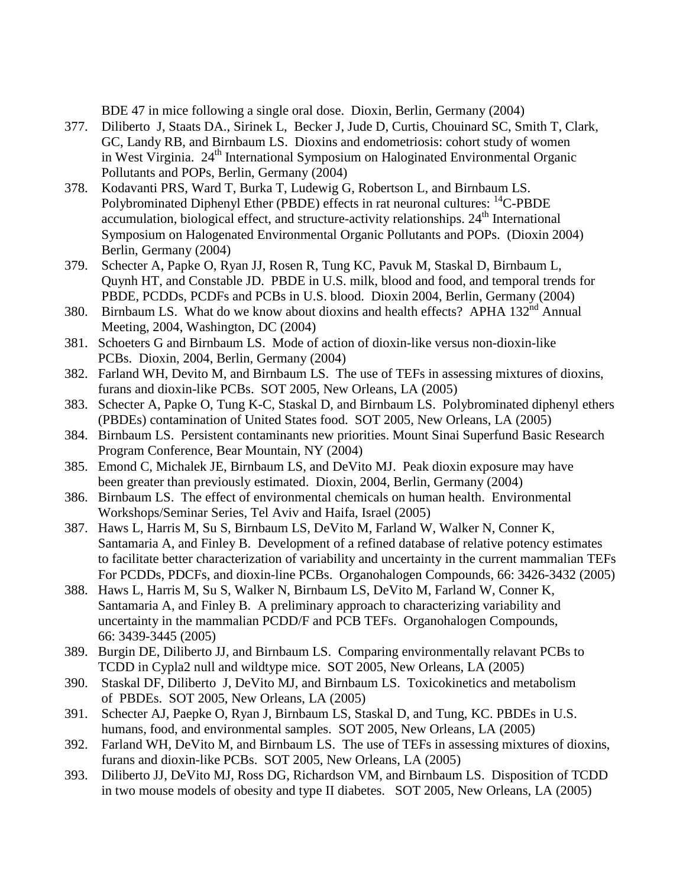BDE 47 in mice following a single oral dose. Dioxin, Berlin, Germany (2004)

- 377. Diliberto J, Staats DA., Sirinek L, Becker J, Jude D, Curtis, Chouinard SC, Smith T, Clark, GC, Landy RB, and Birnbaum LS. Dioxins and endometriosis: cohort study of women in West Virginia. 24<sup>th</sup> International Symposium on Haloginated Environmental Organic Pollutants and POPs, Berlin, Germany (2004)
- 378. Kodavanti PRS, Ward T, Burka T, Ludewig G, Robertson L, and Birnbaum LS. Polybrominated Diphenyl Ether (PBDE) effects in rat neuronal cultures: <sup>14</sup>C-PBDE accumulation, biological effect, and structure-activity relationships.  $24<sup>th</sup>$  International Symposium on Halogenated Environmental Organic Pollutants and POPs. (Dioxin 2004) Berlin, Germany (2004)
- 379. Schecter A, Papke O, Ryan JJ, Rosen R, Tung KC, Pavuk M, Staskal D, Birnbaum L, Quynh HT, and Constable JD. PBDE in U.S. milk, blood and food, and temporal trends for PBDE, PCDDs, PCDFs and PCBs in U.S. blood. Dioxin 2004, Berlin, Germany (2004)
- 380. Birnbaum LS. What do we know about dioxins and health effects? APHA 132<sup>nd</sup> Annual Meeting, 2004, Washington, DC (2004)
- 381. Schoeters G and Birnbaum LS. Mode of action of dioxin-like versus non-dioxin-like PCBs. Dioxin, 2004, Berlin, Germany (2004)
- 382. Farland WH, Devito M, and Birnbaum LS. The use of TEFs in assessing mixtures of dioxins, furans and dioxin-like PCBs. SOT 2005, New Orleans, LA (2005)
- 383. Schecter A, Papke O, Tung K-C, Staskal D, and Birnbaum LS. Polybrominated diphenyl ethers (PBDEs) contamination of United States food. SOT 2005, New Orleans, LA (2005)
- 384. Birnbaum LS. Persistent contaminants new priorities. Mount Sinai Superfund Basic Research Program Conference, Bear Mountain, NY (2004)
- 385. Emond C, Michalek JE, Birnbaum LS, and DeVito MJ. Peak dioxin exposure may have been greater than previously estimated. Dioxin, 2004, Berlin, Germany (2004)
- 386. Birnbaum LS. The effect of environmental chemicals on human health. Environmental Workshops/Seminar Series, Tel Aviv and Haifa, Israel (2005)
- 387. Haws L, Harris M, Su S, Birnbaum LS, DeVito M, Farland W, Walker N, Conner K, Santamaria A, and Finley B. Development of a refined database of relative potency estimates to facilitate better characterization of variability and uncertainty in the current mammalian TEFs For PCDDs, PDCFs, and dioxin-line PCBs. Organohalogen Compounds, 66: 3426-3432 (2005)
- 388. Haws L, Harris M, Su S, Walker N, Birnbaum LS, DeVito M, Farland W, Conner K, Santamaria A, and Finley B. A preliminary approach to characterizing variability and uncertainty in the mammalian PCDD/F and PCB TEFs. Organohalogen Compounds, 66: 3439-3445 (2005)
- 389. Burgin DE, Diliberto JJ, and Birnbaum LS. Comparing environmentally relavant PCBs to TCDD in Cypla2 null and wildtype mice. SOT 2005, New Orleans, LA (2005)
- 390. Staskal DF, Diliberto J, DeVito MJ, and Birnbaum LS. Toxicokinetics and metabolism of PBDEs. SOT 2005, New Orleans, LA (2005)
- 391. Schecter AJ, Paepke O, Ryan J, Birnbaum LS, Staskal D, and Tung, KC. PBDEs in U.S. humans, food, and environmental samples. SOT 2005, New Orleans, LA (2005)
- 392. Farland WH, DeVito M, and Birnbaum LS. The use of TEFs in assessing mixtures of dioxins, furans and dioxin-like PCBs. SOT 2005, New Orleans, LA (2005)
- 393. Diliberto JJ, DeVito MJ, Ross DG, Richardson VM, and Birnbaum LS. Disposition of TCDD in two mouse models of obesity and type II diabetes. SOT 2005, New Orleans, LA (2005)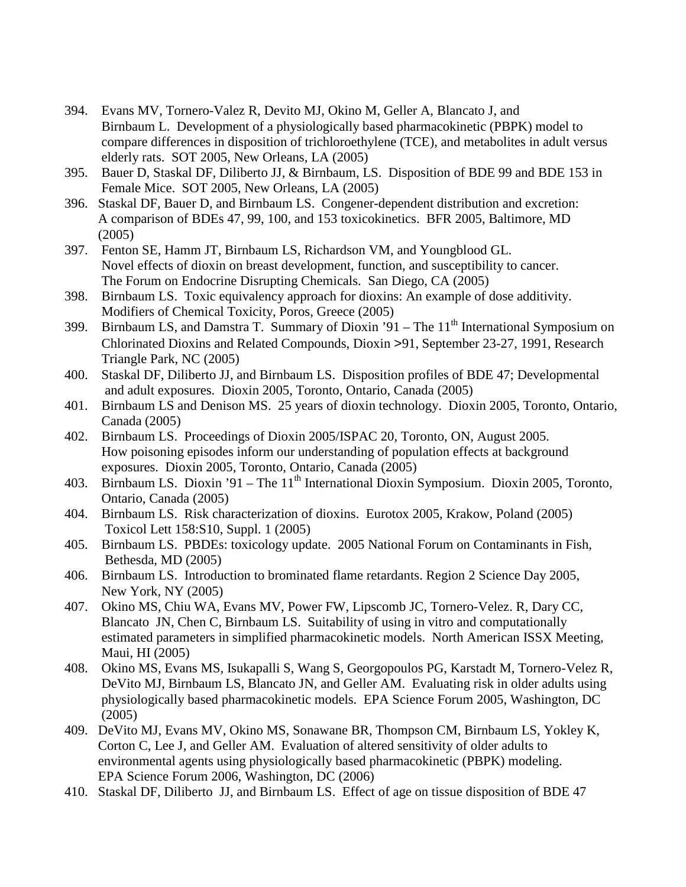- 394. Evans MV, Tornero-Valez R, Devito MJ, Okino M, Geller A, Blancato J, and Birnbaum L. Development of a physiologically based pharmacokinetic (PBPK) model to compare differences in disposition of trichloroethylene (TCE), and metabolites in adult versus elderly rats. SOT 2005, New Orleans, LA (2005)
- 395. Bauer D, Staskal DF, Diliberto JJ, & Birnbaum, LS. Disposition of BDE 99 and BDE 153 in Female Mice. SOT 2005, New Orleans, LA (2005)
- 396. Staskal DF, Bauer D, and Birnbaum LS. Congener-dependent distribution and excretion: A comparison of BDEs 47, 99, 100, and 153 toxicokinetics. BFR 2005, Baltimore, MD (2005)
- 397. Fenton SE, Hamm JT, Birnbaum LS, Richardson VM, and Youngblood GL. Novel effects of dioxin on breast development, function, and susceptibility to cancer. The Forum on Endocrine Disrupting Chemicals. San Diego, CA (2005)
- 398. Birnbaum LS. Toxic equivalency approach for dioxins: An example of dose additivity. Modifiers of Chemical Toxicity, Poros, Greece (2005)
- 399. Birnbaum LS, and Damstra T. Summary of Dioxin '91 The  $11<sup>th</sup>$  International Symposium on Chlorinated Dioxins and Related Compounds, Dioxin >91, September 23-27, 1991, Research Triangle Park, NC (2005)
- 400. Staskal DF, Diliberto JJ, and Birnbaum LS. Disposition profiles of BDE 47; Developmental and adult exposures. Dioxin 2005, Toronto, Ontario, Canada (2005)
- 401. Birnbaum LS and Denison MS. 25 years of dioxin technology. Dioxin 2005, Toronto, Ontario, Canada (2005)
- 402. Birnbaum LS. Proceedings of Dioxin 2005/ISPAC 20, Toronto, ON, August 2005. How poisoning episodes inform our understanding of population effects at background exposures. Dioxin 2005, Toronto, Ontario, Canada (2005)
- 403. Birnbaum LS. Dioxin '91 The  $11<sup>th</sup>$  International Dioxin Symposium. Dioxin 2005, Toronto, Ontario, Canada (2005)
- 404. Birnbaum LS. Risk characterization of dioxins. Eurotox 2005, Krakow, Poland (2005) Toxicol Lett 158:S10, Suppl. 1 (2005)
- 405. Birnbaum LS. PBDEs: toxicology update. 2005 National Forum on Contaminants in Fish, Bethesda, MD (2005)
- 406. Birnbaum LS. Introduction to brominated flame retardants. Region 2 Science Day 2005, New York, NY (2005)
- 407. Okino MS, Chiu WA, Evans MV, Power FW, Lipscomb JC, Tornero-Velez. R, Dary CC, Blancato JN, Chen C, Birnbaum LS. Suitability of using in vitro and computationally estimated parameters in simplified pharmacokinetic models. North American ISSX Meeting, Maui, HI (2005)
- 408. Okino MS, Evans MS, Isukapalli S, Wang S, Georgopoulos PG, Karstadt M, Tornero-Velez R, DeVito MJ, Birnbaum LS, Blancato JN, and Geller AM. Evaluating risk in older adults using physiologically based pharmacokinetic models. EPA Science Forum 2005, Washington, DC (2005)
- 409. DeVito MJ, Evans MV, Okino MS, Sonawane BR, Thompson CM, Birnbaum LS, Yokley K, Corton C, Lee J, and Geller AM. Evaluation of altered sensitivity of older adults to environmental agents using physiologically based pharmacokinetic (PBPK) modeling. EPA Science Forum 2006, Washington, DC (2006)
- 410. Staskal DF, Diliberto JJ, and Birnbaum LS. Effect of age on tissue disposition of BDE 47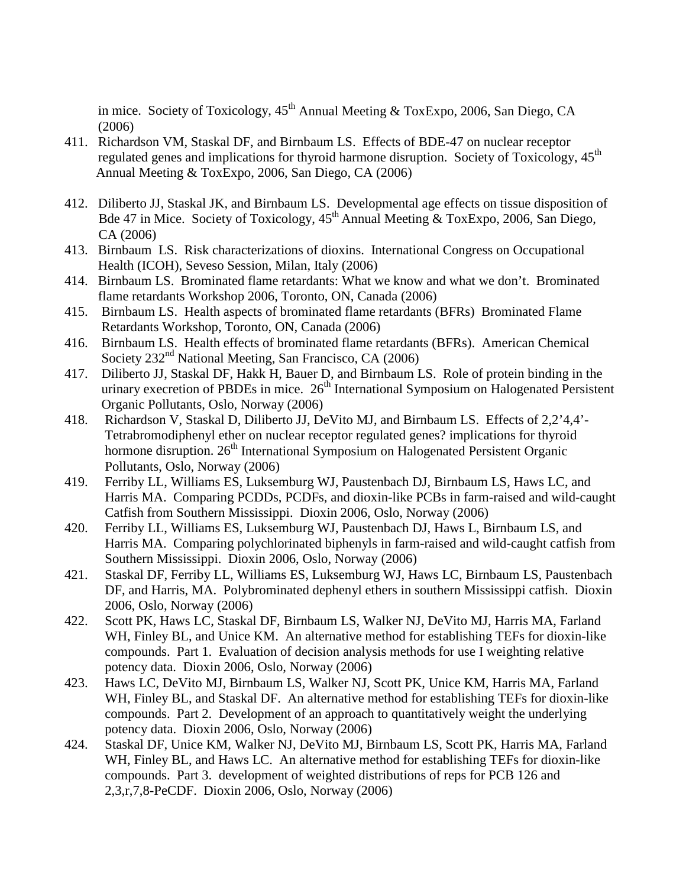in mice. Society of Toxicology,  $45<sup>th</sup>$  Annual Meeting & ToxExpo, 2006, San Diego, CA (2006)

- 411. Richardson VM, Staskal DF, and Birnbaum LS. Effects of BDE-47 on nuclear receptor regulated genes and implications for thyroid harmone disruption. Society of Toxicology, 45<sup>th</sup> Annual Meeting & ToxExpo, 2006, San Diego, CA (2006)
- 412. Diliberto JJ, Staskal JK, and Birnbaum LS. Developmental age effects on tissue disposition of Bde 47 in Mice. Society of Toxicology,  $45<sup>th</sup>$  Annual Meeting & ToxExpo, 2006, San Diego, CA (2006)
- 413. Birnbaum LS. Risk characterizations of dioxins. International Congress on Occupational Health (ICOH), Seveso Session, Milan, Italy (2006)
- 414. Birnbaum LS. Brominated flame retardants: What we know and what we don't. Brominated flame retardants Workshop 2006, Toronto, ON, Canada (2006)
- 415. Birnbaum LS. Health aspects of brominated flame retardants (BFRs) Brominated Flame Retardants Workshop, Toronto, ON, Canada (2006)
- 416. Birnbaum LS. Health effects of brominated flame retardants (BFRs). American Chemical Society 232<sup>nd</sup> National Meeting, San Francisco, CA (2006)
- 417. Diliberto JJ, Staskal DF, Hakk H, Bauer D, and Birnbaum LS. Role of protein binding in the urinary execretion of PBDEs in mice.  $26<sup>th</sup>$  International Symposium on Halogenated Persistent Organic Pollutants, Oslo, Norway (2006)
- 418. Richardson V, Staskal D, Diliberto JJ, DeVito MJ, and Birnbaum LS. Effects of 2,2'4,4'- Tetrabromodiphenyl ether on nuclear receptor regulated genes? implications for thyroid hormone disruption. 26<sup>th</sup> International Symposium on Halogenated Persistent Organic Pollutants, Oslo, Norway (2006)
- 419. Ferriby LL, Williams ES, Luksemburg WJ, Paustenbach DJ, Birnbaum LS, Haws LC, and Harris MA. Comparing PCDDs, PCDFs, and dioxin-like PCBs in farm-raised and wild-caught Catfish from Southern Mississippi. Dioxin 2006, Oslo, Norway (2006)
- 420. Ferriby LL, Williams ES, Luksemburg WJ, Paustenbach DJ, Haws L, Birnbaum LS, and Harris MA. Comparing polychlorinated biphenyls in farm-raised and wild-caught catfish from Southern Mississippi. Dioxin 2006, Oslo, Norway (2006)
- 421. Staskal DF, Ferriby LL, Williams ES, Luksemburg WJ, Haws LC, Birnbaum LS, Paustenbach DF, and Harris, MA. Polybrominated dephenyl ethers in southern Mississippi catfish. Dioxin 2006, Oslo, Norway (2006)
- 422. Scott PK, Haws LC, Staskal DF, Birnbaum LS, Walker NJ, DeVito MJ, Harris MA, Farland WH, Finley BL, and Unice KM. An alternative method for establishing TEFs for dioxin-like compounds. Part 1. Evaluation of decision analysis methods for use I weighting relative potency data. Dioxin 2006, Oslo, Norway (2006)
- 423. Haws LC, DeVito MJ, Birnbaum LS, Walker NJ, Scott PK, Unice KM, Harris MA, Farland WH, Finley BL, and Staskal DF. An alternative method for establishing TEFs for dioxin-like compounds. Part 2. Development of an approach to quantitatively weight the underlying potency data. Dioxin 2006, Oslo, Norway (2006)
- 424. Staskal DF, Unice KM, Walker NJ, DeVito MJ, Birnbaum LS, Scott PK, Harris MA, Farland WH, Finley BL, and Haws LC. An alternative method for establishing TEFs for dioxin-like compounds. Part 3. development of weighted distributions of reps for PCB 126 and 2,3,r,7,8-PeCDF. Dioxin 2006, Oslo, Norway (2006)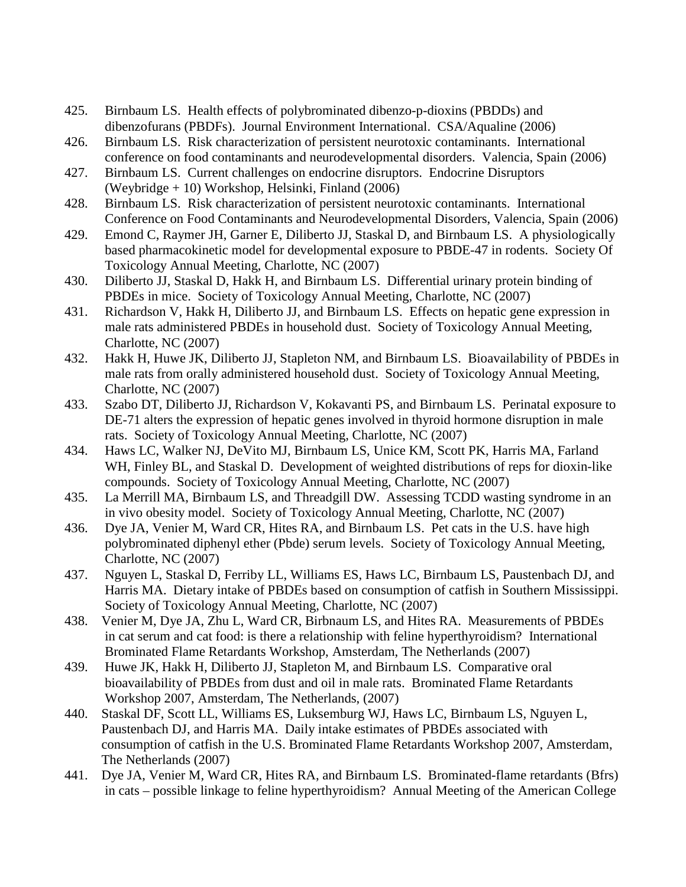- 425. Birnbaum LS. Health effects of polybrominated dibenzo-p-dioxins (PBDDs) and dibenzofurans (PBDFs). Journal Environment International. CSA/Aqualine (2006)
- 426. Birnbaum LS. Risk characterization of persistent neurotoxic contaminants. International conference on food contaminants and neurodevelopmental disorders. Valencia, Spain (2006)
- 427. Birnbaum LS. Current challenges on endocrine disruptors. Endocrine Disruptors (Weybridge + 10) Workshop, Helsinki, Finland (2006)
- 428. Birnbaum LS. Risk characterization of persistent neurotoxic contaminants. International Conference on Food Contaminants and Neurodevelopmental Disorders, Valencia, Spain (2006)
- 429. Emond C, Raymer JH, Garner E, Diliberto JJ, Staskal D, and Birnbaum LS. A physiologically based pharmacokinetic model for developmental exposure to PBDE-47 in rodents. Society Of Toxicology Annual Meeting, Charlotte, NC (2007)
- 430. Diliberto JJ, Staskal D, Hakk H, and Birnbaum LS. Differential urinary protein binding of PBDEs in mice. Society of Toxicology Annual Meeting, Charlotte, NC (2007)
- 431. Richardson V, Hakk H, Diliberto JJ, and Birnbaum LS. Effects on hepatic gene expression in male rats administered PBDEs in household dust. Society of Toxicology Annual Meeting, Charlotte, NC (2007)
- 432. Hakk H, Huwe JK, Diliberto JJ, Stapleton NM, and Birnbaum LS. Bioavailability of PBDEs in male rats from orally administered household dust. Society of Toxicology Annual Meeting, Charlotte, NC (2007)
- 433. Szabo DT, Diliberto JJ, Richardson V, Kokavanti PS, and Birnbaum LS. Perinatal exposure to DE-71 alters the expression of hepatic genes involved in thyroid hormone disruption in male rats. Society of Toxicology Annual Meeting, Charlotte, NC (2007)
- 434. Haws LC, Walker NJ, DeVito MJ, Birnbaum LS, Unice KM, Scott PK, Harris MA, Farland WH, Finley BL, and Staskal D. Development of weighted distributions of reps for dioxin-like compounds. Society of Toxicology Annual Meeting, Charlotte, NC (2007)
- 435. La Merrill MA, Birnbaum LS, and Threadgill DW. Assessing TCDD wasting syndrome in an in vivo obesity model. Society of Toxicology Annual Meeting, Charlotte, NC (2007)
- 436. Dye JA, Venier M, Ward CR, Hites RA, and Birnbaum LS. Pet cats in the U.S. have high polybrominated diphenyl ether (Pbde) serum levels. Society of Toxicology Annual Meeting, Charlotte, NC (2007)
- 437. Nguyen L, Staskal D, Ferriby LL, Williams ES, Haws LC, Birnbaum LS, Paustenbach DJ, and Harris MA. Dietary intake of PBDEs based on consumption of catfish in Southern Mississippi. Society of Toxicology Annual Meeting, Charlotte, NC (2007)
- 438. Venier M, Dye JA, Zhu L, Ward CR, Birbnaum LS, and Hites RA. Measurements of PBDEs in cat serum and cat food: is there a relationship with feline hyperthyroidism? International Brominated Flame Retardants Workshop, Amsterdam, The Netherlands (2007)
- 439. Huwe JK, Hakk H, Diliberto JJ, Stapleton M, and Birnbaum LS. Comparative oral bioavailability of PBDEs from dust and oil in male rats. Brominated Flame Retardants Workshop 2007, Amsterdam, The Netherlands, (2007)
- 440. Staskal DF, Scott LL, Williams ES, Luksemburg WJ, Haws LC, Birnbaum LS, Nguyen L, Paustenbach DJ, and Harris MA. Daily intake estimates of PBDEs associated with consumption of catfish in the U.S. Brominated Flame Retardants Workshop 2007, Amsterdam, The Netherlands (2007)
- 441. Dye JA, Venier M, Ward CR, Hites RA, and Birnbaum LS. Brominated-flame retardants (Bfrs) in cats – possible linkage to feline hyperthyroidism? Annual Meeting of the American College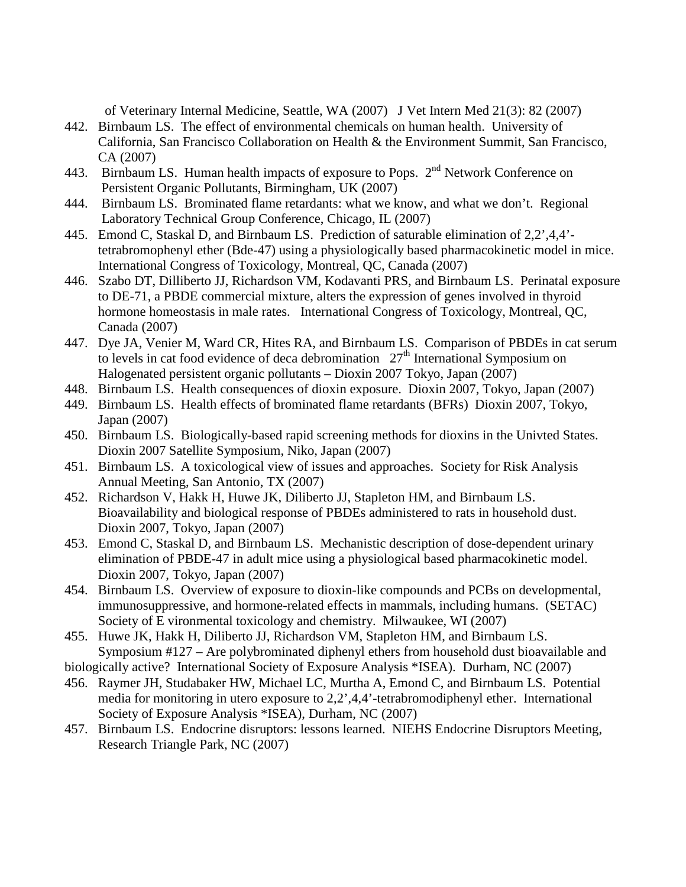of Veterinary Internal Medicine, Seattle, WA (2007) J Vet Intern Med 21(3): 82 (2007)

- 442. Birnbaum LS. The effect of environmental chemicals on human health. University of California, San Francisco Collaboration on Health & the Environment Summit, San Francisco, CA (2007)
- 443. Birnbaum LS. Human health impacts of exposure to Pops.  $2<sup>nd</sup>$  Network Conference on Persistent Organic Pollutants, Birmingham, UK (2007)
- 444. Birnbaum LS. Brominated flame retardants: what we know, and what we don't. Regional Laboratory Technical Group Conference, Chicago, IL (2007)
- 445. Emond C, Staskal D, and Birnbaum LS. Prediction of saturable elimination of 2,2',4,4' tetrabromophenyl ether (Bde-47) using a physiologically based pharmacokinetic model in mice. International Congress of Toxicology, Montreal, QC, Canada (2007)
- 446. Szabo DT, Dilliberto JJ, Richardson VM, Kodavanti PRS, and Birnbaum LS. Perinatal exposure to DE-71, a PBDE commercial mixture, alters the expression of genes involved in thyroid hormone homeostasis in male rates. International Congress of Toxicology, Montreal, QC, Canada (2007)
- 447. Dye JA, Venier M, Ward CR, Hites RA, and Birnbaum LS. Comparison of PBDEs in cat serum to levels in cat food evidence of deca debromination  $27<sup>th</sup>$  International Symposium on Halogenated persistent organic pollutants – Dioxin 2007 Tokyo, Japan (2007)
- 448. Birnbaum LS. Health consequences of dioxin exposure. Dioxin 2007, Tokyo, Japan (2007)
- 449. Birnbaum LS. Health effects of brominated flame retardants (BFRs) Dioxin 2007, Tokyo, Japan (2007)
- 450. Birnbaum LS. Biologically-based rapid screening methods for dioxins in the Univted States. Dioxin 2007 Satellite Symposium, Niko, Japan (2007)
- 451. Birnbaum LS. A toxicological view of issues and approaches. Society for Risk Analysis Annual Meeting, San Antonio, TX (2007)
- 452. Richardson V, Hakk H, Huwe JK, Diliberto JJ, Stapleton HM, and Birnbaum LS. Bioavailability and biological response of PBDEs administered to rats in household dust. Dioxin 2007, Tokyo, Japan (2007)
- 453. Emond C, Staskal D, and Birnbaum LS. Mechanistic description of dose-dependent urinary elimination of PBDE-47 in adult mice using a physiological based pharmacokinetic model. Dioxin 2007, Tokyo, Japan (2007)
- 454. Birnbaum LS. Overview of exposure to dioxin-like compounds and PCBs on developmental, immunosuppressive, and hormone-related effects in mammals, including humans. (SETAC) Society of E vironmental toxicology and chemistry. Milwaukee, WI (2007)
- 455. Huwe JK, Hakk H, Diliberto JJ, Richardson VM, Stapleton HM, and Birnbaum LS. Symposium #127 – Are polybrominated diphenyl ethers from household dust bioavailable and
- biologically active? International Society of Exposure Analysis \*ISEA). Durham, NC (2007)
- 456. Raymer JH, Studabaker HW, Michael LC, Murtha A, Emond C, and Birnbaum LS. Potential media for monitoring in utero exposure to 2,2',4,4'-tetrabromodiphenyl ether. International Society of Exposure Analysis \*ISEA), Durham, NC (2007)
- 457. Birnbaum LS. Endocrine disruptors: lessons learned. NIEHS Endocrine Disruptors Meeting, Research Triangle Park, NC (2007)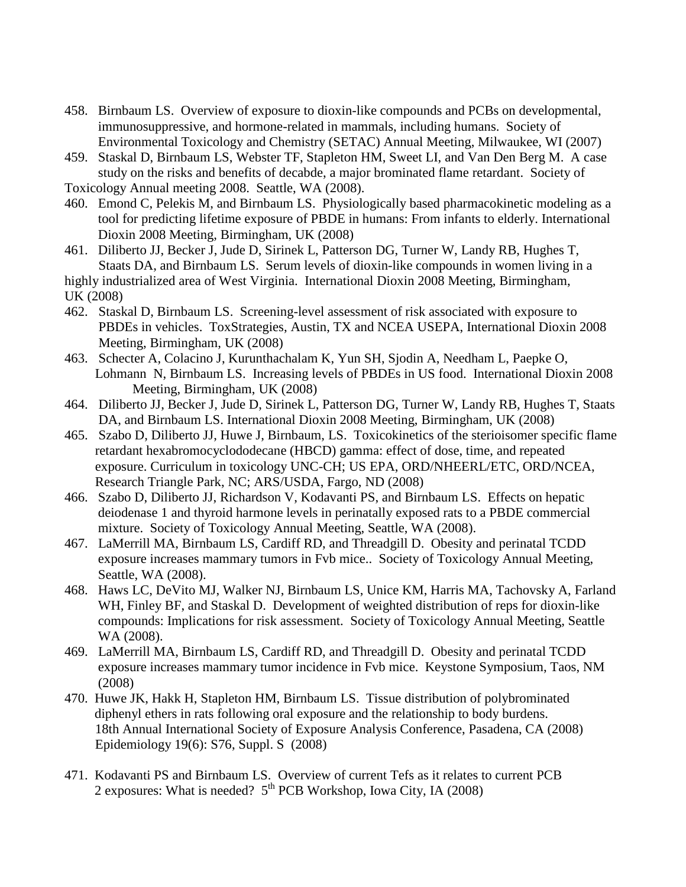- 458. Birnbaum LS. Overview of exposure to dioxin-like compounds and PCBs on developmental, immunosuppressive, and hormone-related in mammals, including humans. Society of Environmental Toxicology and Chemistry (SETAC) Annual Meeting, Milwaukee, WI (2007)
- 459. Staskal D, Birnbaum LS, Webster TF, Stapleton HM, Sweet LI, and Van Den Berg M. A case study on the risks and benefits of decabde, a major brominated flame retardant. Society of

Toxicology Annual meeting 2008. Seattle, WA (2008).

- 460. Emond C, Pelekis M, and Birnbaum LS. Physiologically based pharmacokinetic modeling as a tool for predicting lifetime exposure of PBDE in humans: From infants to elderly. International Dioxin 2008 Meeting, Birmingham, UK (2008)
- 461. Diliberto JJ, Becker J, Jude D, Sirinek L, Patterson DG, Turner W, Landy RB, Hughes T, Staats DA, and Birnbaum LS. Serum levels of dioxin-like compounds in women living in a highly industrialized area of West Virginia. International Dioxin 2008 Meeting, Birmingham,
- UK (2008)
- 462. Staskal D, Birnbaum LS. Screening-level assessment of risk associated with exposure to PBDEs in vehicles. ToxStrategies, Austin, TX and NCEA USEPA, International Dioxin 2008 Meeting, Birmingham, UK (2008)
- 463. Schecter A, Colacino J, Kurunthachalam K, Yun SH, Sjodin A, Needham L, Paepke O, Lohmann N, Birnbaum LS. Increasing levels of PBDEs in US food. International Dioxin 2008 Meeting, Birmingham, UK (2008)
- 464. Diliberto JJ, Becker J, Jude D, Sirinek L, Patterson DG, Turner W, Landy RB, Hughes T, Staats DA, and Birnbaum LS. International Dioxin 2008 Meeting, Birmingham, UK (2008)
- 465. Szabo D, Diliberto JJ, Huwe J, Birnbaum, LS. Toxicokinetics of the sterioisomer specific flame retardant hexabromocyclododecane (HBCD) gamma: effect of dose, time, and repeated exposure. Curriculum in toxicology UNC-CH; US EPA, ORD/NHEERL/ETC, ORD/NCEA, Research Triangle Park, NC; ARS/USDA, Fargo, ND (2008)
- 466. Szabo D, Diliberto JJ, Richardson V, Kodavanti PS, and Birnbaum LS. Effects on hepatic deiodenase 1 and thyroid harmone levels in perinatally exposed rats to a PBDE commercial mixture. Society of Toxicology Annual Meeting, Seattle, WA (2008).
- 467. LaMerrill MA, Birnbaum LS, Cardiff RD, and Threadgill D. Obesity and perinatal TCDD exposure increases mammary tumors in Fvb mice.. Society of Toxicology Annual Meeting, Seattle, WA (2008).
- 468. Haws LC, DeVito MJ, Walker NJ, Birnbaum LS, Unice KM, Harris MA, Tachovsky A, Farland WH, Finley BF, and Staskal D. Development of weighted distribution of reps for dioxin-like compounds: Implications for risk assessment. Society of Toxicology Annual Meeting, Seattle WA (2008).
- 469. LaMerrill MA, Birnbaum LS, Cardiff RD, and Threadgill D. Obesity and perinatal TCDD exposure increases mammary tumor incidence in Fvb mice. Keystone Symposium, Taos, NM (2008)
- 470. Huwe JK, Hakk H, Stapleton HM, Birnbaum LS. Tissue distribution of polybrominated diphenyl ethers in rats following oral exposure and the relationship to body burdens. 18th Annual International Society of Exposure Analysis Conference, Pasadena, CA (2008) Epidemiology 19(6): S76, Suppl. S (2008)
- 471. Kodavanti PS and Birnbaum LS. Overview of current Tefs as it relates to current PCB 2 exposures: What is needed?  $5<sup>th</sup> PCB Workshop$ , Iowa City, IA (2008)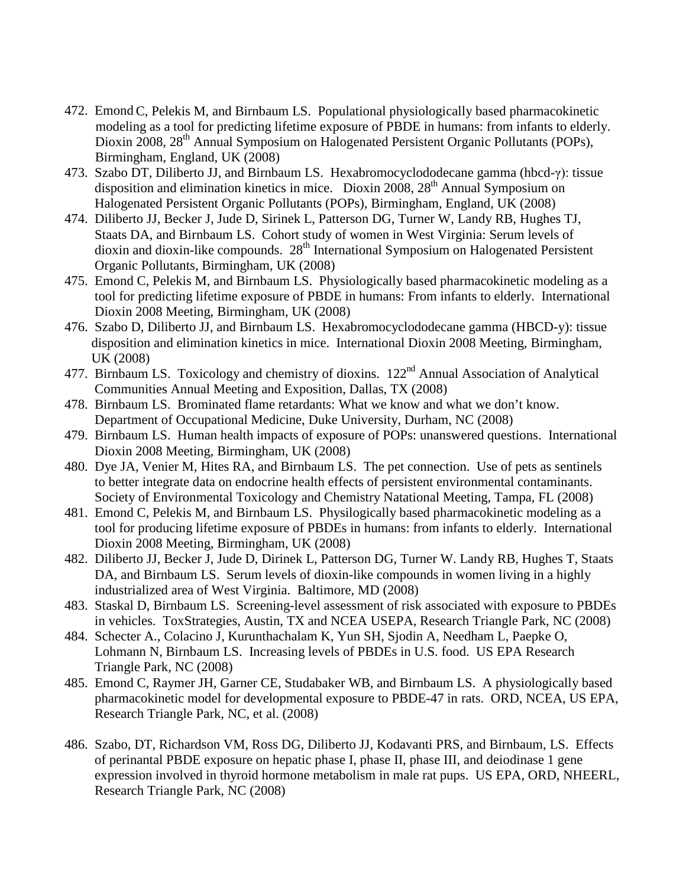- 472. Emond C, Pelekis M, and Birnbaum LS. Populational physiologically based pharmacokinetic modeling as a tool for predicting lifetime exposure of PBDE in humans: from infants to elderly. Dioxin 2008, 28<sup>th</sup> Annual Symposium on Halogenated Persistent Organic Pollutants (POPs), Birmingham, England, UK (2008)
- 473. Szabo DT, Diliberto JJ, and Birnbaum LS. Hexabromocyclododecane gamma (hbcd-γ): tissue disposition and elimination kinetics in mice. Dioxin 2008,  $28<sup>th</sup>$  Annual Symposium on Halogenated Persistent Organic Pollutants (POPs), Birmingham, England, UK (2008)
- 474. Diliberto JJ, Becker J, Jude D, Sirinek L, Patterson DG, Turner W, Landy RB, Hughes TJ, Staats DA, and Birnbaum LS. Cohort study of women in West Virginia: Serum levels of dioxin and dioxin-like compounds. 28<sup>th</sup> International Symposium on Halogenated Persistent Organic Pollutants, Birmingham, UK (2008)
- 475. Emond C, Pelekis M, and Birnbaum LS. Physiologically based pharmacokinetic modeling as a tool for predicting lifetime exposure of PBDE in humans: From infants to elderly. International Dioxin 2008 Meeting, Birmingham, UK (2008)
- 476. Szabo D, Diliberto JJ, and Birnbaum LS. Hexabromocyclododecane gamma (HBCD-y): tissue disposition and elimination kinetics in mice. International Dioxin 2008 Meeting, Birmingham, UK (2008)
- 477. Birnbaum LS. Toxicology and chemistry of dioxins.  $122<sup>nd</sup>$  Annual Association of Analytical Communities Annual Meeting and Exposition, Dallas, TX (2008)
- 478. Birnbaum LS. Brominated flame retardants: What we know and what we don't know. Department of Occupational Medicine, Duke University, Durham, NC (2008)
- 479. Birnbaum LS. Human health impacts of exposure of POPs: unanswered questions. International Dioxin 2008 Meeting, Birmingham, UK (2008)
- 480. Dye JA, Venier M, Hites RA, and Birnbaum LS. The pet connection. Use of pets as sentinels to better integrate data on endocrine health effects of persistent environmental contaminants. Society of Environmental Toxicology and Chemistry Natational Meeting, Tampa, FL (2008)
- 481. Emond C, Pelekis M, and Birnbaum LS. Physilogically based pharmacokinetic modeling as a tool for producing lifetime exposure of PBDEs in humans: from infants to elderly. International Dioxin 2008 Meeting, Birmingham, UK (2008)
- 482. Diliberto JJ, Becker J, Jude D, Dirinek L, Patterson DG, Turner W. Landy RB, Hughes T, Staats DA, and Birnbaum LS. Serum levels of dioxin-like compounds in women living in a highly industrialized area of West Virginia. Baltimore, MD (2008)
- 483. Staskal D, Birnbaum LS. Screening-level assessment of risk associated with exposure to PBDEs in vehicles. ToxStrategies, Austin, TX and NCEA USEPA, Research Triangle Park, NC (2008)
- 484. Schecter A., Colacino J, Kurunthachalam K, Yun SH, Sjodin A, Needham L, Paepke O, Lohmann N, Birnbaum LS. Increasing levels of PBDEs in U.S. food. US EPA Research Triangle Park, NC (2008)
- 485. Emond C, Raymer JH, Garner CE, Studabaker WB, and Birnbaum LS. A physiologically based pharmacokinetic model for developmental exposure to PBDE-47 in rats. ORD, NCEA, US EPA, Research Triangle Park, NC, et al. (2008)
- 486. Szabo, DT, Richardson VM, Ross DG, Diliberto JJ, Kodavanti PRS, and Birnbaum, LS. Effects of perinantal PBDE exposure on hepatic phase I, phase II, phase III, and deiodinase 1 gene expression involved in thyroid hormone metabolism in male rat pups. US EPA, ORD, NHEERL, Research Triangle Park, NC (2008)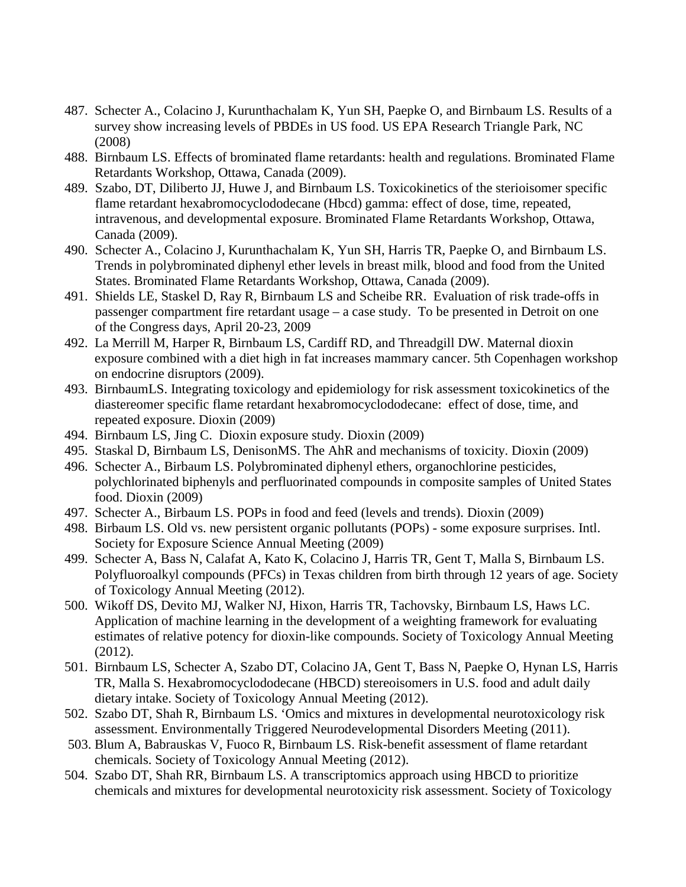- 487. Schecter A., Colacino J, Kurunthachalam K, Yun SH, Paepke O, and Birnbaum LS. Results of a survey show increasing levels of PBDEs in US food. US EPA Research Triangle Park, NC (2008)
- 488. Birnbaum LS. Effects of brominated flame retardants: health and regulations. Brominated Flame Retardants Workshop, Ottawa, Canada (2009).
- 489. Szabo, DT, Diliberto JJ, Huwe J, and Birnbaum LS. Toxicokinetics of the sterioisomer specific flame retardant hexabromocyclododecane (Hbcd) gamma: effect of dose, time, repeated, intravenous, and developmental exposure. Brominated Flame Retardants Workshop, Ottawa, Canada (2009).
- 490. Schecter A., Colacino J, Kurunthachalam K, Yun SH, Harris TR, Paepke O, and Birnbaum LS. Trends in polybrominated diphenyl ether levels in breast milk, blood and food from the United States. Brominated Flame Retardants Workshop, Ottawa, Canada (2009).
- 491. Shields LE, Staskel D, Ray R, Birnbaum LS and Scheibe RR. Evaluation of risk trade-offs in passenger compartment fire retardant usage – a case study. To be presented in Detroit on one of the Congress days, April 20-23, 2009
- 492. La Merrill M, Harper R, Birnbaum LS, Cardiff RD, and Threadgill DW. Maternal dioxin exposure combined with a diet high in fat increases mammary cancer. 5th Copenhagen workshop on endocrine disruptors (2009).
- 493. BirnbaumLS. Integrating toxicology and epidemiology for risk assessment toxicokinetics of the diastereomer specific flame retardant hexabromocyclododecane: effect of dose, time, and repeated exposure. Dioxin (2009)
- 494. Birnbaum LS, Jing C. Dioxin exposure study. Dioxin (2009)
- 495. Staskal D, Birnbaum LS, DenisonMS. The AhR and mechanisms of toxicity. Dioxin (2009)
- 496. Schecter A., Birbaum LS. Polybrominated diphenyl ethers, organochlorine pesticides, polychlorinated biphenyls and perfluorinated compounds in composite samples of United States food. Dioxin (2009)
- 497. Schecter A., Birbaum LS. POPs in food and feed (levels and trends). Dioxin (2009)
- 498. Birbaum LS. Old vs. new persistent organic pollutants (POPs) some exposure surprises. Intl. Society for Exposure Science Annual Meeting (2009)
- 499. Schecter A, Bass N, Calafat A, Kato K, Colacino J, Harris TR, Gent T, Malla S, Birnbaum LS. Polyfluoroalkyl compounds (PFCs) in Texas children from birth through 12 years of age. Society of Toxicology Annual Meeting (2012).
- 500. Wikoff DS, Devito MJ, Walker NJ, Hixon, Harris TR, Tachovsky, Birnbaum LS, Haws LC. Application of machine learning in the development of a weighting framework for evaluating estimates of relative potency for dioxin-like compounds. Society of Toxicology Annual Meeting (2012).
- 501. Birnbaum LS, Schecter A, Szabo DT, Colacino JA, Gent T, Bass N, Paepke O, Hynan LS, Harris TR, Malla S. Hexabromocyclododecane (HBCD) stereoisomers in U.S. food and adult daily dietary intake. Society of Toxicology Annual Meeting (2012).
- 502. Szabo DT, Shah R, Birnbaum LS. 'Omics and mixtures in developmental neurotoxicology risk assessment. Environmentally Triggered Neurodevelopmental Disorders Meeting (2011).
- 503. Blum A, Babrauskas V, Fuoco R, Birnbaum LS. Risk-benefit assessment of flame retardant chemicals. Society of Toxicology Annual Meeting (2012).
- 504. Szabo DT, Shah RR, Birnbaum LS. A transcriptomics approach using HBCD to prioritize chemicals and mixtures for developmental neurotoxicity risk assessment. Society of Toxicology